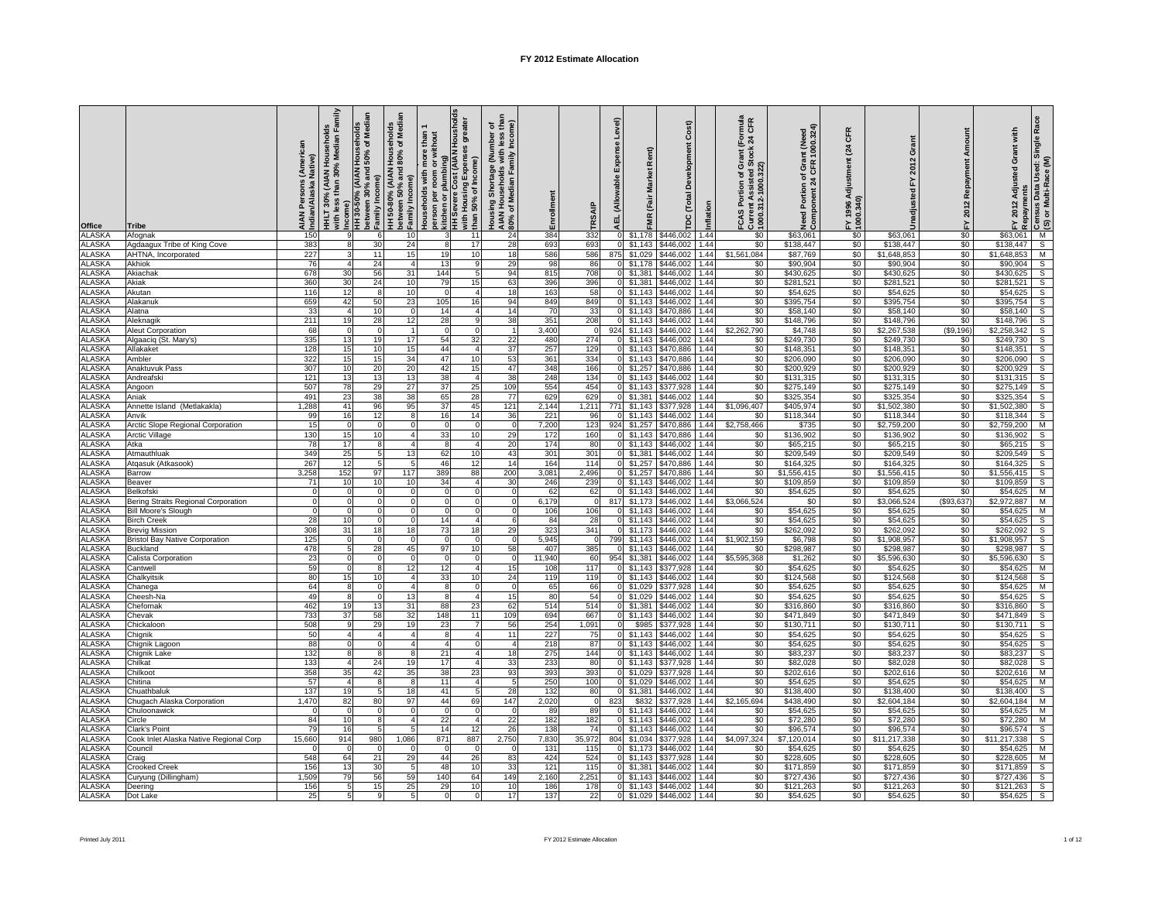| Office                  | <b>Tribe</b>                                            | Persons (American<br>ndian/Alaska Native)<br>AIANI | HHLT 30% (AIAN Households<br>with less than 30% Median Family | IAN Households<br>and 50% of Medi<br>Income)<br>НН 30-50% (АІАН Ноц<br>between 30% and<br>Family Income) | HH 50-80% (AIAN Households<br>between 50% and 80% of Media<br>5 Family Income) | Households with more than<br>person per room or without<br>kitchen or plumbing)<br>person per room | HH Severe Cost (AIAN Housholds<br>with Housing Expenses greater<br>than 50% of Income) | Housing Shortage (Number of<br>AIAN Households with less tha<br>80% of Median Family Income) | Enrollment   | TRSAIF             | Level)<br>8<br>Expen<br>wable<br>Ö<br>듮 | Rent)<br>ket<br>Nar<br>(Fair<br><b>FMR</b> | Cost)<br>udoje.<br>గ్రీ<br>Total<br>ă | Inflation    | ant (Formula<br>tock 24 CFR<br>ტ რ<br>Current Assisted ave<br> 1000.312-1000.322)<br><b>IS Portion of G</b><br>rent Assisted S<br>SÞ | Need Portion of Grant (Need<br>Component 24 CFR 1000.324) | (24 CFR<br>Adjustment<br>FY 1996 A<br>1000.340) | Grant<br>2012<br>Unadjusted FY | Repayment Amount<br>2012<br>۲Ļ | Race<br>Grant with<br><sup>r</sup> Repayments<br>- Census Data Used: Single R<br>- (S) or Multi-Race (M)<br>Adjusted<br>2012 |
|-------------------------|---------------------------------------------------------|----------------------------------------------------|---------------------------------------------------------------|----------------------------------------------------------------------------------------------------------|--------------------------------------------------------------------------------|----------------------------------------------------------------------------------------------------|----------------------------------------------------------------------------------------|----------------------------------------------------------------------------------------------|--------------|--------------------|-----------------------------------------|--------------------------------------------|---------------------------------------|--------------|--------------------------------------------------------------------------------------------------------------------------------------|-----------------------------------------------------------|-------------------------------------------------|--------------------------------|--------------------------------|------------------------------------------------------------------------------------------------------------------------------|
| ALASKA                  | Afognak                                                 | 150                                                | 9                                                             |                                                                                                          | 10                                                                             |                                                                                                    | 11                                                                                     | 24                                                                                           | 384          | 332                | 0                                       | \$1,178                                    | \$446,002                             | 1.44         | \$0                                                                                                                                  | \$63,061                                                  | \$0                                             | \$63,061                       | \$0                            | M<br>\$63,061                                                                                                                |
| <b>ALASKA</b>           | Agdaagux Tribe of King Cove                             | 383<br>227                                         | 8                                                             | 30<br>11                                                                                                 | 24<br>15                                                                       | 8<br>19                                                                                            | 17<br>10                                                                               | 28<br>18                                                                                     | 693<br>586   | 693<br>586         | $\overline{0}$<br>875                   | \$1,143<br>\$1,029                         | \$446,002                             | 1.44<br>1.44 | \$0<br>\$1,561,084                                                                                                                   | \$138,447<br>\$87,769                                     | \$0                                             | \$138,447                      | \$0<br>\$0                     | $\overline{s}$<br>\$138,447<br>M<br>\$1,648,853                                                                              |
| ALASKA<br>ALASKA        | AHTNA, Incorporated<br>Akhiok                           | 76                                                 |                                                               | 24                                                                                                       |                                                                                | 13                                                                                                 | 9                                                                                      | 29                                                                                           | 98           | 86                 |                                         | \$1,178                                    | \$446,002<br>\$446,002                | 1.44         | \$0                                                                                                                                  | \$90,904                                                  | \$0<br>\$0                                      | \$1,648,853<br>\$90,904        | \$0                            | s<br>\$90,904                                                                                                                |
| ALASKA                  | Akiachak                                                | 678                                                | 30                                                            | 56                                                                                                       | 31                                                                             | 144                                                                                                | 5                                                                                      | 94                                                                                           | 815          | 708                |                                         | \$1,381                                    | \$446,002                             | 1.44         | \$0                                                                                                                                  | \$430,625                                                 | \$0                                             | \$430,625                      | \$0                            | s<br>\$430,625                                                                                                               |
| ALASKA                  | Akiak                                                   | 360                                                | 30                                                            | 24                                                                                                       | 10                                                                             | 79                                                                                                 | 15                                                                                     | 63                                                                                           | 396          | 396                |                                         | \$1,381                                    | \$446,002                             | 1.44         | \$0                                                                                                                                  | \$281,521                                                 | \$0                                             | \$281,521                      | \$0                            | \$281,521<br>s                                                                                                               |
| <b>ALASKA</b><br>ALASKA | Akutan<br>Alakanuk                                      | 116<br>659                                         | 12<br>42                                                      | 8<br>50                                                                                                  | 10<br>23                                                                       | $\Omega$<br>105                                                                                    | $\overline{4}$<br>16                                                                   | 18<br>94                                                                                     | 163<br>849   | 58<br>849          | $\Omega$<br>$\Omega$                    | \$1.143<br>\$1.143                         | \$446.002<br>\$446.002                | 1.44<br>1.44 | \$0<br>\$0                                                                                                                           | \$54.625<br>\$395,754                                     | \$0<br>\$0                                      | \$54,625<br>\$395,754          | \$0<br>\$0                     | \$54.625<br>S<br>$\mathbf{s}$<br>\$395.754                                                                                   |
| ALASKA                  | Alatna                                                  | 33                                                 | $\overline{4}$                                                | 10 <sup>1</sup>                                                                                          | $\circ$                                                                        | 14                                                                                                 | $\overline{4}$                                                                         | 14                                                                                           | 70           | 33                 | $\Omega$                                | \$1.143                                    | \$470.886                             | 1.44         | \$0                                                                                                                                  | \$58.140                                                  | \$0                                             | \$58,140                       | \$0                            | $\mathbf{s}$<br>\$58.140                                                                                                     |
| ALASKA                  | Aleknagik                                               | 211                                                | 19                                                            | 28                                                                                                       | 12                                                                             | 28                                                                                                 | 9                                                                                      | 38                                                                                           | 351          | 208                | $\Omega$                                | \$1,143                                    | \$446,002                             | 1.44         | \$0                                                                                                                                  | \$148,796                                                 | \$0                                             | \$148,796                      | \$0                            | S<br>\$148,796                                                                                                               |
| ALASKA                  | Aleut Corporation                                       | 68                                                 | - 0                                                           | $\Omega$                                                                                                 |                                                                                | $\mathbf 0$                                                                                        | $\mathbf 0$                                                                            |                                                                                              | 3,400        | $\Omega$           |                                         | 924 \$1,143                                | \$446,002                             | 1.44         | \$2,262,790                                                                                                                          | \$4,748                                                   | \$0                                             | \$2,267,538                    | (\$9,196)                      | S<br>\$2,258,342                                                                                                             |
| ALASKA<br>ALASKA        | Algaaciq (St. Mary's)<br>Allakaket                      | 335<br>128                                         | 13<br>15                                                      | 19<br>10                                                                                                 | 17<br>15                                                                       | 54<br>44                                                                                           | 32<br>$\overline{4}$                                                                   | 22<br>37                                                                                     | 480<br>257   | 274<br>129         | $\Omega$                                | \$1,143<br>$0$ \$1,143                     | \$446,002<br>\$470,886                | 1.44<br>1.44 | \$0<br>\$0                                                                                                                           | \$249,730<br>\$148,351                                    | \$0<br>\$0                                      | \$249,730<br>\$148,351         | \$0<br>\$0                     | S<br>\$249,730<br>S<br>\$148,351                                                                                             |
| ALASKA                  | Ambler                                                  | 322                                                | 15                                                            | 15                                                                                                       | 34                                                                             | 47                                                                                                 | 10                                                                                     | 53                                                                                           | 361          | 334                |                                         | $0$ \$1,143                                | \$470,886                             | 1.44         | \$0                                                                                                                                  | \$206,090                                                 | \$0                                             | \$206,090                      | \$0                            | $\mathsf{s}$<br>\$206,090                                                                                                    |
| ALASKA                  | Anaktuvuk Pass                                          | 307                                                | 10                                                            | 20                                                                                                       | 20                                                                             | 42                                                                                                 | 15                                                                                     | 47                                                                                           | 348          | 166                |                                         | $0$ \$1,257                                | \$470,886                             | 1.44         | \$0                                                                                                                                  | \$200,929                                                 | \$0                                             | \$200,929                      | \$0                            | $\mathsf{s}$<br>\$200,929                                                                                                    |
| ALASKA                  | Andreafski                                              | 121                                                | 13                                                            | 13                                                                                                       | 13                                                                             | 38                                                                                                 | $\overline{4}$                                                                         | 38                                                                                           | 248          | 134                |                                         | $0$ \$1,143                                | \$446,002                             | 1.44         | \$0                                                                                                                                  | \$131,315                                                 | \$0                                             | \$131,315                      | \$0                            | $\mathsf{s}$<br>\$131,315                                                                                                    |
| ALASKA<br>ALASKA        | Angoon                                                  | 507<br>491                                         | 78                                                            | 29<br>38                                                                                                 | 27<br>38                                                                       | 37<br>65                                                                                           | 25<br>28                                                                               | 109<br>77                                                                                    | 554          | 454<br>629         | $\Omega$                                | $0$ \$1,143<br>\$1,381                     | \$377,928<br>\$446.002                | 1.44<br>1.44 | \$0<br>\$0                                                                                                                           | \$275,149                                                 | \$0<br>\$0                                      | \$275,149<br>\$325,354         | \$0<br>\$0                     | $\mathsf{s}$<br>\$275,149<br>\$325,354                                                                                       |
| ALASKA                  | Aniak<br>Annette Island (Metlakakla)                    | 1.288                                              | 23<br>41                                                      | 96                                                                                                       | 95                                                                             | 37                                                                                                 | 45                                                                                     | 121                                                                                          | 629<br>2,144 | 1,211              | 771                                     | \$1,143                                    | \$377,928                             | 1.44         | \$1,096,407                                                                                                                          | \$325,354<br>\$405,974                                    | \$0                                             | \$1,502,380                    | \$0                            | S<br>\$1,502,380<br>S                                                                                                        |
| ALASKA                  | Anvik                                                   | 99                                                 | 16                                                            | 12                                                                                                       | 8                                                                              | 16                                                                                                 | 14                                                                                     | 36                                                                                           | 221          | 96                 | $\Omega$                                | \$1,143                                    | \$446,002                             | 1.44         | \$0                                                                                                                                  | \$118,344                                                 | \$0                                             | \$118,344                      | \$0                            | \$118,344<br>S                                                                                                               |
| ALASKA                  | Arctic Slope Regional Corporation                       | 15                                                 |                                                               | $\Omega$                                                                                                 | $\overline{0}$                                                                 | $\overline{0}$                                                                                     | $\mathbf 0$                                                                            | $\Omega$                                                                                     | 7,200        | 123                | 924                                     | \$1,257                                    | \$470,886                             | 1.44         | \$2,758,466                                                                                                                          | \$735                                                     | \$0                                             | \$2,759,200                    | \$0                            | M<br>\$2,759,200                                                                                                             |
| ALASKA                  | <b>Arctic Village</b>                                   | 130                                                | 15                                                            | 10                                                                                                       | $\overline{4}$                                                                 | 33                                                                                                 | 10                                                                                     | 29                                                                                           | 172          | 160                | $\overline{0}$                          | \$1,143                                    | \$470,886                             | 1.44         | \$0                                                                                                                                  | \$136,902                                                 | \$0                                             | \$136,902                      | \$0                            | $\mathsf{s}$<br>\$136,902                                                                                                    |
| <b>ALASKA</b><br>ALASKA | Atka<br>Atmauthluak                                     | 78<br>349                                          | 17<br>25                                                      | 8<br>5                                                                                                   | $\overline{4}$<br>13                                                           | 8<br>62                                                                                            | $\overline{4}$<br>10                                                                   | 20<br>43                                                                                     | 174<br>301   | 80<br>301          | $\overline{0}$<br>$\Omega$              | \$1,143<br>\$1,381                         | \$446,002<br>\$446,002                | 1.44<br>1.44 | \$0<br>\$0                                                                                                                           | \$65,215<br>\$209,549                                     | \$0<br>\$0                                      | \$65,215<br>\$209,549          | \$0<br>\$0                     | $\mathsf{s}$<br>\$65,215<br>s<br>\$209,549                                                                                   |
| <b>ALASKA</b>           | Atqasuk (Atkasook)                                      | 267                                                | 12                                                            |                                                                                                          | 5                                                                              | 46                                                                                                 | 12                                                                                     | 14                                                                                           | 164          | 114                |                                         | \$1,257                                    | \$470,886                             | 1.44         | \$0                                                                                                                                  | \$164,325                                                 | \$0                                             | \$164,325                      | \$0                            | S<br>\$164,325                                                                                                               |
| ALASKA                  | Barrow                                                  | 3,258                                              | 152                                                           | 97                                                                                                       | 117                                                                            | 389                                                                                                | 88                                                                                     | 200                                                                                          | 3,081        | 2,496              | $\Omega$                                | \$1,257                                    | \$470,886                             | 1.44         | \$0                                                                                                                                  | \$1,556,415                                               | \$0                                             | \$1,556,415                    | \$0                            | S<br>\$1,556,415                                                                                                             |
| <b>ALASKA</b>           | Beaver                                                  | 71                                                 | 10                                                            | 10                                                                                                       | 10                                                                             | 34                                                                                                 | 4                                                                                      | 30                                                                                           | 246          | 239                |                                         | \$1,143                                    | \$446,002                             | 1.44         | \$0                                                                                                                                  | \$109,859                                                 | \$0                                             | \$109,859                      | \$0                            | \$109,859<br>s                                                                                                               |
| <b>ALASKA</b><br>ALASKA | Belkofski<br><b>Bering Straits Regional Corporation</b> | $\Omega$<br>$\Omega$                               | $\Omega$<br>$\overline{0}$                                    | $\Omega$<br>$\Omega$                                                                                     | $\mathbf 0$<br>$\circ$                                                         | $\overline{0}$<br>$\mathbf 0$                                                                      | $\mathbf 0$<br>$\mathbf 0$                                                             | $\Omega$<br>$\Omega$                                                                         | 62<br>6,179  | 62<br>$\mathbf{0}$ | $\overline{0}$<br>817                   | \$1.143<br>\$1,173                         | \$446,002<br>\$446,002                | 1.44<br>1.44 | \$0<br>\$3,066,524                                                                                                                   | \$54,625<br>\$0                                           | \$0<br>\$0                                      | \$54,625<br>\$3,066,524        | \$0<br>(\$93,637)              | \$54,625<br>м<br>\$2,972,887<br>М                                                                                            |
| ALASKA                  | Bill Moore's Slough                                     | $\Omega$                                           | - 0                                                           | $\Omega$                                                                                                 | $\mathbf 0$                                                                    | $\overline{0}$                                                                                     | $\mathbf 0$                                                                            | $\Omega$                                                                                     | 106          | 106                | $\Omega$                                | \$1,143                                    | \$446.002                             | 1.44         | \$0                                                                                                                                  | \$54,625                                                  | \$0                                             | \$54,625                       | \$0                            | \$54,625<br>м                                                                                                                |
| ALASKA                  | <b>Birch Creek</b>                                      | 28                                                 | 10                                                            | $\Omega$                                                                                                 | $\mathbf 0$                                                                    | 14                                                                                                 | $\overline{4}$                                                                         | 6                                                                                            | 84           | 28                 | $\overline{0}$                          | \$1,143                                    | \$446,002                             | 1.44         | \$0                                                                                                                                  | \$54,625                                                  | \$0                                             | \$54,625                       | \$0                            | \$54,625<br>s                                                                                                                |
| ALASKA                  | <b>Brevig Mission</b>                                   | 308                                                | 31                                                            | 18                                                                                                       | 18                                                                             | 73                                                                                                 | 18                                                                                     | 29                                                                                           | 323          | 341                | $\overline{0}$                          | \$1,173                                    | \$446,002                             | 1.44         | \$0                                                                                                                                  | \$262,092                                                 | \$0                                             | \$262,092                      | \$0                            | \$262,092<br>$\mathsf{s}$                                                                                                    |
| ALASKA<br>ALASKA        | <b>Bristol Bay Native Corporation</b><br>Buckland       | 125<br>478                                         | $\Omega$<br>5                                                 | $\Omega$<br>28                                                                                           | $^{\circ}$<br>45                                                               | $\overline{0}$<br>97                                                                               | $^{\circ}$<br>10                                                                       | $\Omega$<br>58                                                                               | 5,945<br>407 | - 0<br>385         | 799<br>$\circ$                          | \$1,143<br>\$1,143                         | \$446,002<br>\$446,002                | 1.44<br>1.44 | \$1,902,159<br>\$0                                                                                                                   | \$6,798<br>\$298,987                                      | \$0<br>\$0                                      | \$1,908,957<br>\$298,987       | \$0<br>\$0                     | $\mathbf{s}$<br>\$1,908,957<br>\$298,987<br>s                                                                                |
| ALASKA                  | Calista Corporation                                     | 23                                                 |                                                               | $\Omega$                                                                                                 | $^{\circ}$                                                                     |                                                                                                    | $^{\circ}$                                                                             | $^{\circ}$                                                                                   | 11,940       | 60                 |                                         | 954 \$1,381                                | \$446,002                             | 1.44         | \$5,595,368                                                                                                                          | \$1,262                                                   | \$0                                             | \$5,596,630                    | \$0                            | \$5,596,630<br>s                                                                                                             |
| ALASKA                  | Cantwell                                                | 59                                                 |                                                               | 8                                                                                                        | 12                                                                             | 12                                                                                                 | $\overline{4}$                                                                         | 15                                                                                           | 108          | 117                |                                         | $0$ \$1,143                                | \$377,928                             | 1.44         | \$0                                                                                                                                  | \$54,625                                                  | \$0                                             | \$54,625                       | \$0                            | \$54,625<br>M                                                                                                                |
| <b>ALASKA</b>           | Chalkyitsik                                             | 80                                                 | 15                                                            | 10                                                                                                       |                                                                                | 33                                                                                                 | 10 <sup>1</sup>                                                                        | 24                                                                                           | 119          | 119                | $\Omega$                                | \$1,143                                    | \$446,002                             | 1.44         | \$0                                                                                                                                  | \$124,568                                                 | \$0                                             | \$124,568                      | \$0                            | \$124,568<br>s                                                                                                               |
| <b>ALASKA</b><br>ALASKA | Chanega<br>Cheesh-Na                                    | 64<br>49                                           | 8                                                             | $\Omega$                                                                                                 | 13                                                                             |                                                                                                    | $\Omega$<br>$\overline{4}$                                                             | $\Omega$<br>15                                                                               | 65<br>80     | 66<br>54           | $\Omega$<br>0I                          | \$1,029<br>\$1,029                         | \$377.928<br>\$446,002                | 1.44<br>1.44 | \$0<br>\$0                                                                                                                           | \$54,625<br>\$54,625                                      | \$0<br>\$0                                      | \$54,625<br>\$54,625           | \$0<br>\$0                     | \$54.625<br>м<br>\$54,625<br>s                                                                                               |
| <b>ALASKA</b>           | Chefornak                                               | 462                                                | 19                                                            | 13                                                                                                       | 31                                                                             | 88                                                                                                 | 23                                                                                     | 62                                                                                           | 514          | 514                | 0I                                      | \$1,381                                    | \$446.002                             | 1.44         | \$0                                                                                                                                  | \$316,860                                                 | \$0                                             | \$316,860                      | \$0                            | \$316,860<br>s                                                                                                               |
| ALASKA                  | Chevak                                                  | 733                                                | 37                                                            | 58                                                                                                       | 32                                                                             | 148                                                                                                | 11                                                                                     | 109                                                                                          | 694          | 667                | $\Omega$                                | \$1,143                                    | \$446,002                             | 1.44         | \$0                                                                                                                                  | \$471,849                                                 | \$0                                             | \$471,849                      | \$0                            | \$471,849<br>s                                                                                                               |
| ALASKA                  | Chickaloon                                              | 508                                                | -9                                                            | 29                                                                                                       | 19                                                                             | 23                                                                                                 | 7                                                                                      | 56                                                                                           | 254          | 1,091              | $\mathbf{O}$                            | \$985                                      | \$377,928                             | 1.44         | \$0                                                                                                                                  | \$130,711                                                 | \$0                                             | \$130,711                      | \$0                            | S<br>\$130,711                                                                                                               |
| <b>ALASKA</b><br>ALASKA | Chignik                                                 | 50<br>88                                           |                                                               | $\overline{4}$<br>$\Omega$                                                                               | $\overline{4}$                                                                 | ø                                                                                                  | $\overline{4}$<br>0                                                                    | 11<br>$\overline{4}$                                                                         | 227<br>218   | 75<br>87           | $\overline{0}$<br>$\mathbf{O}$          | \$1,143<br>\$1,143                         | \$446,002<br>\$446,002                | 1.44<br>1.44 | \$0<br>\$0                                                                                                                           | \$54,625<br>\$54,625                                      | \$0<br>\$0                                      | \$54,625<br>\$54,625           | \$0<br>\$0                     | S<br>\$54,625<br>$\overline{s}$<br>\$54,625                                                                                  |
| ALASKA                  | Chignik Lagoon<br>Chignik Lake                          | 132                                                |                                                               |                                                                                                          | 8                                                                              | 21                                                                                                 | $\overline{4}$                                                                         | 18                                                                                           | 275          | 144                |                                         | \$1,143                                    | \$446,002                             | 1.44         | \$0                                                                                                                                  | \$83,237                                                  | \$0                                             | \$83,237                       | \$0                            | S<br>\$83,237                                                                                                                |
| ALASKA                  | Chilkat                                                 | 133                                                |                                                               | 24                                                                                                       | 19                                                                             | 17                                                                                                 |                                                                                        | 33                                                                                           | 233          | 80                 |                                         | \$1,143                                    | \$377,928                             | 1.44         | \$0                                                                                                                                  | \$82,028                                                  | \$0                                             | \$82,028                       | \$0                            | s<br>\$82,028                                                                                                                |
| ALASKA                  | Chilkoot                                                | 358                                                | 35                                                            | 42                                                                                                       | 35                                                                             | 38                                                                                                 | 23                                                                                     | 93                                                                                           | 393          | 393                |                                         | \$1,029                                    | \$377,928                             | 1.44         | \$0                                                                                                                                  | \$202,616                                                 | \$0                                             | \$202,616                      | \$0                            | \$202,616<br>м                                                                                                               |
| ALASKA<br><b>ALASKA</b> | Chitina<br>Chuathbaluk                                  | 57<br>137                                          | 19                                                            | $5\overline{5}$                                                                                          | 8<br>18                                                                        | 11<br>41                                                                                           | 4<br>5                                                                                 | 28                                                                                           | 250<br>132   | 100<br>80          | $\Omega$                                | \$1,029<br>\$1.381                         | \$446,002<br>\$446.002                | 1.44<br>1.44 | \$0<br>\$0                                                                                                                           | \$54,625<br>\$138,400                                     | \$0<br>\$0                                      | \$54,625<br>\$138,400          | \$0<br>\$0                     | \$54,625<br>M<br>$\mathbf{s}$<br>\$138,400                                                                                   |
| ALASKA                  | Chugach Alaska Corporation                              | 1,470                                              | 82                                                            | 80                                                                                                       | 97                                                                             | 44                                                                                                 | 69                                                                                     | 147                                                                                          | 2,020        | $\mathbf{0}$       | 823                                     | \$832                                      | \$377.928                             | 1.44         | \$2,165,694                                                                                                                          | \$438,490                                                 | \$0                                             | \$2,604,184                    | \$0                            | \$2.604.184<br>M                                                                                                             |
| ALASKA                  | Chuloonawick                                            |                                                    | - 0                                                           | $\Omega$                                                                                                 | $\mathbf 0$                                                                    | $\overline{0}$                                                                                     | $\mathbf 0$                                                                            | - 0                                                                                          | 89           | 89                 | $\Omega$                                | \$1,143                                    | \$446,002                             | 1.44         | \$0                                                                                                                                  | \$54,625                                                  | \$0                                             | \$54,625                       | \$0                            | \$54,625<br>M                                                                                                                |
| <b>ALASKA</b>           | Circle                                                  | 84                                                 | 10                                                            | 8                                                                                                        |                                                                                | 22                                                                                                 | $\overline{4}$                                                                         | 22                                                                                           | 182          | 182                | $\Omega$                                | \$1,143                                    | \$446,002                             | 1.44         | \$0                                                                                                                                  | \$72,280                                                  | \$0                                             | \$72,280                       | \$0                            | \$72,280<br>M                                                                                                                |
| ALASKA<br>ALASKA        | Clark's Point                                           | 79<br>15,660                                       | 16<br>914                                                     | 5<br>980                                                                                                 | 5<br>1,086                                                                     | 14<br>871                                                                                          | 12<br>887                                                                              | 26<br>2,750                                                                                  | 138<br>7,830 | 74<br>35,972       | $\Omega$                                | \$1,143                                    | \$446,002                             | 1.44         | \$0<br>\$4,097,324                                                                                                                   | \$96,574                                                  | \$0<br>\$0                                      | \$96,574                       | \$0<br>\$0                     | $\mathsf{s}$<br>\$96,574<br>\$11,217,338<br>$\mathbf{s}$                                                                     |
| ALASKA                  | Cook Inlet Alaska Native Regional Corp<br>Council       | $\Omega$                                           |                                                               | $\Omega$                                                                                                 | 0                                                                              |                                                                                                    | $\mathbf{0}$                                                                           | $^{\circ}$                                                                                   | 131          | 115                | $\circ$                                 | 804 \$1,034<br>\$1,173                     | \$377,928<br>\$446,002                | 1.44<br>1.44 | \$0                                                                                                                                  | \$7,120,014<br>\$54,625                                   | \$0                                             | \$11,217,338<br>\$54,625       | \$0                            | M<br>\$54,625                                                                                                                |
| ALASKA                  | Craig                                                   | 548                                                | 64                                                            | 21                                                                                                       | 29                                                                             | 44                                                                                                 | 26                                                                                     | 83                                                                                           | 424          | 524                |                                         | $0$ \$1,143                                | \$377,928                             | 1.44         | \$0                                                                                                                                  | \$228,605                                                 | \$0                                             | \$228,605                      | \$0                            | M<br>\$228,605                                                                                                               |
| ALASKA                  | Crooked Creek                                           | 156                                                | 13                                                            | 30                                                                                                       | -5                                                                             | 48                                                                                                 | 10 <sup>1</sup>                                                                        | 33                                                                                           | 121          | 115                |                                         | 0 \$1,381                                  | \$446,002                             | 1.44         | \$0                                                                                                                                  | \$171,859                                                 | \$0                                             | \$171,859                      | \$0                            | $\mathsf{s}$<br>\$171,859                                                                                                    |
| ALASKA                  | Curyung (Dillingham)                                    | 1,509                                              | 79                                                            | 56                                                                                                       | 59                                                                             | 140                                                                                                | 64                                                                                     | 149                                                                                          | 2,160        | 2,251              |                                         | $0$ \$1,143                                | \$446,002                             | 1.44         | \$0                                                                                                                                  | \$727,436                                                 | \$0                                             | \$727,436                      | \$0                            | $\mathbf{s}$<br>\$727,436                                                                                                    |
| ALASKA<br>ALASKA        | Deering<br>Dot Lake                                     | 156<br>25                                          |                                                               | 15                                                                                                       | 25<br>5                                                                        | 29<br>$\Omega$                                                                                     | 10                                                                                     | 10<br>17                                                                                     | 186<br>137   | 178<br>22          | 0I                                      | \$1,143<br>0 \$1,029                       | \$446,002<br>\$446,002                | 1.44<br>1.44 | \$0<br>\$0                                                                                                                           | \$121.263<br>\$54,625                                     | \$0<br>\$0                                      | \$121,263<br>\$54,625          | \$0<br>\$0                     | S<br>\$121,263<br>S<br>\$54,625                                                                                              |
|                         |                                                         |                                                    |                                                               |                                                                                                          |                                                                                |                                                                                                    |                                                                                        |                                                                                              |              |                    |                                         |                                            |                                       |              |                                                                                                                                      |                                                           |                                                 |                                |                                |                                                                                                                              |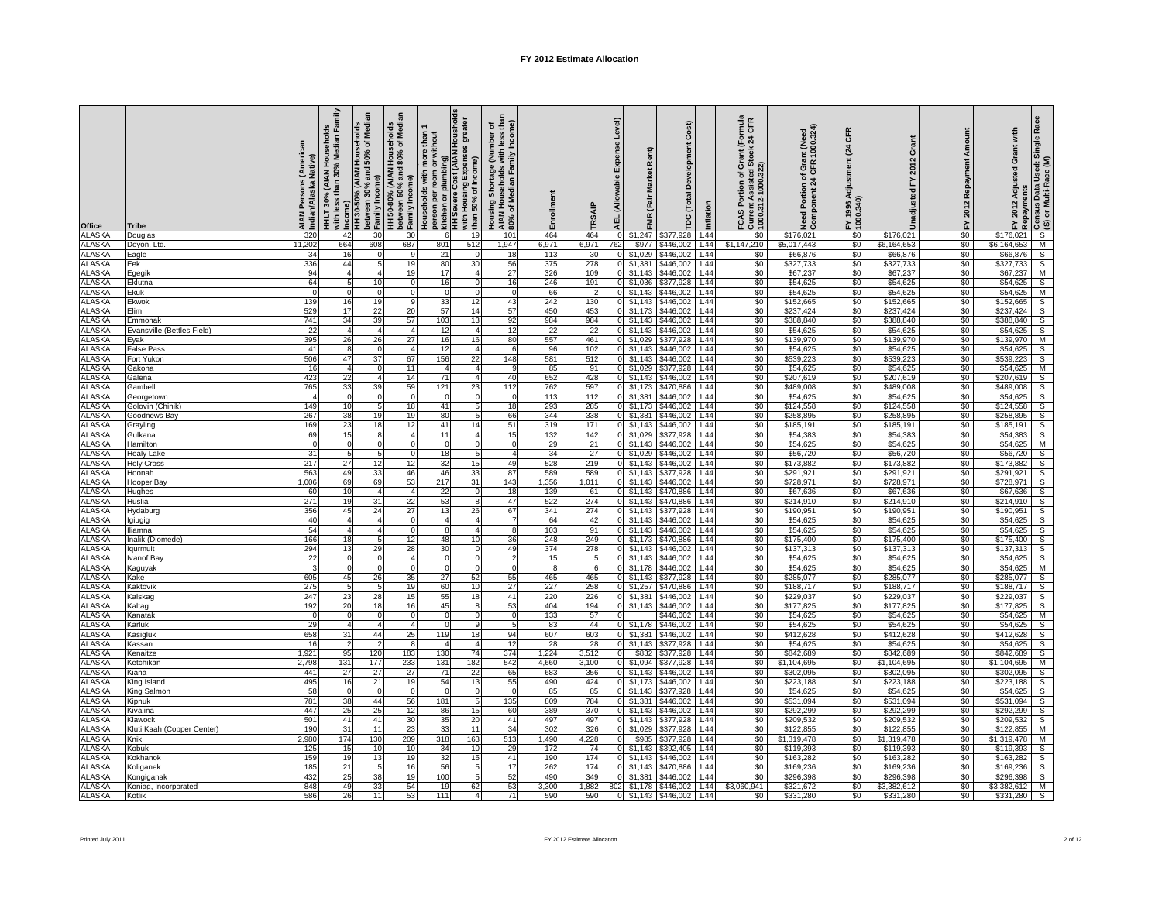| Office                         | <b>Tribe</b>                                                                                                                                                                                                                                                                                                                                                                                                                                                                                                                                                                                              | AIAN Persons (American<br>ndian/Alaska Native) | HHLT 30% (AIAN Households<br>with less than 30% Median Family<br>Income)<br>HH 30-50% (AIAN Households | between 30% and 50% of Median<br>Family Income) | HH 50-80% (AIAN Households<br>between 50% and 80% of Median<br>Family Income) | Households with more than 1<br>person per room or without<br>kitchen or plumbing) | HH Severe Cost (AIAN Housholds<br>with Housing Expenses greater<br>than 50% of Income) | Housing Shortage (Number of<br>AIAN Households with less than<br>80% of Median Family Income) | Enrollment   | TRSAIP                | Level)<br>ense<br>Ēxp<br>wable<br>(Allo<br>AEL | Market Rent)<br>FMR (Fair | Cost)<br>Development<br><b>TDC</b> (Total | Inflation    | FCAS Portion of Grant (Formula<br>Current Assisted Stock 24 CFR<br>1000.312-1000.322) | Need Portion of Grant (Need<br>Component 24 CFR 1000.324) | (24 CFR<br>Adjustment<br>FY 1996 A<br>1000.340) | Unadjusted FY 2012 Grant | FY 2012 Repayment Amount | Race<br>2012 Adjusted Grant with<br>)¤<br>Aepayments<br>Census Data Used: Single<br>⊘ (S) or Multi-Race (M)<br>놊                                                                   |
|--------------------------------|-----------------------------------------------------------------------------------------------------------------------------------------------------------------------------------------------------------------------------------------------------------------------------------------------------------------------------------------------------------------------------------------------------------------------------------------------------------------------------------------------------------------------------------------------------------------------------------------------------------|------------------------------------------------|--------------------------------------------------------------------------------------------------------|-------------------------------------------------|-------------------------------------------------------------------------------|-----------------------------------------------------------------------------------|----------------------------------------------------------------------------------------|-----------------------------------------------------------------------------------------------|--------------|-----------------------|------------------------------------------------|---------------------------|-------------------------------------------|--------------|---------------------------------------------------------------------------------------|-----------------------------------------------------------|-------------------------------------------------|--------------------------|--------------------------|------------------------------------------------------------------------------------------------------------------------------------------------------------------------------------|
| <b>ALASKA</b>                  | Douglas                                                                                                                                                                                                                                                                                                                                                                                                                                                                                                                                                                                                   | 320                                            | 42                                                                                                     | 30                                              | 30                                                                            |                                                                                   | 19                                                                                     | 101                                                                                           | 464          | 464                   | $\overline{0}$                                 | \$1,247                   | \$377,928                                 | 1.44         | \$0                                                                                   | \$176,021                                                 | \$0                                             | \$176,021                | \$0                      | \$176,021                                                                                                                                                                          |
| <b>ALASKA</b><br><b>ALASKA</b> | Doyon, Ltd.<br>Eagle                                                                                                                                                                                                                                                                                                                                                                                                                                                                                                                                                                                      | 11,202<br>34                                   | 664<br>16                                                                                              | 608<br>$\mathbf 0$                              | 687<br>-9                                                                     | 801<br>21                                                                         | 512<br>$\mathbf 0$                                                                     | 1,947<br>18                                                                                   | 6,971<br>113 | 6,971<br>30           | 762<br>$\Omega$                                | \$977<br>\$1,029          | \$446,002<br>\$446,002                    | 1.44<br>1.44 | \$1,147,210<br>\$0                                                                    | \$5,017,443<br>\$66,876                                   | \$0<br>\$0                                      | \$6,164,653<br>\$66,876  | \$0<br>\$0               | М<br>\$6,164,653<br>\$66,876                                                                                                                                                       |
| <b>ALASKA</b>                  | Eek                                                                                                                                                                                                                                                                                                                                                                                                                                                                                                                                                                                                       | 336                                            | 44                                                                                                     | 5                                               | 19                                                                            | 80                                                                                | 30                                                                                     | 56                                                                                            | 375          | 278                   |                                                | \$1,381                   | \$446,002                                 | 1.44         | \$0                                                                                   | \$327,733                                                 | \$0                                             | \$327,733                | \$0                      | $\frac{S}{S}$<br>\$327,733                                                                                                                                                         |
| <b>ALASKA</b>                  | Egegik                                                                                                                                                                                                                                                                                                                                                                                                                                                                                                                                                                                                    | 94                                             | $\overline{4}$                                                                                         | 4                                               | 19                                                                            | 17                                                                                | $\overline{4}$                                                                         | 27                                                                                            | 326          | 109                   |                                                | \$1,143                   | \$446,002                                 | 1.44         | \$0                                                                                   | \$67,237                                                  | \$0                                             | \$67,237                 | \$0                      | M<br>S<br>\$67,237                                                                                                                                                                 |
| <b>ALASKA</b>                  | Eklutna                                                                                                                                                                                                                                                                                                                                                                                                                                                                                                                                                                                                   | 64                                             |                                                                                                        | 10                                              |                                                                               | 16                                                                                | $^{\circ}$                                                                             | 16                                                                                            | 246          | 191                   |                                                | \$1,036                   | \$377,928                                 | 1.44         | \$0                                                                                   | \$54,625                                                  | \$0                                             | \$54,625                 | \$0                      | \$54,625                                                                                                                                                                           |
| <b>ALASKA</b><br><b>ALASKA</b> | Ekuk<br>Ekwok                                                                                                                                                                                                                                                                                                                                                                                                                                                                                                                                                                                             | $\Omega$<br>139                                | $\Omega$<br>16                                                                                         | $\Omega$<br>19                                  | $\Omega$<br>9                                                                 | $\mathbf 0$<br>33                                                                 | $\mathbf 0$<br>12                                                                      | 43                                                                                            | 66<br>242    | $\overline{2}$<br>130 | $\Omega$                                       | \$1,143<br>\$1.143        | \$446,002<br>\$446.002                    | 1.44<br>1.44 | \$0<br>\$0                                                                            | \$54,625<br>\$152,665                                     | \$0<br>\$0                                      | \$54,625<br>\$152,665    | \$0<br>\$0               | \$54.625<br>M<br>\$152,665<br>$S_{-}$                                                                                                                                              |
| <b>ALASKA</b>                  | Elim                                                                                                                                                                                                                                                                                                                                                                                                                                                                                                                                                                                                      | 529                                            | 17                                                                                                     | 22                                              | 20                                                                            | 57                                                                                | 14                                                                                     | 57                                                                                            | 450          | 453                   |                                                | \$1,173                   | \$446,002                                 | 1.44         | \$0                                                                                   | \$237,424                                                 | \$0                                             | \$237,424                | \$0                      | \$237,424<br>s.                                                                                                                                                                    |
| <b>ALASKA</b>                  | Emmonak                                                                                                                                                                                                                                                                                                                                                                                                                                                                                                                                                                                                   | 741                                            | 34                                                                                                     | 39                                              | 57                                                                            | 103                                                                               | 13                                                                                     | 92                                                                                            | 984          | 984                   |                                                | \$1,143                   | \$446,002                                 | 1.44         | \$0                                                                                   | \$388,840                                                 | \$0                                             | \$388,840                | \$0                      | \$388,840<br>$\mathsf{s}$                                                                                                                                                          |
| <b>ALASKA</b>                  | Evansville (Bettles Field)                                                                                                                                                                                                                                                                                                                                                                                                                                                                                                                                                                                | 22                                             | $\overline{4}$                                                                                         | 4                                               | $\overline{4}$                                                                | 12                                                                                | $\overline{4}$                                                                         | 12                                                                                            | 22           | 22                    |                                                | \$1,143                   | \$446,002                                 | 1.44         | \$0                                                                                   | \$54,625                                                  | \$0                                             | \$54,625                 | \$0                      | $\mathsf{s}$<br>\$54,625                                                                                                                                                           |
| <b>ALASKA</b><br><b>ALASKA</b> | Eyak                                                                                                                                                                                                                                                                                                                                                                                                                                                                                                                                                                                                      | 395<br>41                                      | 26<br>8                                                                                                | 26                                              | 27<br>$\overline{4}$                                                          | 16<br>12                                                                          | 16<br>$\overline{4}$                                                                   | 80<br>- 6                                                                                     | 557<br>96    | 461<br>102            | $\mathbf{0}$                                   | \$1,029<br>\$1,143        | \$377,928<br>\$446,002                    | 1.44<br>1.44 | \$0<br>\$0                                                                            | \$139,970<br>\$54,625                                     | \$0<br>\$0                                      | \$139,970<br>\$54,625    | \$0<br>\$0               | M<br>\$139,970<br>$\mathsf{s}$<br>\$54,625                                                                                                                                         |
| <b>ALASKA</b>                  | False Pass<br>Fort Yukon                                                                                                                                                                                                                                                                                                                                                                                                                                                                                                                                                                                  | 506                                            | 47                                                                                                     | $\mathbf 0$<br>37                               | 67                                                                            | 156                                                                               | 22                                                                                     | 148                                                                                           | 581          | 512                   |                                                | \$1,143                   | \$446,002                                 | 1.44         | \$0                                                                                   | \$539,223                                                 | \$0                                             | \$539,223                | \$0                      | $\mathsf{s}$<br>\$539,223                                                                                                                                                          |
| <b>ALASKA</b>                  | Gakona                                                                                                                                                                                                                                                                                                                                                                                                                                                                                                                                                                                                    | 16                                             | $\overline{4}$                                                                                         | 0                                               | 11                                                                            | $\overline{4}$                                                                    |                                                                                        |                                                                                               | 85           | 91                    |                                                | \$1,029                   | \$377,928                                 | 1.44         | \$0                                                                                   | \$54,625                                                  | \$0                                             | \$54,625                 | \$0                      | \$54,625                                                                                                                                                                           |
| <b>ALASKA</b>                  | <b>Galena</b>                                                                                                                                                                                                                                                                                                                                                                                                                                                                                                                                                                                             | 423                                            | 22                                                                                                     | $\overline{4}$                                  | 14                                                                            | 71                                                                                | $\Delta$                                                                               | 40                                                                                            | 652          | 428                   |                                                | \$1,143                   | \$446,002                                 | 1.44         | \$0                                                                                   | \$207,619                                                 | \$0                                             | \$207,619                | \$0                      | \$207,619                                                                                                                                                                          |
| <b>ALASKA</b>                  | Gambell                                                                                                                                                                                                                                                                                                                                                                                                                                                                                                                                                                                                   | 765                                            | 33<br>$\Omega$                                                                                         | 39                                              | 59                                                                            | 121<br>$\Omega$                                                                   | 23                                                                                     | 112                                                                                           | 762          | 597<br>112            |                                                | \$1,173                   | \$470,886                                 | 1.44         | \$0                                                                                   | \$489,008                                                 | \$0                                             | \$489,008                | \$0                      | \$489,008                                                                                                                                                                          |
| <b>ALASKA</b><br><b>ALASKA</b> | Georgetown<br>Golovin (Chinik)                                                                                                                                                                                                                                                                                                                                                                                                                                                                                                                                                                            | 149                                            | 10                                                                                                     | $\Omega$<br>5                                   | $\Omega$<br>18                                                                | 41                                                                                | $\Omega$<br>5                                                                          | 18                                                                                            | 113<br>293   | 285                   |                                                | \$1,381<br>\$1,173        | \$446,002<br>\$446,002                    | 1.44<br>1.44 | \$0<br>\$0                                                                            | \$54,625<br>\$124,558                                     | \$0<br>\$0                                      | \$54,625<br>\$124,558    | \$0<br>\$0               | \$54,625<br>\$124,558                                                                                                                                                              |
| <b>ALASKA</b>                  | Goodnews Bay                                                                                                                                                                                                                                                                                                                                                                                                                                                                                                                                                                                              | 267                                            | 38                                                                                                     | 19                                              | 19                                                                            | 80                                                                                | 5                                                                                      | 66                                                                                            | 344          | 338                   |                                                | \$1,381                   | \$446,002                                 | 1.44         | \$0                                                                                   | \$258,895                                                 | \$0                                             | \$258,895                | \$0                      | \$258,895                                                                                                                                                                          |
| <b>ALASKA</b>                  | <b>Grayling</b>                                                                                                                                                                                                                                                                                                                                                                                                                                                                                                                                                                                           | 169                                            | 23                                                                                                     | 18                                              | 12                                                                            | 41                                                                                | 14                                                                                     | 51                                                                                            | 319          | 171                   |                                                | \$1,143                   | \$446,002                                 | 1.44         | \$0                                                                                   | \$185,191                                                 | \$0                                             | \$185,191                | \$0                      | \$185,191                                                                                                                                                                          |
| ALASKA                         | Gulkana                                                                                                                                                                                                                                                                                                                                                                                                                                                                                                                                                                                                   | 69                                             | 15                                                                                                     | 8                                               |                                                                               | 11                                                                                | $\overline{4}$                                                                         | 15                                                                                            | 132          | 142                   | $\overline{0}$                                 | \$1,029                   | \$377,928                                 | 1.44         | \$0                                                                                   | \$54,383                                                  | \$0                                             | \$54,383                 | \$0                      | \$54,383                                                                                                                                                                           |
| <b>ALASKA</b><br>ALASKA        | Hamilton<br>Healy Lake                                                                                                                                                                                                                                                                                                                                                                                                                                                                                                                                                                                    | $\overline{0}$<br>31                           | $\overline{0}$<br>5                                                                                    | $\overline{0}$<br>5                             | $^{\circ}$<br>$^{\circ}$                                                      | $\overline{\mathbf{0}}$<br>18                                                     | $\mathbf 0$<br>5                                                                       | $^{\circ}$<br>$\overline{4}$                                                                  | 29<br>34     | 21<br>27              | $\overline{0}$                                 | $0$ \$1,143<br>\$1,029    | \$446,002<br>\$446,002                    | 1.44<br>1.44 | \$0<br>\$0                                                                            | \$54,625<br>\$56,720                                      | \$0<br>\$0                                      | \$54,625<br>\$56,720     | \$0<br>\$0               | \$54,625<br>\$56,720                                                                                                                                                               |
| <b>ALASKA</b>                  | <b>Holy Cross</b>                                                                                                                                                                                                                                                                                                                                                                                                                                                                                                                                                                                         | 217                                            | 27                                                                                                     | 12                                              | 12                                                                            |                                                                                   | 15                                                                                     | 49                                                                                            | 528          | 219                   |                                                | \$1,143                   | \$446,002                                 | 1.44         | \$0                                                                                   | \$173,882                                                 | \$0                                             | \$173,882                |                          | $\left \alpha\right $ o $\left \alpha\right $ o $\left \alpha\right $ o $\left \alpha\right $ o $\left \alpha\right $ o $\left \alpha\right $ o $\left \alpha\right $<br>\$173,882 |
| <b>ALASKA</b>                  | Hoonah                                                                                                                                                                                                                                                                                                                                                                                                                                                                                                                                                                                                    | 563                                            | 49                                                                                                     | 33                                              | 46                                                                            | $\frac{32}{46}$                                                                   | 33                                                                                     | 87                                                                                            | 589          | 589                   |                                                | \$1,143                   | \$377,928                                 | 1.44         | \$0                                                                                   | \$291,921                                                 | \$0                                             | \$291,921                | \$0<br>\$0               | \$291,921                                                                                                                                                                          |
| <b>ALASKA</b>                  | Hooper Bay                                                                                                                                                                                                                                                                                                                                                                                                                                                                                                                                                                                                | 1,006                                          | 69                                                                                                     | 69                                              | 53                                                                            | 217                                                                               | 31                                                                                     | 143                                                                                           | 1,356        | 1,011                 |                                                | \$1,143                   | \$446,002                                 | 1.44         | \$0                                                                                   | \$728,971                                                 | \$0                                             | \$728,971                | \$0                      | \$728,971                                                                                                                                                                          |
| <b>ALASKA</b><br><b>ALASKA</b> | Hughes<br>Huslia                                                                                                                                                                                                                                                                                                                                                                                                                                                                                                                                                                                          | 60<br>271                                      | 10<br>19                                                                                               | $\overline{4}$<br>31                            | 22                                                                            | 22<br>53                                                                          | $\mathbf 0$<br>8                                                                       | 18<br>47                                                                                      | 139<br>522   | 61<br>274             | $\Omega$<br>$\Omega$                           | \$1,143<br>\$1,143        | \$470,886<br>\$470,886                    | 1.44<br>1.44 | \$0<br>\$0                                                                            | \$67,636<br>\$214,910                                     | \$0<br>\$0                                      | \$67,636<br>\$214,910    | \$0<br>\$0               | \$67,636<br>\$214,910<br>S                                                                                                                                                         |
| <b>ALASKA</b>                  | Hydaburg                                                                                                                                                                                                                                                                                                                                                                                                                                                                                                                                                                                                  | 356                                            | 45                                                                                                     | 24                                              | 27                                                                            | 13                                                                                | 26                                                                                     | 67                                                                                            | 341          | 274                   | $\Omega$                                       | \$1,143                   | \$377,928                                 | 1.44         | \$0                                                                                   | \$190,951                                                 | \$0                                             | \$190,951                | \$0                      | \$190,951<br>S                                                                                                                                                                     |
| <b>ALASKA</b>                  | giugig                                                                                                                                                                                                                                                                                                                                                                                                                                                                                                                                                                                                    | 40                                             | $\overline{4}$                                                                                         | $\overline{4}$                                  | $^{\circ}$                                                                    | $\overline{4}$                                                                    | $\overline{4}$                                                                         | $\overline{7}$                                                                                | 64           | 42                    |                                                | \$1,143                   | \$446,002                                 | 1.44         | \$0                                                                                   | \$54,625                                                  | \$0                                             | \$54,625                 | \$0                      | S<br>\$54,625                                                                                                                                                                      |
| <b>ALASKA</b>                  | liamna                                                                                                                                                                                                                                                                                                                                                                                                                                                                                                                                                                                                    | 54                                             | $\overline{4}$                                                                                         | 4                                               | $\mathbf 0$                                                                   | 8                                                                                 | $\overline{4}$                                                                         | 8                                                                                             | 103          | 91                    | $\Omega$                                       | \$1,143                   | \$446,002                                 | 1.44         | \$0                                                                                   | \$54,625                                                  | \$0                                             | \$54,625                 | \$0                      | \$54,625<br>$\mathsf{s}$                                                                                                                                                           |
| <b>ALASKA</b>                  | Inalik (Diomede)                                                                                                                                                                                                                                                                                                                                                                                                                                                                                                                                                                                          | 166                                            | 18                                                                                                     | 5                                               | 12                                                                            | 48                                                                                | 10                                                                                     | 36                                                                                            | 248          | 249                   | $\overline{0}$<br>$\Omega$                     | \$1,173                   | \$470,886                                 | 1.44         | \$0<br>\$0                                                                            | \$175,400                                                 | \$0                                             | \$175,400                | \$0<br>\$0               | $\mathsf{s}$<br>\$175,400<br>$\overline{s}$                                                                                                                                        |
| <b>ALASKA</b><br><b>ALASKA</b> | qurmuit<br>vanof Ba                                                                                                                                                                                                                                                                                                                                                                                                                                                                                                                                                                                       | 294<br>22                                      | 13<br>$\Omega$                                                                                         | 29<br>0                                         | 28                                                                            | 30<br>$\Omega$                                                                    | $\mathbf 0$<br>$^{\circ}$                                                              | 49<br>$\overline{2}$                                                                          | 374<br>15    | 278<br>- 5            |                                                | \$1,143<br>\$1,143        | \$446,002<br>\$446,002                    | 1.44<br>1.44 | \$0                                                                                   | \$137,313<br>\$54,625                                     | \$0<br>\$0                                      | \$137,313<br>\$54,625    | \$0                      | \$137,313<br>S<br>\$54,625                                                                                                                                                         |
| <b>ALASKA</b>                  | Kaguyak                                                                                                                                                                                                                                                                                                                                                                                                                                                                                                                                                                                                   |                                                | $\Omega$                                                                                               | 0                                               |                                                                               | $\Omega$                                                                          | $^{\circ}$                                                                             | $\Omega$                                                                                      | 8            | -6                    |                                                | \$1,178                   | \$446,002                                 | 1.44         | \$0                                                                                   | \$54,625                                                  | \$0                                             | \$54,625                 | \$0                      | \$54,625<br>M                                                                                                                                                                      |
| <b>ALASKA</b>                  | Kake                                                                                                                                                                                                                                                                                                                                                                                                                                                                                                                                                                                                      | 605                                            | 45                                                                                                     | 26                                              | 35                                                                            | 27                                                                                | 52                                                                                     | 55                                                                                            | 465          | 465                   | $\Omega$                                       | \$1,143                   | \$377,928                                 | 1.44         | \$0                                                                                   | \$285,077                                                 | \$0                                             | \$285,077                | \$0                      | S<br>\$285,077                                                                                                                                                                     |
| <b>ALASKA</b>                  | <b>Kaktovil</b>                                                                                                                                                                                                                                                                                                                                                                                                                                                                                                                                                                                           | 275                                            |                                                                                                        | 5                                               | 19                                                                            | 60                                                                                | 10                                                                                     | 27                                                                                            | 227          | 258                   |                                                | \$1,257                   | \$470.886<br>\$446.002                    | 1.44         | \$0                                                                                   | \$188,717                                                 | \$0                                             | \$188,717                | \$0                      | \$188,717<br>S                                                                                                                                                                     |
| <b>ALASKA</b><br><b>ALASKA</b> | <b>Kalskac</b><br><b>Caltag</b>                                                                                                                                                                                                                                                                                                                                                                                                                                                                                                                                                                           | 247<br>192                                     | 23<br>20                                                                                               | 28<br>18                                        | 15<br>16                                                                      | 55<br>45                                                                          | 18<br>8                                                                                | 41<br>53                                                                                      | 220<br>404   | 226<br>194            |                                                | \$1,381<br>\$1,143        | \$446,002                                 | 1.44<br>1.44 | \$0<br>\$0                                                                            | \$229,037<br>\$177,825                                    | \$0<br>\$0                                      | \$229,037<br>\$177,825   | \$0<br>\$0               | \$229,037<br>S<br>\$177,825<br>S                                                                                                                                                   |
| ALASKA                         | Kanatak                                                                                                                                                                                                                                                                                                                                                                                                                                                                                                                                                                                                   | $\overline{0}$                                 | $\Omega$                                                                                               | 0                                               | $\overline{0}$                                                                | $\overline{0}$                                                                    | $\overline{0}$                                                                         |                                                                                               | 133          | 57                    |                                                |                           | \$446,002                                 | 1.44         | \$0                                                                                   | \$54,625                                                  | \$0                                             | \$54,625                 | \$0                      | \$54,625<br>М                                                                                                                                                                      |
| <b>ALASKA</b>                  | Karluk                                                                                                                                                                                                                                                                                                                                                                                                                                                                                                                                                                                                    | 29                                             |                                                                                                        | 4                                               |                                                                               | $\overline{0}$                                                                    | 9                                                                                      | 5                                                                                             | 83           | 44                    |                                                | $0$ \$1,178               | \$446,002                                 | 1.44         | \$0                                                                                   | \$54,625                                                  | \$0                                             | \$54,625                 | \$0                      | S<br>\$54,625                                                                                                                                                                      |
| <b>ALASKA</b>                  | Kasigluk                                                                                                                                                                                                                                                                                                                                                                                                                                                                                                                                                                                                  | 658                                            | 31                                                                                                     | 44                                              | 25                                                                            | 119                                                                               | 18                                                                                     | 94                                                                                            | 607          | 603                   | $\overline{0}$                                 | \$1,381                   | \$446,002                                 | 1.44         | \$0                                                                                   | \$412,628                                                 | \$0                                             | \$412,628                | \$0                      | S<br>\$412,628                                                                                                                                                                     |
| <b>ALASKA</b><br><b>ALASKA</b> | Kassan<br><enaitze< td=""><td>16<br/>1,921</td><td><math>\overline{2}</math><br/>95</td><td><math>\overline{2}</math><br/>120</td><td>8<br/>183</td><td>130</td><td><math>\overline{4}</math><br/>74</td><td>12<br/>374</td><td>28<br/>1,224</td><td>28<br/>3,512</td><td><math>\overline{0}</math></td><td>\$1,143<br/>\$832</td><td>\$377,928<br/>\$377,928</td><td>1.44<br/>1.44</td><td>\$0<br/>\$0</td><td>\$54,625<br/>\$842,689</td><td>\$0<br/>\$0</td><td>\$54,625<br/>\$842,689</td><td>\$0<br/>\$0</td><td>s<br/>\$54,625<br/><math>\overline{\mathsf{s}}</math><br/>\$842,689</td></enaitze<> | 16<br>1,921                                    | $\overline{2}$<br>95                                                                                   | $\overline{2}$<br>120                           | 8<br>183                                                                      | 130                                                                               | $\overline{4}$<br>74                                                                   | 12<br>374                                                                                     | 28<br>1,224  | 28<br>3,512           | $\overline{0}$                                 | \$1,143<br>\$832          | \$377,928<br>\$377,928                    | 1.44<br>1.44 | \$0<br>\$0                                                                            | \$54,625<br>\$842,689                                     | \$0<br>\$0                                      | \$54,625<br>\$842,689    | \$0<br>\$0               | s<br>\$54,625<br>$\overline{\mathsf{s}}$<br>\$842,689                                                                                                                              |
| <b>ALASKA</b>                  | Ketchikan                                                                                                                                                                                                                                                                                                                                                                                                                                                                                                                                                                                                 | 2,798                                          | 131                                                                                                    | 177                                             | 233                                                                           | 131                                                                               | 182                                                                                    | 542                                                                                           | 4,660        | 3,100                 |                                                | \$1,094                   | \$377,928                                 | 1.44         | \$0                                                                                   | \$1,104,695                                               | \$0                                             | \$1,104,695              | \$0                      | \$1,104,695                                                                                                                                                                        |
| <b>ALASKA</b>                  | Kiana                                                                                                                                                                                                                                                                                                                                                                                                                                                                                                                                                                                                     | 441                                            | 27                                                                                                     | 27                                              | 27                                                                            | 71                                                                                | 22                                                                                     | 65                                                                                            | 683          | 356                   |                                                | \$1,143                   | \$446,002                                 | 1.44         | \$0                                                                                   | \$302,095                                                 | \$0                                             | \$302,095                | \$0                      | $\frac{M}{S}$<br>\$302,095                                                                                                                                                         |
| <b>ALASKA</b>                  | King Island                                                                                                                                                                                                                                                                                                                                                                                                                                                                                                                                                                                               | 495                                            | 16                                                                                                     | 21                                              | 19                                                                            | 54                                                                                | 13                                                                                     | 55                                                                                            | 490          | 424                   |                                                | \$1,173                   | \$446,002                                 | 1.44         | \$0                                                                                   | \$223,188                                                 | \$0                                             | \$223,188                | \$0                      | \$223,188                                                                                                                                                                          |
| <b>ALASKA</b><br><b>ALASKA</b> | King Salmon<br>Kipnuk                                                                                                                                                                                                                                                                                                                                                                                                                                                                                                                                                                                     | 58<br>781                                      | $\Omega$<br>38                                                                                         | 0<br>44                                         | $\Omega$<br>56                                                                | $\mathbf 0$<br>181                                                                | $\mathbf 0$<br>5                                                                       | - 0<br>135                                                                                    | 85<br>809    | 85<br>784             | $\Omega$                                       | \$1,143<br>\$1,381        | \$377,928<br>\$446,002                    | 1.44<br>1.44 | \$0<br>\$0                                                                            | \$54,625<br>\$531,094                                     | \$0<br>\$0                                      | \$54,625<br>\$531,094    | \$0<br>\$0               | $\mathsf{s}$<br>\$54,625<br>\$531,094<br>$\mathsf{s}$                                                                                                                              |
| <b>ALASKA</b>                  | Kivalina                                                                                                                                                                                                                                                                                                                                                                                                                                                                                                                                                                                                  | 447                                            | 25                                                                                                     | 25                                              | 12                                                                            | 86                                                                                | 15                                                                                     | 60                                                                                            | 389          | 370                   |                                                | \$1,143                   | \$446,002                                 | 1.44         | \$0                                                                                   | \$292,299                                                 | \$0                                             | \$292,299                | \$0                      | \$292,299<br>$\mathsf{s}$                                                                                                                                                          |
| <b>ALASKA</b>                  | <b>Klawock</b>                                                                                                                                                                                                                                                                                                                                                                                                                                                                                                                                                                                            | 501                                            | 41                                                                                                     | 41                                              | 30                                                                            | 35                                                                                | 20                                                                                     | 41                                                                                            | 497          | 497                   |                                                | \$1,143                   | \$377,928                                 | 1.44         | \$0                                                                                   | \$209,532                                                 | \$0                                             | \$209,532                | \$0                      | $\mathsf{s}$<br>\$209,532                                                                                                                                                          |
| <b>ALASKA</b>                  | Kluti Kaah (Copper Center)                                                                                                                                                                                                                                                                                                                                                                                                                                                                                                                                                                                | 190                                            | 31                                                                                                     | 11                                              | 23                                                                            | 33                                                                                | 11                                                                                     | 34                                                                                            | 302          | 326                   | $\Omega$                                       | \$1,029                   | \$377,928                                 | 1.44         | \$0                                                                                   | \$122,855                                                 | \$0                                             | \$122,855                | \$0                      | M<br>\$122,855                                                                                                                                                                     |
| <b>ALASKA</b><br><b>ALASKA</b> | Knik<br>Kobuk                                                                                                                                                                                                                                                                                                                                                                                                                                                                                                                                                                                             | 2,980<br>125                                   | 174<br>15                                                                                              | 130<br>10                                       | 209<br>10                                                                     | 318<br>34                                                                         | 163<br>10                                                                              | 513<br>29                                                                                     | 1,490<br>172 | 4,228<br>74           | $\mathbf 0$<br>$\mathbf 0$                     | \$985<br>\$1,143          | \$377,928<br>\$392,405                    | 1.44<br>1.44 | \$0<br>\$0                                                                            | \$1,319,478<br>\$119,393                                  | \$0<br>\$0                                      | \$1,319,478<br>\$119,393 | \$0<br>\$0               | M<br>\$1,319,478<br>$\mathsf{s}$<br>\$119,393                                                                                                                                      |
| <b>ALASKA</b>                  | <b>Kokhanok</b>                                                                                                                                                                                                                                                                                                                                                                                                                                                                                                                                                                                           | 159                                            | 19                                                                                                     | 13                                              | 19                                                                            | 32                                                                                | 15                                                                                     | 41                                                                                            | 190          | 174                   |                                                | \$1,143                   | \$446,002                                 | 1.44         | \$0                                                                                   | \$163,282                                                 | \$0                                             | \$163,282                | \$0                      | \$163,282                                                                                                                                                                          |
| ALASKA                         | Koliganek                                                                                                                                                                                                                                                                                                                                                                                                                                                                                                                                                                                                 | 185                                            | 21                                                                                                     |                                                 | 16                                                                            | 56                                                                                | $\overline{5}$                                                                         | 17                                                                                            | 262          | 174                   |                                                | \$1.143                   | \$470,886                                 | 1.44         | \$0                                                                                   | \$169,236                                                 | \$0                                             | \$169,236                | \$0                      | \$169,236                                                                                                                                                                          |
| <b>ALASKA</b>                  | Kongiganak                                                                                                                                                                                                                                                                                                                                                                                                                                                                                                                                                                                                | 432                                            | 25                                                                                                     | 38                                              | 19                                                                            | 100                                                                               |                                                                                        | 52                                                                                            | 490          | 349                   |                                                | \$1,381                   | \$446,002                                 | 1.44         | \$0                                                                                   | \$296,398                                                 | \$0                                             | \$296,398                | \$0                      | $\left  \alpha \right  \leq \left  \alpha \right  \leq \left  \alpha \right $<br>\$296,398                                                                                         |
| <b>ALASKA</b>                  | Koniag, Incorporated                                                                                                                                                                                                                                                                                                                                                                                                                                                                                                                                                                                      | 848                                            | 49                                                                                                     | 33                                              | 54                                                                            | 19                                                                                | 62                                                                                     | 53                                                                                            | 3,300        | 1,882                 | 802                                            | \$1,178                   | \$446.002                                 | 1.44         | \$3,060,941                                                                           | \$321,672                                                 | \$0                                             | \$3,382,612              | \$0                      | \$3,382,612                                                                                                                                                                        |
| <b>ALASKA</b>                  | Kotlik                                                                                                                                                                                                                                                                                                                                                                                                                                                                                                                                                                                                    | 586                                            | 26                                                                                                     | 11                                              | 53                                                                            | 111                                                                               |                                                                                        | 71                                                                                            | 590          | 590                   |                                                | \$1,143                   | \$446,002                                 | 1.44         | \$0                                                                                   | \$331,280                                                 | \$0                                             | \$331,280                | \$0                      | \$331,280                                                                                                                                                                          |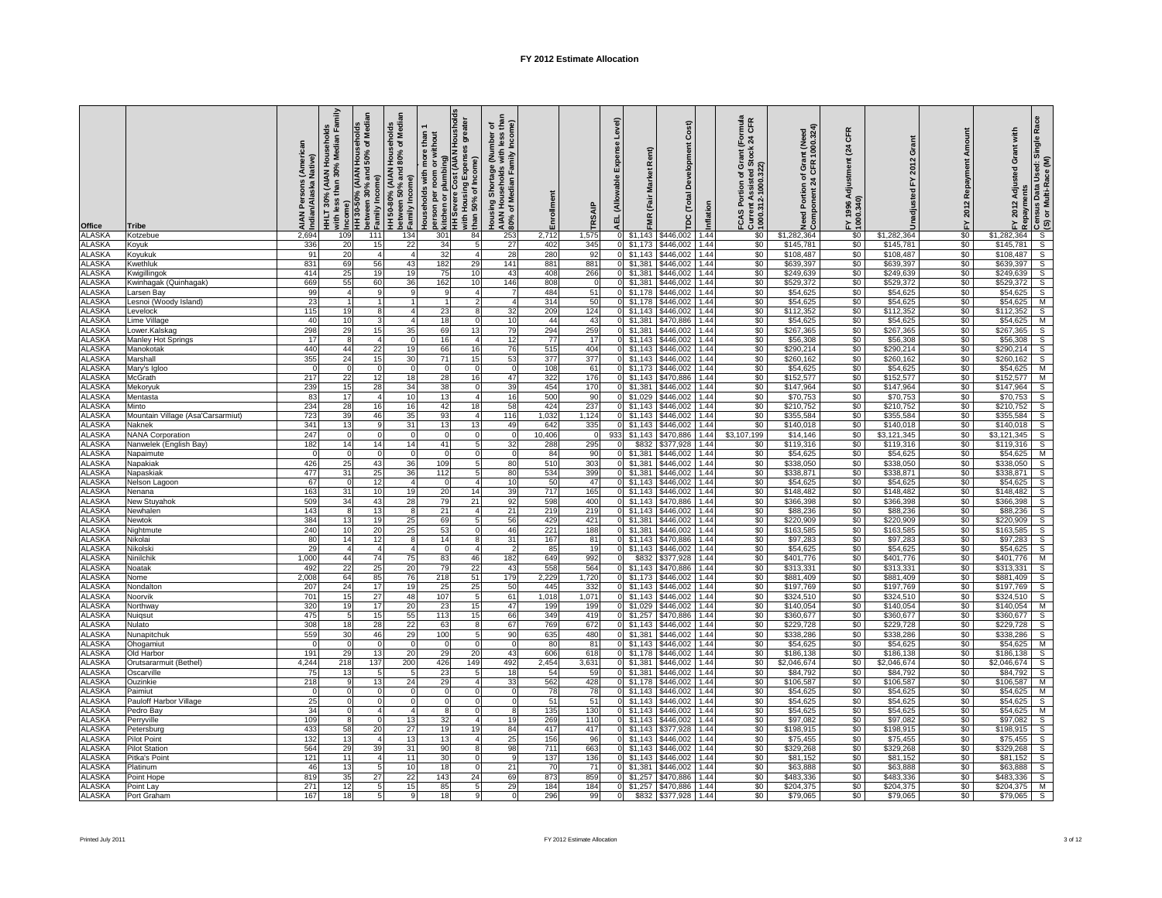| Office                         | <b>Tribe</b>                           | AIAN Persons (American<br>Indian/Alaska Native) | HHLT 30% (AIAN Households<br>with less than 30% Median Family<br>Income) | between 30% and 50% of Median<br>Family Income)<br>HH 30-50% (AIAN Households | HH 50-80% (AIAN Households<br>between 50% and 80% of Medi<br>Family Income) | Households with more than 1<br>person per room or without<br>kitchen or plumbing) | HH Severe Cost (AIAN Housholds<br>with Housing Expenses greater<br>than 50% of Income) | Housing Shortage (Number of<br>AIAN Households with less than<br>80% of Median Family Income) | Enrollment   | TRSAIP         | Level)<br>ense<br>Ēxp<br>wable<br>ÍÄllo<br>AEL | ket Rent)<br>Marl<br>FMR (Fair | Cost)<br>relopment<br>δ<br>Total<br>ë | Inflation           | FCAS Portion of Grant (Formula<br>Current Assisted Stock 24 CFR<br>1000.312-1000.322) | Need Portion of Grant (Need<br>Component 24 CFR 1000.324) | (24 CFR<br>Adjustment<br>FY 1996 A<br>1000.340) | Unadjusted FY 2012 Grant | Repayment Amount<br>FY 2012 | Race<br>Adjusted Grant with<br>° Repayments<br>  Census Data Used: Single R<br>  (S) or Multi-Race (M)<br>2012<br>고 |
|--------------------------------|----------------------------------------|-------------------------------------------------|--------------------------------------------------------------------------|-------------------------------------------------------------------------------|-----------------------------------------------------------------------------|-----------------------------------------------------------------------------------|----------------------------------------------------------------------------------------|-----------------------------------------------------------------------------------------------|--------------|----------------|------------------------------------------------|--------------------------------|---------------------------------------|---------------------|---------------------------------------------------------------------------------------|-----------------------------------------------------------|-------------------------------------------------|--------------------------|-----------------------------|---------------------------------------------------------------------------------------------------------------------|
| <b>ALASKA</b>                  | Kotzebue                               | 2,694                                           | 109                                                                      | 111                                                                           | 134                                                                         | 301                                                                               | 84                                                                                     | 253                                                                                           | 2,712        | 1,575          | $\mathbf 0$                                    | \$1,143                        | \$446,002                             | 1.44                | \$0                                                                                   | \$1,282,364                                               | \$0                                             | \$1,282,364              | \$0                         | $\overline{\mathbf{s}}$<br>\$1,282,364                                                                              |
| <b>ALASKA</b><br><b>ALASKA</b> | Koyuk<br>Koyukuk                       | 336<br>91                                       | 20<br>20                                                                 | 15<br>$\overline{4}$                                                          | 22                                                                          | 34<br>32                                                                          | 5<br>$\overline{4}$                                                                    | 27<br>28                                                                                      | 402<br>280   | 345<br>92      | $\overline{0}$                                 | \$1,173<br>\$1,143             | \$446,002<br>\$446,002                | 1.44<br>1.44        | \$0<br>\$0                                                                            | \$145,781<br>\$108,487                                    | \$0<br>\$0                                      | \$145,781<br>\$108,487   | \$0<br>\$0                  | S<br>\$145,781<br>$\overline{\mathsf{s}}$<br>\$108,487                                                              |
| <b>ALASKA</b>                  | Kwethluk                               | 831                                             | 69                                                                       | 56                                                                            | 43                                                                          | 182                                                                               | 29                                                                                     | 141                                                                                           | 881          | 881            |                                                | \$1,381                        | \$446,002                             | 1.44                | \$0                                                                                   | \$639,397                                                 | \$0                                             | \$639,397                | \$0                         | s<br>\$639,397                                                                                                      |
| <b>ALASKA</b>                  | Kwigillingok                           | 414                                             | 25                                                                       | 19                                                                            | 19                                                                          | 75                                                                                | 10                                                                                     | 43                                                                                            | 408          | 266            |                                                | \$1,381                        | \$446,002                             | 1.44                | \$0                                                                                   | \$249,639                                                 | \$0                                             | \$249,639                | \$0                         | s<br>s<br>\$249,639                                                                                                 |
| <b>ALASKA</b>                  | Kwinhagak (Quinhagak)                  | 669                                             | 55                                                                       | 60                                                                            | 36                                                                          | 162                                                                               | 10                                                                                     | 146                                                                                           | 808          |                |                                                | \$1,381                        | \$446,002                             | 1.44                | \$0                                                                                   | \$529,372                                                 | \$0                                             | \$529,372                | \$0                         | \$529,372                                                                                                           |
| <b>ALASKA</b><br><b>ALASKA</b> | arsen Bay<br>esnoi (Woody Island)      | 99<br>23                                        | $\overline{4}$                                                           | 9<br>$\mathbf{1}$                                                             |                                                                             | 9                                                                                 | $\overline{4}$                                                                         | $\overline{4}$                                                                                | 484<br>314   | 51<br>50       | $\Omega$                                       | \$1,178<br>\$1,178             | \$446.002<br>\$446,002                | 1.44<br>1.44        | \$0<br>\$0                                                                            | \$54.625<br>\$54,625                                      | \$0<br>\$0                                      | \$54,625<br>\$54,625     | \$0<br>\$0                  | \$54,625<br>$\mathbf{s}$<br>\$54,625<br>M                                                                           |
| <b>ALASKA</b>                  | evelock                                | 115                                             | 19                                                                       | $\boldsymbol{8}$                                                              |                                                                             | 23                                                                                | 8                                                                                      | 32                                                                                            | 209          | 124            | $\Omega$                                       | \$1,143                        | \$446,002                             | 1.44                | \$0                                                                                   | \$112,352                                                 | \$0                                             | \$112,352                | \$0                         | S<br>\$112,352                                                                                                      |
| <b>ALASKA</b>                  | ime Village                            | 40                                              | 10                                                                       | 3                                                                             |                                                                             | 18                                                                                | $^{\circ}$                                                                             | 10                                                                                            | 44           | 43             |                                                | \$1,381                        | \$470,886                             | 1.44                | \$0                                                                                   | \$54,625                                                  | \$0                                             | \$54,625                 | \$0                         | M<br>\$54,625                                                                                                       |
| <b>ALASKA</b>                  | _ower.Kalskag                          | 298                                             | 29                                                                       | 15                                                                            | 35                                                                          | 69                                                                                | 13                                                                                     | 79                                                                                            | 294          | 259            | $\Omega$                                       | \$1,381                        | \$446,002                             | 1.44                | \$0                                                                                   | \$267,365                                                 | \$0                                             | \$267,365                | \$0                         | $\mathsf{s}$<br>\$267,365                                                                                           |
| <b>ALASKA</b><br><b>ALASKA</b> | <b>Manley Hot Springs</b>              | 17<br>440                                       | -8<br>44                                                                 | $\overline{a}$<br>22                                                          | $\overline{0}$<br>19                                                        | 16<br>66                                                                          | $\overline{4}$<br>16                                                                   | 12<br>76                                                                                      | 77<br>515    | 17<br>404      | $\circ$<br>$\Omega$                            | \$1,143<br>\$1,143             | \$446,002<br>\$446,002                | 1.44<br>1.44        | \$0<br>\$0                                                                            | \$56,308<br>\$290,214                                     | \$0<br>\$0                                      | \$56,308<br>\$290,214    | \$0<br>\$0                  | S<br>\$56,308<br>$\mathsf{s}$<br>\$290,214                                                                          |
| <b>ALASKA</b>                  | Manokotak<br>Marshall                  | 355                                             | 24                                                                       | 15                                                                            | 30                                                                          | 71                                                                                | 15                                                                                     | 53                                                                                            | 377          | 377            |                                                | \$1,143                        | \$446,002                             | 1.44                | \$0                                                                                   | \$260,162                                                 | \$0                                             | \$260,162                | \$0                         | $\mathsf{s}$<br>\$260,162                                                                                           |
| <b>ALASKA</b>                  | Mary's Igloo                           |                                                 |                                                                          |                                                                               |                                                                             | $\Omega$                                                                          | $\Omega$                                                                               |                                                                                               | 108          | 61             |                                                | \$1,173                        | \$446,002                             | 1.44                | \$0                                                                                   | \$54,625                                                  | \$0                                             | \$54,625                 | \$0                         | M<br>\$54,625                                                                                                       |
| <b>ALASKA</b>                  | McGrath                                | 217                                             | 22                                                                       | 12                                                                            | 18                                                                          | 28                                                                                | 16                                                                                     | 47                                                                                            | 322          | 176            |                                                | \$1,143                        | \$470,886                             | 1.44                | \$0                                                                                   | \$152,577                                                 | \$0                                             | \$152,577                | \$0                         | M<br>S<br>\$152,577                                                                                                 |
| <b>ALASKA</b>                  | Mekoryuk                               | 239                                             | 15                                                                       | 28                                                                            | 34                                                                          | 38                                                                                | $\mathbf 0$                                                                            | 39                                                                                            | 454          | 170            |                                                | \$1,381                        | \$446,002                             | 1.44                | \$0                                                                                   | \$147,964                                                 | \$0                                             | \$147,964                | \$0                         | \$147,964                                                                                                           |
| <b>ALASKA</b><br><b>ALASKA</b> | Vientasta<br>Minto                     | 83<br>234                                       | 17<br>28                                                                 | $\overline{4}$<br>16                                                          | 10<br>16                                                                    | 13<br>42                                                                          | 18                                                                                     | 16<br>58                                                                                      | 500<br>424   | 90<br>237      |                                                | \$1,029<br>\$1,143             | \$446,002<br>\$446,002                | 1.44<br>1.44        | \$0<br>\$0                                                                            | \$70,753<br>\$210,752                                     | \$0<br>\$0                                      | \$70,753<br>\$210,752    | \$0<br>\$0                  | \$70,753<br>\$210,752                                                                                               |
| <b>ALASKA</b>                  | Aountain Village (Asa'Carsarmiut)      | 723                                             | 39                                                                       | 46                                                                            | 35                                                                          | 93                                                                                |                                                                                        | 116                                                                                           | 1,032        | 1,124          |                                                | \$1,143                        | \$446,002                             | 1.44                | \$0                                                                                   | \$355,584                                                 | \$0                                             | \$355,584                | \$0                         | \$355,584                                                                                                           |
| <b>ALASKA</b>                  | Naknek                                 | 341                                             | 13                                                                       | 9                                                                             | 31                                                                          | 13                                                                                | 13                                                                                     | 49                                                                                            | 642          | 335            |                                                | \$1,143                        | \$446,002                             | 1.44                | \$0                                                                                   | \$140,018                                                 | \$0                                             | \$140,018                | \$0                         | \$140,018                                                                                                           |
| <b>ALASKA</b>                  | <b>NANA Corporation</b>                | 247                                             | $\overline{0}$                                                           | $\overline{0}$                                                                | $\Omega$                                                                    | $\overline{0}$                                                                    | $\mathbf 0$                                                                            | $\Omega$                                                                                      | 10,406       | $\overline{0}$ |                                                | 933 \$1,143                    | \$470,886                             | \$3,107,199<br>1.44 |                                                                                       | \$14,146                                                  | \$0                                             | \$3,121,345              | \$0                         | တစ္ခု တစ္ခု တ<br>\$3,121,345                                                                                        |
| <b>ALASKA</b><br><b>ALASKA</b> | Nanwelek (English Bay)<br>Napaimute    | 182<br>0                                        | 14                                                                       | 14<br>$\mathbf 0$                                                             | 14                                                                          | 41<br>$\Omega$                                                                    | 5<br>$\Omega$                                                                          | 32                                                                                            | 288<br>84    | 295<br>90      | $\overline{0}$<br>$\Omega$                     | \$832<br>\$1,381               | \$377,928<br>\$446,002                | 1.44<br>1.44        | \$0<br>\$0                                                                            | \$119,316<br>\$54,625                                     | \$0<br>\$0                                      | \$119,316<br>\$54,625    | \$0<br>\$0                  | \$119,316<br>М<br>\$54,625                                                                                          |
| <b>ALASKA</b>                  | Napakiak                               | 426                                             | 25                                                                       | 43                                                                            | 36                                                                          | 109                                                                               | 5                                                                                      | 80                                                                                            | 510          | 303            |                                                | \$1,381                        | \$446,002                             | 1.44                | \$0                                                                                   | \$338,050                                                 | \$0                                             | \$338,050                | \$0                         | S<br>\$338,050                                                                                                      |
| <b>ALASKA</b>                  | Napaskiak                              | 477                                             | 31                                                                       | 25                                                                            | 36                                                                          | 112                                                                               | 5                                                                                      | 80                                                                                            | 534          | 399            |                                                | \$1,381                        | \$446,002                             | 1.44                | \$0                                                                                   | \$338,871                                                 | \$0                                             | \$338,871                | \$0                         | \$338,871<br>s                                                                                                      |
| <b>ALASKA</b>                  | Nelson Lagoon                          | 67                                              | $\overline{0}$                                                           | 12                                                                            |                                                                             | $^{\circ}$                                                                        | $\overline{4}$                                                                         | 10                                                                                            | 50           | 47             | $\Omega$                                       | \$1,143                        | \$446,002                             | 1.44                | \$0                                                                                   | \$54,625                                                  | \$0                                             | \$54,625                 | \$0                         | S<br>\$54,625                                                                                                       |
| <b>ALASKA</b><br><b>ALASKA</b> | Nenana                                 | 163<br>509                                      | 31<br>34                                                                 | 10<br>43                                                                      | 19<br>28                                                                    | 20<br>79                                                                          | 14<br>21                                                                               | 39<br>92                                                                                      | 717<br>598   | 165<br>400     | $\Omega$<br>$\Omega$                           | \$1,143<br>\$1,143             | \$446,002<br>\$470,886                | 1.44<br>1.44        | \$0<br>\$0                                                                            | \$148,482<br>\$366,398                                    | \$0<br>\$0                                      | \$148,482<br>\$366,398   | \$0<br>\$0                  | \$148,482<br>$\mathsf{s}$<br>S                                                                                      |
| <b>ALASKA</b>                  | <b>Vew Stuyahok</b><br><b>Newhalen</b> | 143                                             | 8                                                                        | 13                                                                            | -8                                                                          | 21                                                                                | $\overline{4}$                                                                         | 21                                                                                            | 219          | 219            |                                                | \$1,143                        | \$446,002                             | 1.44                | \$0                                                                                   | \$88,236                                                  | \$0                                             | \$88,236                 | \$0                         | \$366,398<br>\$88,236<br>S                                                                                          |
| <b>ALASKA</b>                  | Vewtok                                 | 384                                             | 13                                                                       | 19                                                                            | 25                                                                          | 69                                                                                | 5                                                                                      | 56                                                                                            | 429          | 421            | $\Omega$                                       | \$1,381                        | \$446,002                             | 1.44                | \$0                                                                                   | \$220,909                                                 | \$0                                             | \$220,909                | \$0                         | \$220,909<br>s                                                                                                      |
| <b>ALASKA</b>                  | Nightmute                              | 240                                             | 10                                                                       | 20                                                                            | 25                                                                          | 53                                                                                | $\mathbf 0$                                                                            | 46                                                                                            | 221          | 188            | $\Omega$                                       | \$1,381                        | \$446,002                             | 1.44                | \$0                                                                                   | \$163,585                                                 | \$0                                             | \$163,585                | \$0                         | \$163,585<br>$\mathsf{s}$                                                                                           |
| <b>ALASKA</b>                  | Nikolai                                | 80                                              | 14                                                                       | 12                                                                            | 8                                                                           | 14                                                                                | 8                                                                                      | 31                                                                                            | 167          | 81             | $\Omega$                                       | \$1,143                        | \$470,886                             | 1.44                | \$0                                                                                   | \$97,283                                                  | \$0                                             | \$97,283                 | \$0                         | $\mathsf{s}$<br>\$97,283                                                                                            |
| <b>ALASKA</b><br><b>ALASKA</b> | Nikolski<br>Ninilchik                  | 29<br>1,000                                     | $\boldsymbol{\Lambda}$<br>44                                             | $\overline{4}$<br>74                                                          | 75                                                                          | $\Omega$<br>83                                                                    | $\overline{4}$<br>46                                                                   | $\overline{2}$<br>182                                                                         | 85<br>649    | 19<br>992      |                                                | \$1,143<br>\$832               | \$446,002<br>\$377,928                | 1.44<br>1.44        | \$0<br>\$0                                                                            | \$54,625<br>\$401,776                                     | \$0<br>\$0                                      | \$54,625<br>\$401,776    | \$0<br>\$0                  | $\overline{s}$<br>\$54,625<br>\$401,776<br>М                                                                        |
| <b>ALASKA</b>                  | Noatak                                 | 492                                             | 22                                                                       | 25                                                                            | 20                                                                          | 79                                                                                | 22                                                                                     | 43                                                                                            | 558          | 564            |                                                | \$1,143                        | \$470,886                             | 1.44                | \$0                                                                                   | \$313,331                                                 | \$0                                             | \$313,33                 | \$0                         | \$313,331<br>s                                                                                                      |
| <b>ALASKA</b>                  | Vome                                   | 2,008                                           | 64                                                                       | 85                                                                            | 76                                                                          | 218                                                                               | 51                                                                                     | 179                                                                                           | 2,229        | 1,720          | $\Omega$                                       | \$1,173                        | \$446,002                             | 1.44                | \$0                                                                                   | \$881,409                                                 | \$0                                             | \$881,409                | \$0                         | \$881,409<br>$\mathsf{s}$                                                                                           |
| <b>ALASKA</b>                  | Vondalton                              | 207                                             | 24                                                                       | 17                                                                            | 19                                                                          | 25                                                                                | 25                                                                                     | 50                                                                                            | 445          | 332            |                                                | \$1,143                        | \$446,002                             | 1.44                | \$0                                                                                   | \$197,769                                                 | \$0                                             | \$197,769                | \$0                         | S<br>\$197,769                                                                                                      |
| <b>ALASKA</b><br><b>ALASKA</b> | Noorvik                                | 701<br>320                                      | 15<br>19                                                                 | 27<br>17                                                                      | 48<br>20                                                                    | 107<br>23                                                                         | 5<br>15                                                                                | 61<br>47                                                                                      | 1,018<br>199 | 1,071<br>199   |                                                | \$1,143<br>\$1,029             | \$446,002<br>\$446,002                | 1.44<br>1.44        | \$0<br>\$0                                                                            | \$324,510<br>\$140,054                                    | \$0<br>\$0                                      | \$324,510<br>\$140,054   | \$0<br>\$0                  | S<br>\$324,510<br>М<br>\$140,054                                                                                    |
| <b>ALASKA</b>                  | Northway<br>Nuiqsut                    | 475                                             | $\overline{5}$                                                           | 15                                                                            | 55                                                                          | 113                                                                               | 15                                                                                     | 66                                                                                            | 349          | 419            |                                                | \$1,257                        | \$470,886                             | 1.44                | \$0                                                                                   | \$360,677                                                 | \$0                                             | \$360,677                | \$0                         | S<br>\$360,677                                                                                                      |
| <b>ALASKA</b>                  | Nulato                                 | 308                                             | 18                                                                       | 28                                                                            | 22                                                                          | 63                                                                                | 8                                                                                      | 67                                                                                            | 769          | 672            | $\Omega$                                       | \$1,143                        | \$446,002                             | 1.44                | \$0                                                                                   | \$229,728                                                 | \$0                                             | \$229,728                | \$0                         | $\overline{s}$<br>\$229,728                                                                                         |
| <b>ALASKA</b>                  | Nunapitchuk                            | 559                                             | 30                                                                       | 46                                                                            | 29                                                                          | 100                                                                               | 5                                                                                      | 90                                                                                            | 635          | 480            | $\Omega$                                       | \$1,381                        | \$446,002                             | 1.44                | \$0                                                                                   | \$338,286                                                 | \$0                                             | \$338,286                | \$0                         | s<br>\$338,286                                                                                                      |
| <b>ALASKA</b><br><b>ALASKA</b> | Ohogamiut                              | 191                                             | 29                                                                       | $\mathbf 0$<br>13                                                             | 20                                                                          | 29                                                                                | $\Omega$<br>20                                                                         | 43                                                                                            | 80<br>606    | 81<br>618      | $\Omega$                                       | \$1,143<br>\$1,178             | \$446,002<br>\$446,002                | 1.44<br>1.44        | \$0<br>\$0                                                                            | \$54,625<br>\$186,138                                     | \$0<br>\$0                                      | \$54,625<br>\$186,138    | \$0<br>\$0                  | M<br>\$54,625<br>$\overline{s}$<br>\$186,138                                                                        |
| <b>ALASKA</b>                  | Old Harbor<br>Orutsararmuit (Bethel)   | 4,244                                           | 218                                                                      | 137                                                                           | 200                                                                         | 426                                                                               | 149                                                                                    | 492                                                                                           | 2,454        | 3,631          | $\mathbf 0$                                    | \$1,381                        | \$446,002                             | 1.44                | \$0                                                                                   | \$2,046,674                                               | \$0                                             | \$2,046,674              | \$0                         | S<br>\$2,046,674                                                                                                    |
| <b>ALASKA</b>                  | Oscarville                             | 75                                              | 13                                                                       | 5                                                                             |                                                                             | 23                                                                                | 5                                                                                      | 18                                                                                            | 54           | 59             | $\mathbf 0$                                    | \$1,381                        | \$446,002                             | .44                 | \$0                                                                                   | \$84,792                                                  | \$0                                             | \$84,792                 | \$0                         | \$84,792<br>$\mathsf{s}$                                                                                            |
| <b>ALASKA</b>                  | Ouzinkie                               | 218                                             | -9                                                                       | 13                                                                            | 24                                                                          | 29                                                                                | $\overline{4}$                                                                         | 33                                                                                            | 562          | 428            |                                                | \$1,178                        | \$446,002                             | 1.44                | \$0                                                                                   | \$106,587                                                 | \$0                                             | \$106,587                | \$0                         | \$106,587<br>M                                                                                                      |
| <b>ALASKA</b>                  | Paimiut                                | $\Omega$                                        | $\Omega$                                                                 | $\Omega$                                                                      | $\Omega$                                                                    | $\overline{0}$                                                                    | $\Omega$                                                                               | - 0                                                                                           | 78           | 78             | $\Omega$                                       | \$1,143                        | \$446,002                             | 1.44                | \$0                                                                                   | \$54,625                                                  | \$0                                             | \$54,625                 | \$0                         | M<br>\$54,625                                                                                                       |
| <b>ALASKA</b><br><b>ALASKA</b> | Pauloff Harbor Village<br>Pedro Bay    | 25<br>34                                        | $\Omega$<br>$\Omega$                                                     | 0<br>$\overline{a}$                                                           |                                                                             | $\Omega$<br>$\mathsf{R}$                                                          | $\Omega$<br>$\Omega$                                                                   | -8                                                                                            | 51<br>135    | 51<br>130      |                                                | \$1,143<br>\$1,143             | \$446,002<br>\$446,002                | 1.44<br>1.44        | \$0<br>\$0                                                                            | \$54,625<br>\$54,625                                      | \$0<br>\$0                                      | \$54,625<br>\$54,625     | \$0<br>\$0                  | $\mathsf{s}$<br>\$54,625<br>M<br>\$54,625                                                                           |
| <b>ALASKA</b>                  | Perryville                             | 109                                             | -8                                                                       | 0                                                                             | 13                                                                          | 32                                                                                | $\overline{a}$                                                                         | 19                                                                                            | 269          | 110            |                                                | \$1,143                        | \$446,002                             | 1.44                | \$0                                                                                   | \$97,082                                                  | \$0                                             | \$97,082                 | \$0                         | $\mathsf{s}$<br>\$97,082                                                                                            |
| <b>ALASKA</b>                  | Petersburg                             | 433                                             | 58                                                                       | 20                                                                            | 27                                                                          | 19                                                                                | 19                                                                                     | 84                                                                                            | 417          | 417            | $\circ$                                        | \$1,143                        | \$377,928                             | 1.44                | \$0                                                                                   | \$198,915                                                 | \$0                                             | \$198,915                | \$0                         | $\mathsf{s}$<br>\$198,915                                                                                           |
| <b>ALASKA</b>                  | Pilot Point                            | 132                                             | 13                                                                       | 4                                                                             | 13                                                                          | 13                                                                                | $\overline{4}$                                                                         | 25                                                                                            | 156          | 96             |                                                | $0$ \$1,143                    | \$446,002                             | 1.44                | \$0                                                                                   | \$75,455                                                  | \$0                                             | \$75,455                 | \$0                         | $\mathsf{s}$<br>\$75,455                                                                                            |
| <b>ALASKA</b><br><b>ALASKA</b> | <b>Pilot Station</b>                   | 564<br>121                                      | 29<br>11                                                                 | 39                                                                            | 31<br>11                                                                    | 90<br>30                                                                          | 8<br>$\Omega$                                                                          | 98                                                                                            | 711<br>137   | 663<br>136     |                                                | $0$ \$1,143<br>\$1,143         | \$446,002<br>\$446,002                | 1.44<br>1.44        | \$0<br>\$0                                                                            | \$329,268<br>\$81,152                                     | \$0<br>\$0                                      | \$329,268<br>\$81,152    | \$0<br>\$0                  | \$329,268<br>\$81,152                                                                                               |
| <b>ALASKA</b>                  | Pitka's Point<br>Platinum              | 46                                              | 13                                                                       | 5                                                                             | 10                                                                          | 18                                                                                | $\Omega$                                                                               | 21                                                                                            | 70           | 71             |                                                | \$1,381                        | \$446,002                             | 1.44                | \$0                                                                                   | \$63,888                                                  | \$0                                             | \$63,888                 | \$0                         | \$63,888                                                                                                            |
| <b>ALASKA</b>                  | Point Hope                             | 819                                             | 35                                                                       | 27                                                                            | 22                                                                          | 143                                                                               | 24                                                                                     | 69                                                                                            | 873          | 859            |                                                | \$1,257                        | \$470.886                             | 1.44                | \$0                                                                                   | \$483,336                                                 | \$0                                             | \$483,336                | \$0                         | $rac{8}{s}$<br>\$483,336                                                                                            |
| <b>ALASKA</b>                  | Point Lay                              | 271                                             | 12                                                                       | 5                                                                             | 15                                                                          | 85                                                                                |                                                                                        | 29                                                                                            | 184          | 184            |                                                | \$1,257                        | \$470,886                             | 1.44                | \$0                                                                                   | \$204,375                                                 | \$0                                             | \$204,375                | \$0                         | $\frac{M}{S}$<br>\$204,375                                                                                          |
| <b>ALASKA</b>                  | Port Graham                            | 167                                             | 18                                                                       | 5                                                                             |                                                                             | 18                                                                                | 9                                                                                      |                                                                                               | 296          | 99             | $\overline{0}$                                 | \$832                          | \$377,928                             | 1.44                | \$0                                                                                   | \$79,065                                                  | \$0                                             | \$79,065                 | \$0                         | \$79,065                                                                                                            |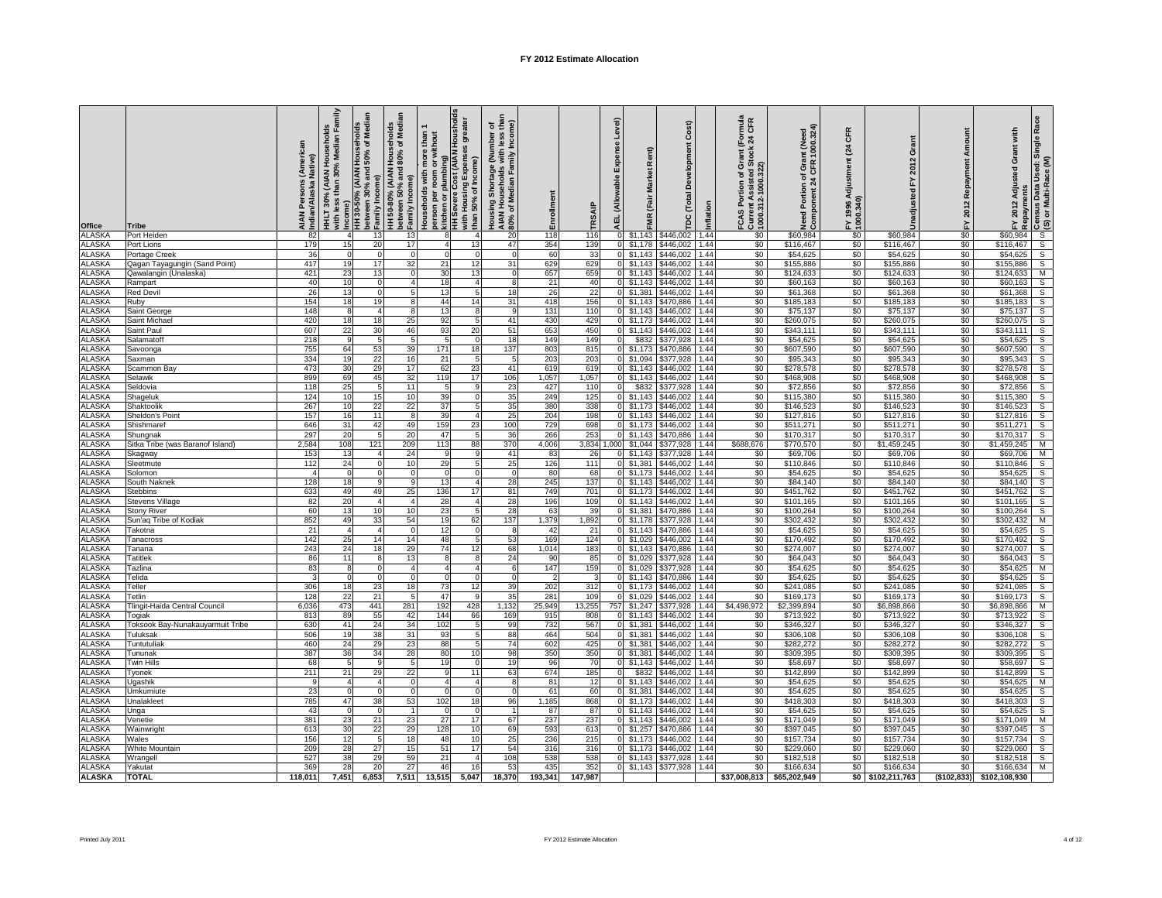| Office                         | Tribe                            | (American<br>Native)<br>AIAN Persons (<br>Indian/Alaska N | HHLT 30% (AIAN Households<br>with less than 30% Median Family<br>Income)<br>HH 30-50% (AIAN Hou | between 30% and 50% of Media<br>Family Income) | HH 50-80% (AIAN Households<br>between 50% and 80% of Median<br>Family Income) | kitchen or plumbing)<br>HH Severe Cost (AIAN Housholds<br>Households with more than<br>person per room or without | with Housing Expenses greate<br>than 50% of Income) | Housing Shortage (Number of<br>AIAN Households with less tha<br>80% of Median Family Income) | Enrollment     | TRSAIP         | Level)<br>8<br>Expens<br>(Allowable<br><b>AEL</b> | Rent)<br><b>Market</b><br>FMR (Fair | Cost)<br>Ĕ<br>Developme<br>Total<br>pc | Inflation    | rmula<br>CFR<br>rant (For<br>tock 24<br>FCAS Portion of Gra<br>Current Assisted Stc<br>  1000.312-1000.322) | Need Portion of Grant (Need<br>Component 24 CFR 1000.324) | CFR<br>(24)<br>FY 1996 Adjustment<br>1000.340) | Unadjusted FY 2012 Grant   | Repayment Amount<br>FY 2012 | with<br>FY 2012 Adjusted Grant<br>Repayments | Single<br>$\infty$ $\leq$ $\infty$ $\infty$ $\infty$ $\infty$ $\infty$ $\infty$ $\infty$ $\infty$ $\infty$ $\infty$ $\infty$ $\infty$ |  |
|--------------------------------|----------------------------------|-----------------------------------------------------------|-------------------------------------------------------------------------------------------------|------------------------------------------------|-------------------------------------------------------------------------------|-------------------------------------------------------------------------------------------------------------------|-----------------------------------------------------|----------------------------------------------------------------------------------------------|----------------|----------------|---------------------------------------------------|-------------------------------------|----------------------------------------|--------------|-------------------------------------------------------------------------------------------------------------|-----------------------------------------------------------|------------------------------------------------|----------------------------|-----------------------------|----------------------------------------------|---------------------------------------------------------------------------------------------------------------------------------------|--|
| <b>ALASKA</b>                  | Port Heiden                      | 82                                                        |                                                                                                 |                                                | 13                                                                            |                                                                                                                   | $\overline{4}$                                      | 20                                                                                           | 118            | 116            | 0                                                 | \$1,143                             |                                        | 1.44         | \$0                                                                                                         | \$60,984                                                  | \$0                                            | \$60,984                   | \$0                         | \$60,984                                     |                                                                                                                                       |  |
| <b>ALASKA</b>                  | Port Lions                       | 179                                                       | 15                                                                                              | 20                                             | 17                                                                            |                                                                                                                   | 13                                                  | 47                                                                                           | 354            | 139            |                                                   | $0$ \$1,178                         | \$446,002                              | 1.44         | \$0                                                                                                         | \$116,467                                                 | \$0                                            | \$116,467                  | \$0                         | \$116,467                                    |                                                                                                                                       |  |
| <b>ALASKA</b>                  | Portage Creek                    | 36                                                        |                                                                                                 | $\Omega$                                       | $\Omega$                                                                      | $\Omega$                                                                                                          | $\Omega$                                            | $\Omega$                                                                                     | 60             | 33             |                                                   | $0$ \$1,143                         | \$446,002                              | 1.44         | \$0                                                                                                         | \$54,625                                                  | \$0                                            | \$54,625                   | \$0                         | \$54,625                                     |                                                                                                                                       |  |
| <b>ALASKA</b>                  | Qagan Tayagungin (Sand Point)    | 417                                                       | 19                                                                                              | 17                                             | 32                                                                            | 21                                                                                                                | 12                                                  | 31                                                                                           | 629            | 629            |                                                   | \$1,143                             | \$446,002                              | 1.44         | \$0                                                                                                         | \$155,886                                                 | \$0                                            | \$155,886                  | \$0                         | \$155,886                                    |                                                                                                                                       |  |
| <b>ALASKA</b><br><b>ALASKA</b> | Qawalangin (Unalaska)            | 421<br>40                                                 | 23<br>10                                                                                        | 13<br>$\mathbf 0$                              | $\mathbf 0$<br>$\overline{4}$                                                 | 30<br>18                                                                                                          | 13<br>$\overline{a}$                                |                                                                                              | 657<br>21      | 659<br>40      |                                                   | \$1,143<br>$0$ \$1,143              | \$446,002<br>\$446,002                 | 1.44<br>1.44 | \$0<br>\$0                                                                                                  | \$124,633<br>\$60,163                                     | \$0<br>\$0                                     | \$124,633<br>\$60,163      | \$0<br>\$0                  | \$124,633<br>\$60,163                        |                                                                                                                                       |  |
| <b>ALASKA</b>                  | Rampart<br><b>Red Devil</b>      | 26                                                        | 13                                                                                              | $\mathbf 0$                                    | 5                                                                             | 13                                                                                                                | 5                                                   | 18                                                                                           | 26             | 22             |                                                   | $0$ \$1,381                         | \$446,002                              | 1.44         | \$0                                                                                                         | \$61,368                                                  | \$0                                            | \$61,368                   | \$0                         | \$61,368                                     | $\mathsf{s}$                                                                                                                          |  |
| <b>ALASKA</b>                  | Ruby                             | 154                                                       | 18                                                                                              | 19                                             | 8                                                                             | 44                                                                                                                | 14                                                  | 31                                                                                           | 418            | 156            |                                                   | $0$ \$1,143                         | \$470,886                              | 1.44         | \$0                                                                                                         | \$185,183                                                 | \$0                                            | \$185,183                  | \$0                         | \$185,183                                    | $\mathsf{s}$                                                                                                                          |  |
| <b>ALASKA</b>                  | Saint George                     | 148                                                       | 8                                                                                               | $\overline{4}$                                 | 8                                                                             | 13                                                                                                                | 8                                                   | 9                                                                                            | 131            | 110            |                                                   | $0$ \$1,143                         | \$446,002                              | 1.44         | \$0                                                                                                         | \$75,137                                                  | $$^{0}$                                        | \$75,137                   | \$0                         | \$75,137                                     | $\mathsf{s}$                                                                                                                          |  |
| <b>ALASKA</b>                  | Saint Michael                    | 420                                                       | 18                                                                                              | 18                                             | 25                                                                            | 92                                                                                                                | -5                                                  | 41                                                                                           | 430            | 429            |                                                   | $0$ \$1,173                         | \$446,002                              | 1.44         | \$0                                                                                                         | \$260,075                                                 | \$0                                            | \$260,075                  | \$0                         | \$260,075                                    | $\overline{\mathbf{s}}$                                                                                                               |  |
| <b>ALASKA</b>                  | Saint Paul                       | 607                                                       | 22                                                                                              | 30                                             | 46                                                                            | 93                                                                                                                | 20                                                  | 51                                                                                           | 653            | 450            |                                                   | $0$ \$1,143                         | \$446,002                              | 1.44         | \$0                                                                                                         | \$343,111                                                 | \$0                                            | \$343,111                  | \$0                         | \$343,111                                    | $\mathsf{s}$                                                                                                                          |  |
| <b>ALASKA</b><br><b>ALASKA</b> | Salamatoff                       | 218<br>755                                                | - q<br>64                                                                                       | 5<br>53                                        | 5<br>39                                                                       | 5<br>171                                                                                                          | $\Omega$<br>18                                      | 18<br>137                                                                                    | 149<br>803     | 149<br>815     | $\overline{0}$                                    | \$832<br>$0$ \$1,173                | \$377,928<br>\$470,886                 | 1.44<br>1.44 | \$0<br>\$0                                                                                                  | \$54,625<br>\$607,590                                     | \$0<br>\$0                                     | \$54,625<br>\$607,590      | \$0<br>\$0                  | \$54,625<br>\$607,590                        | $\overline{s}$<br>$\mathsf{s}$                                                                                                        |  |
| <b>ALASKA</b>                  | Savoonga<br>Saxman               | 334                                                       | 19                                                                                              | 22                                             | 16                                                                            | 21                                                                                                                | 5                                                   | 5                                                                                            | 203            | 203            |                                                   | \$1,094                             | \$377,928                              | 1.44         | \$0                                                                                                         | \$95,343                                                  | \$0                                            | \$95,343                   | \$0                         | \$95,343                                     |                                                                                                                                       |  |
| <b>ALASKA</b>                  | Scammon Bay                      | 473                                                       | 30                                                                                              | 29                                             | 17                                                                            | 62                                                                                                                | 23                                                  | 41                                                                                           | 619            | 619            |                                                   | \$1,143                             | \$446,002                              | 1.44         | \$0                                                                                                         | \$278,578                                                 | \$0                                            | \$278,578                  | \$0                         | \$278,578                                    | $\frac{s}{s}$                                                                                                                         |  |
| <b>ALASKA</b>                  | Selawik                          | 899                                                       | 69                                                                                              | 45                                             | 32                                                                            | 119                                                                                                               | 17                                                  | 106                                                                                          | 1,057          | 1,057          |                                                   | $0$ \$1,143                         | \$446,002                              | 1.44         | \$0                                                                                                         | \$468,908                                                 | \$0                                            | \$468,908                  | \$0                         | \$468,908                                    |                                                                                                                                       |  |
| <b>ALASKA</b>                  | Seldovia                         | 118                                                       | 25                                                                                              | 5                                              | 11                                                                            | 5                                                                                                                 | 9                                                   | 23                                                                                           | 427            | 110            | $\Omega$                                          | \$832                               | \$377,928                              | 1.44         | \$0                                                                                                         | \$72,856                                                  | \$0                                            | \$72,856                   | \$0                         | \$72,856                                     | $\mathsf{s}$                                                                                                                          |  |
| <b>ALASKA</b>                  | Shageluk                         | 124                                                       | 10                                                                                              | 15                                             | 10                                                                            | 39                                                                                                                | $\mathbf 0$                                         | 35                                                                                           | 249            | 125            |                                                   | $0$ \$1,143                         | \$446,002                              | 1.44         | \$0                                                                                                         | \$115,380                                                 | \$0                                            | \$115,380                  | \$0                         | \$115,380                                    | $\mathsf{s}$                                                                                                                          |  |
| <b>ALASKA</b><br><b>ALASKA</b> | Shaktoolik<br>Sheldon's Point    | 267<br>157                                                | 10<br>16                                                                                        | 22<br>11                                       | 22<br>8                                                                       | 37<br>39                                                                                                          | -5                                                  | 35<br>25                                                                                     | 380<br>204     | 338<br>198     |                                                   | $0$ \$1,173<br>$0$ \$1,143          | \$446,002<br>\$446,002                 | 1.44<br>1.44 | \$0<br>\$0                                                                                                  | \$146,523<br>\$127,816                                    | \$0<br>\$0                                     | \$146,523<br>\$127,816     | \$0<br>\$0                  | \$146,523<br>\$127,816                       |                                                                                                                                       |  |
| <b>ALASKA</b>                  | Shishmaret                       | 646                                                       | 31                                                                                              | 42                                             | 49                                                                            | 159                                                                                                               | 23                                                  | 100                                                                                          | 729            | 698            |                                                   | $0$ \$1,173                         | \$446,002                              | 1.44         | \$0                                                                                                         | \$511,271                                                 | \$0                                            | \$511,271                  | \$0                         | \$511,271                                    |                                                                                                                                       |  |
| ALASKA                         | Shungnak                         | 297                                                       | 20                                                                                              | 5                                              | 20                                                                            | 47                                                                                                                | 5                                                   | 36                                                                                           | 266            | 253            | οT                                                | \$1,143                             | \$470,886                              | 1.44         | \$0                                                                                                         | \$170,317                                                 | \$0                                            | \$170,317                  | \$0                         | \$170,317                                    | $rac{1}{s}$                                                                                                                           |  |
| <b>ALASKA</b>                  | Sitka Tribe (was Baranof Island) | 2,584                                                     | 108                                                                                             | 121                                            | 209                                                                           | 113                                                                                                               | 88                                                  | 370                                                                                          | 4,006          |                |                                                   | 3,834 1,000 \$1,044                 | \$377,928                              | 1.44         | \$688,676                                                                                                   | \$770,570                                                 | \$0                                            | \$1,459,245                | \$0                         | \$1,459,245                                  | M                                                                                                                                     |  |
| ALASKA                         | Skagway                          | 153                                                       | 13                                                                                              |                                                | 24                                                                            | 9                                                                                                                 | 9                                                   | 41                                                                                           | 83             | 26             |                                                   | \$1,143                             | \$377,928                              | 1.44         | \$0                                                                                                         | \$69,706                                                  | \$0                                            | \$69,706                   | \$0                         | \$69,706                                     | M                                                                                                                                     |  |
| <b>ALASKA</b><br><b>ALASKA</b> | Sleetmute                        | 112<br>$\overline{4}$                                     | 24<br>$\Omega$                                                                                  | $\Omega$<br>$\Omega$                           | 10<br>$\mathbf 0$                                                             | 29<br>$\mathbf 0$                                                                                                 | 5<br>$\Omega$                                       | 25<br>$\Omega$                                                                               | 126<br>80      | 111<br>68      |                                                   | 0 \$1,381<br>$0$ \$1,173            | \$446,002<br>\$446,002                 | 1.44<br>1.44 | $\frac{1}{2}$<br>\$0                                                                                        | \$110,846<br>\$54,625                                     | \$0<br>\$0                                     | \$110,846<br>\$54,625      | \$0<br>\$0                  | \$110,846<br>\$54,625                        | $\mathsf{s}$<br>$\mathsf{s}$                                                                                                          |  |
| <b>ALASKA</b>                  | Solomon<br>South Naknek          | 128                                                       | 18                                                                                              | 9                                              | -9                                                                            | 13                                                                                                                | -4                                                  | 28                                                                                           | 245            | 137            |                                                   | $0$ \$1,143                         | \$446,002                              | 1.44         | $\frac{1}{2}$                                                                                               | \$84,140                                                  | \$0                                            | \$84,140                   | \$0                         | \$84,140                                     | S                                                                                                                                     |  |
| <b>ALASKA</b>                  | <b>Stebbins</b>                  | 633                                                       | 49                                                                                              | 49                                             | 25                                                                            | 136                                                                                                               | 17                                                  | 81                                                                                           | 749            | 701            |                                                   | $0$ \$1,173                         | \$446,002                              | 1.44         | $\frac{1}{2}$                                                                                               | \$451,762                                                 | \$0                                            | \$451,762                  | \$0                         | \$451,762                                    | $\overline{s}$                                                                                                                        |  |
| <b>ALASKA</b>                  | Stevens Village                  | 82                                                        | 20                                                                                              | $\overline{4}$                                 |                                                                               | 28                                                                                                                | $\overline{4}$                                      | 28                                                                                           | 196            | 109            |                                                   | $0$ \$1,143                         | \$446,002                              | 1.44         | \$0                                                                                                         | \$101,165                                                 | \$0                                            | \$101,165                  | \$0                         | \$101,165                                    | $\overline{s}$                                                                                                                        |  |
| <b>ALASKA</b>                  | Stony River                      | 60                                                        | 13                                                                                              | 10                                             | 10                                                                            | 23                                                                                                                | 5                                                   | 28                                                                                           | 63             | 39             |                                                   | 0 \$1,381                           | \$470,886                              | 1.44         | \$0                                                                                                         | \$100,264                                                 | \$0                                            | \$100,264                  | \$0                         | \$100,264                                    | S                                                                                                                                     |  |
| <b>ALASKA</b>                  | Sun'aq Tribe of Kodiak           | 852                                                       | 49                                                                                              | 33                                             | 54                                                                            | 19                                                                                                                | 62                                                  | 137                                                                                          | 1,379          | 1,892          |                                                   | $0$ \$1,178                         | \$377,928                              | 1.44         | \$0                                                                                                         | \$302,432                                                 | \$0                                            | \$302,432                  | \$0                         | \$302,432                                    | М                                                                                                                                     |  |
| <b>ALASKA</b><br><b>ALASKA</b> | Takotna<br>Tanacross             | 21<br>142                                                 | 25                                                                                              | $\overline{4}$<br>14                           | $\mathbf 0$<br>14                                                             | 12<br>48                                                                                                          | $^{\circ}$<br>5                                     | -8<br>53                                                                                     | 42<br>169      | 21<br>124      |                                                   | \$1,143<br>\$1,029                  | \$470,886<br>\$446,002                 | 1.44<br>1.44 | \$0<br>\$0                                                                                                  | \$54,625<br>\$170,492                                     | \$0<br>\$0                                     | \$54,625<br>\$170,492      | \$0<br>\$0                  | \$54,625<br>\$170,492                        | $\mathsf{s}$                                                                                                                          |  |
| <b>ALASKA</b>                  | Tanana                           | 243                                                       | 24                                                                                              | 18                                             | 29                                                                            | 74                                                                                                                | 12                                                  | 68                                                                                           | 1,014          | 183            |                                                   | $0$ \$1,143                         | \$470,886                              | 1.44         | \$0                                                                                                         | \$274,007                                                 | \$0                                            | \$274,007                  | \$0                         | \$274,007                                    | $\frac{S}{S}$                                                                                                                         |  |
| <b>ALASKA</b>                  | <b>Tatitlek</b>                  | 86                                                        | 11                                                                                              | 8                                              | 13                                                                            | $\overline{\mathbf{8}}$                                                                                           | 8                                                   | 24                                                                                           | 90             | 85             |                                                   | 0 \$1,029                           | \$377.928                              | 1.44         | \$0                                                                                                         | \$64,043                                                  | \$0                                            | \$64,043                   | \$0                         | \$64,043                                     | $\mathsf{s}$                                                                                                                          |  |
| <b>ALASKA</b>                  | Tazlina                          | 83                                                        | - 8                                                                                             | $\mathbf 0$                                    | 4                                                                             | $\overline{4}$                                                                                                    | $\overline{4}$                                      | 6                                                                                            | 147            | 159            |                                                   | $0$ \$1,029                         | \$377,928                              | 1.44         | \$0                                                                                                         | \$54,625                                                  | \$0                                            | \$54,625                   | \$0                         | \$54,625                                     | M                                                                                                                                     |  |
| <b>ALASKA</b>                  | Telida                           | 3                                                         | $\Omega$<br>18                                                                                  | $\mathbf 0$                                    | $\mathbf 0$                                                                   | $\overline{0}$                                                                                                    | $\mathbf 0$                                         | $\mathbf{o}$                                                                                 | $\overline{2}$ | 3              |                                                   | $0$ \$1,143                         | \$470,886                              | 1.44         | \$0                                                                                                         | \$54,625                                                  | \$0                                            | \$54,625                   | \$0                         | \$54,625                                     | $\mathsf{s}$                                                                                                                          |  |
| <b>ALASKA</b><br><b>ALASKA</b> | Teller<br>Tetlin                 | 306<br>128                                                | 22                                                                                              | 23<br>21                                       | 18<br>5                                                                       | 73<br>47                                                                                                          | 12<br>9                                             | 39<br>35                                                                                     | 202<br>281     | 312<br>109     |                                                   | $0$ \$1,173<br>$0$ \$1,029          | \$446,002<br>\$446,002                 | 1.44<br>1.44 | \$0<br>\$0                                                                                                  | \$241,085<br>\$169,173                                    | \$0<br>\$0                                     | \$241,085<br>\$169,173     | \$0<br>\$0                  | \$241,085<br>\$169,173                       | $rac{s}{M}$                                                                                                                           |  |
| ALASKA                         | lingit-Haida Central Council     | 6,036                                                     | 473                                                                                             | 441                                            | 281                                                                           | 192                                                                                                               | 428                                                 | 1,132                                                                                        | 25,949         | 13,255         |                                                   | 757 \$1,247                         | \$377,928                              | 1.44         | \$4,498,972                                                                                                 | \$2,399,894                                               | \$0                                            | \$6,898,866                | \$0                         | \$6,898,866                                  |                                                                                                                                       |  |
| <b>ALASKA</b>                  | Togiak                           | 813                                                       | 89                                                                                              | 55                                             | 42                                                                            | 144                                                                                                               | 66                                                  | 169                                                                                          | 915            | 808            |                                                   | \$1,143                             | \$446,002                              | 1.44         | \$0                                                                                                         | \$713,922                                                 | \$0                                            | \$713,922                  | \$0                         | \$713,922                                    | $\mathsf{s}$                                                                                                                          |  |
| <b>ALASKA</b>                  | Toksook Bay-Nunakauyarmuit Tribe | 630                                                       | 41                                                                                              | 24                                             | 34                                                                            | 102                                                                                                               | 5                                                   | 99                                                                                           | 732            | 567            |                                                   | \$1,381                             | \$446,002                              | 1.44         | \$0                                                                                                         | \$346,327                                                 | \$0                                            | \$346,327                  | \$0                         | \$346,327                                    |                                                                                                                                       |  |
| <b>ALASKA</b>                  | Tuluksak                         | 506                                                       | 19                                                                                              | 38                                             | 31                                                                            | 93                                                                                                                | 5                                                   | 88                                                                                           | 464            | 504            |                                                   | \$1,381                             | \$446,002                              | 1.44         | \$0                                                                                                         | \$306,108                                                 | \$0                                            | \$306,108                  | \$0                         | \$306,108                                    | $rac{1}{s}$                                                                                                                           |  |
| <b>ALASKA</b><br><b>ALASKA</b> | Tuntutuliak<br><b>Tununak</b>    | 460<br>387                                                | 24<br>36                                                                                        | 29<br>34                                       | 23<br>28                                                                      | 88<br>80                                                                                                          | 5<br>10                                             | 74<br>98                                                                                     | 602<br>350     | 425<br>350     |                                                   | 0 \$1,381<br>$0$ \$1,381            | \$446,002<br>\$446,002                 | 1.44<br>1.44 | \$0<br>\$0                                                                                                  | \$282,272<br>\$309,395                                    | \$0<br>\$0                                     | \$282,272<br>\$309,395     | \$0<br>\$0                  | \$282,272<br>\$309,395                       | $\overline{s}$                                                                                                                        |  |
| <b>ALASKA</b>                  | Twin Hills                       | 68                                                        | -5                                                                                              | 9                                              | 5                                                                             | 19                                                                                                                | $\circ$                                             | 19                                                                                           | 96             | 70             |                                                   | $0$ \$1,143                         | \$446,002                              | 1.44         | \$0                                                                                                         | \$58,697                                                  | \$0                                            | \$58,697                   | \$0                         | \$58,697                                     | $\mathsf{s}$                                                                                                                          |  |
| <b>ALASKA</b>                  | Tyonek                           | 211                                                       | 21                                                                                              | 29                                             | 22                                                                            |                                                                                                                   | 11                                                  | 63                                                                                           | 674            | 185            | $\mathbf{O}$                                      | \$832                               | \$446,002                              | 1.44         | \$0                                                                                                         | \$142,899                                                 | \$0                                            | \$142,899                  | \$0                         | \$142,899                                    | s                                                                                                                                     |  |
| <b>ALASKA</b>                  | Jgashik                          | 9                                                         |                                                                                                 | $\overline{a}$                                 | $^{\circ}$                                                                    |                                                                                                                   | $\overline{4}$                                      |                                                                                              | 81             | 12             |                                                   | $0$ \$1,143                         | \$446,002                              | 1.44         | \$0                                                                                                         | \$54,625                                                  | \$0                                            | \$54,625                   | \$0                         | \$54,625                                     | M                                                                                                                                     |  |
| <b>ALASKA</b>                  | Jmkumiute                        | 23                                                        |                                                                                                 | $\Omega$                                       | $\Omega$                                                                      |                                                                                                                   | $\Omega$                                            | $\Omega$                                                                                     | 61             | 60             |                                                   | $0$ \$1,381                         | \$446,002                              | 1.44         | \$0                                                                                                         | \$54,625                                                  | \$0                                            | \$54,625                   | \$0                         | \$54,625                                     | $\mathsf{s}$                                                                                                                          |  |
| <b>ALASKA</b><br><b>ALASKA</b> | Unalakleet<br>Unga               | 785<br>43                                                 | 47                                                                                              | 38<br>$\overline{0}$                           | 53                                                                            | 102                                                                                                               | 18<br>$\mathbf{0}$                                  | 96                                                                                           | 1,185<br>87    | 868<br>87      |                                                   | $0$ \$1,173<br>$0$ \$1,143          | \$446,002<br>\$446,002                 | 1.44<br>1.44 | $\frac{1}{2}$<br>\$0                                                                                        | \$418,303<br>\$54,625                                     | \$0<br>\$0                                     | \$418,303<br>\$54,625      | \$0<br>\$0                  | \$418,303<br>\$54,625                        | $\mathsf{s}$<br>$\overline{s}$                                                                                                        |  |
| <b>ALASKA</b>                  | Venetie                          | 381                                                       | 23                                                                                              | 21                                             | 23                                                                            | 27                                                                                                                | 17                                                  | 67                                                                                           | 237            | 237            |                                                   | \$1,143                             | \$446,002                              | 1.44         | \$0                                                                                                         | \$171,049                                                 | \$0                                            | \$171,049                  | \$0                         | \$171,049                                    | М                                                                                                                                     |  |
| <b>ALASKA</b>                  | Nainwright                       | 613                                                       | 30                                                                                              | 22                                             | 29                                                                            | 128                                                                                                               | 10 <sup>1</sup>                                     | 69                                                                                           | 593            | 613            | $\overline{\mathbf{0}}$                           | \$1,257                             | \$470.886                              | 1.44         | \$0                                                                                                         | \$397,045                                                 | \$0                                            | \$397,045                  | \$0                         | \$397,045                                    | $\mathbf{s}$                                                                                                                          |  |
| <b>ALASKA</b>                  | Nales                            | 156                                                       | 12                                                                                              |                                                | 18                                                                            | 48                                                                                                                | 10                                                  | 25                                                                                           | 236            | 215            |                                                   | $0$ \$1,173                         | \$446,002                              | 1.44         | \$0                                                                                                         | \$157,734                                                 | \$0                                            | \$157,734                  | \$0                         | \$157,734                                    | $\mathsf{s}$                                                                                                                          |  |
| <b>ALASKA</b>                  | <b>Nhite Mountain</b>            | 209                                                       | 28                                                                                              | 27                                             | 15                                                                            | 51                                                                                                                | 17                                                  | 54                                                                                           | 316            | 316            | $\Omega$                                          | \$1,173                             | \$446,002                              | 1.44         | \$0                                                                                                         | \$229,060                                                 | \$0                                            | \$229,060                  | \$0                         | \$229,060                                    | $\mathbf{s}$                                                                                                                          |  |
| <b>ALASKA</b>                  | Wrange                           | 527                                                       | 38                                                                                              | 29                                             | 59                                                                            | 21                                                                                                                | $\overline{4}$                                      | 108                                                                                          | 538            | 538            |                                                   | $0$ \$1.143                         | \$377.928                              | 1.44         | \$0                                                                                                         | \$182.518                                                 | \$0                                            | \$182.518                  | \$0                         | \$182.518                                    | $\mathsf{s}$                                                                                                                          |  |
| <b>ALASKA</b><br><b>ALASKA</b> | Yakutat<br><b>TOTAL</b>          | 369<br>118.011                                            | 28<br>7,451                                                                                     | 6.853                                          | 27<br>7,511                                                                   | 46<br>13,515                                                                                                      | 16<br>5.047                                         | 53<br>18,370                                                                                 | 435<br>193,341 | 352<br>147.987 |                                                   | $0$ \$1,143                         | \$377,928                              | 1.44         | \$0<br>\$37,008,813                                                                                         | \$166,634<br>\$65,202,949                                 | \$0<br>\$0                                     | \$166,634<br>\$102,211,763 | \$0<br>( \$102, 833)        | \$166,634<br>\$102,108,930                   | M                                                                                                                                     |  |
|                                |                                  |                                                           |                                                                                                 |                                                |                                                                               |                                                                                                                   |                                                     |                                                                                              |                |                |                                                   |                                     |                                        |              |                                                                                                             |                                                           |                                                |                            |                             |                                              |                                                                                                                                       |  |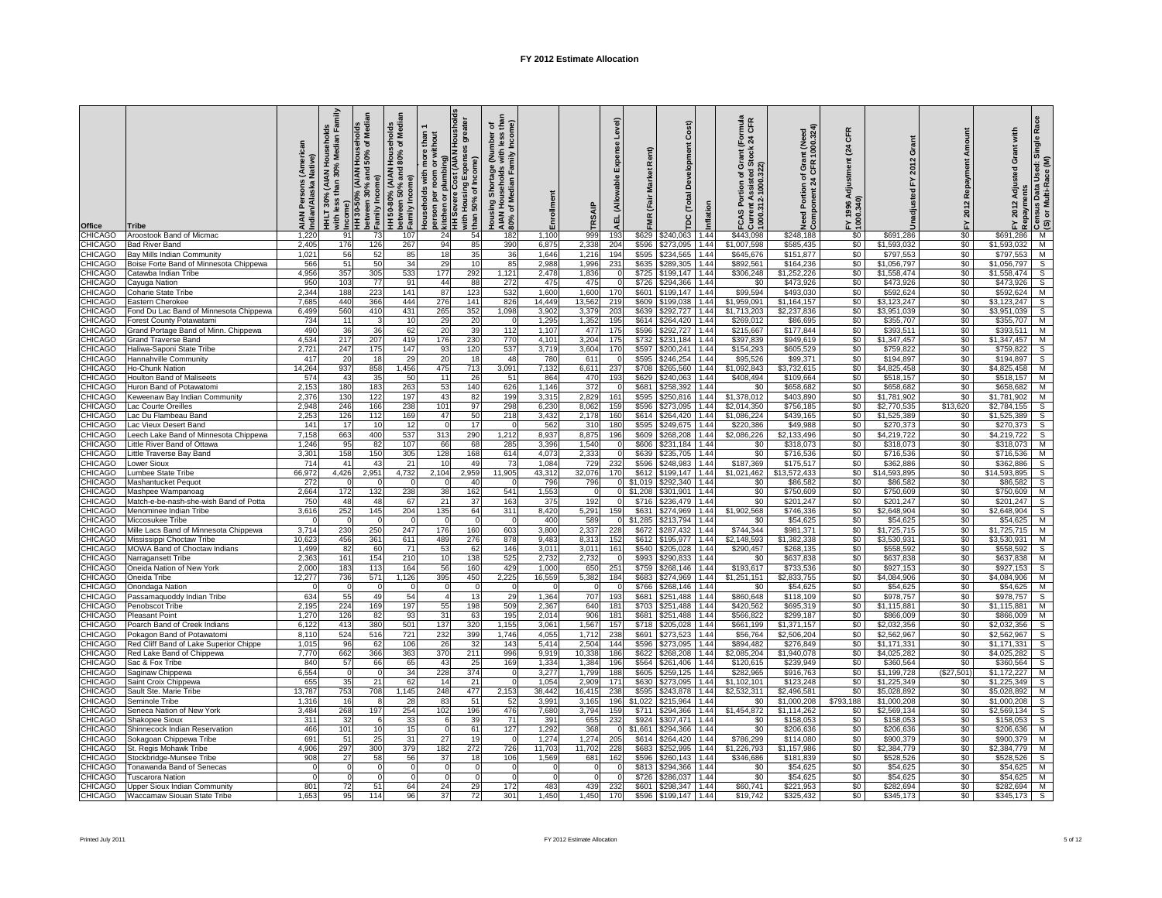| Office             | <b>Tribe</b>                                                            | (American<br>laska Native)<br>AIAN Per<br>Indian/AI | HHLT 30% (AIAN Households<br>with less than 30% Median Family<br>Income) | Median<br>HH 30-50% (AIAN Househ<br>ō<br>and 50%<br>between 30% and<br>Family Income) | HH 50-80% (AIAN Households<br>between 50% and 80% of Median<br>Family Income) | Households with more than<br>person per room or without<br> person per room or wii<br>  kitchen or plumbing)<br>  HH Severe Cost (AIAN | Cost (AIAN Houshol<br>greater<br>Expenses<br>with Housing Expens<br>than 50% of Income) | umber of<br>h less thai<br>r lncome)<br>Housing Shortage (Number<br>AIAN Households with less<br>80% of Median Family Incon | ollment<br>밑      | TRSAIP          | Level)<br>Expens<br>(Allowable<br>AEL. | Rent)<br><b>Market</b><br>FMR (Fair | Cost)<br>Development<br>Total<br>pc | Inflation    | <b>E</b><br>CFR<br>ant (For<br>tock 24<br>of Gr.<br>ted St<br>1000.312-1000.322)<br>Portio<br>FCAS | Need Portion of Grant (Need<br>Component 24 CFR 1000.324) | CFR<br>(24)<br>Adjustment<br>FY 1996 A<br>1000.340) | Grant<br>2012<br>노<br>Unadjusted | Repayment Amount<br>FY 2012 | Race<br>with<br>Single<br><b>Adjusted Grant</b><br>ŝ,<br>,<br>  Repayments<br>  Census Data Used: S<br>  (S) or Multi-Race (M)<br>2012 |
|--------------------|-------------------------------------------------------------------------|-----------------------------------------------------|--------------------------------------------------------------------------|---------------------------------------------------------------------------------------|-------------------------------------------------------------------------------|----------------------------------------------------------------------------------------------------------------------------------------|-----------------------------------------------------------------------------------------|-----------------------------------------------------------------------------------------------------------------------------|-------------------|-----------------|----------------------------------------|-------------------------------------|-------------------------------------|--------------|----------------------------------------------------------------------------------------------------|-----------------------------------------------------------|-----------------------------------------------------|----------------------------------|-----------------------------|----------------------------------------------------------------------------------------------------------------------------------------|
| CHICAGO            | Aroostook Band of Micmac                                                | 1,22                                                | 91                                                                       | 73                                                                                    | 107                                                                           | 24                                                                                                                                     | 54                                                                                      | 182                                                                                                                         | 1,100             | 999             | 193                                    | \$629                               | \$240,063                           | 1.44         | \$443,098                                                                                          | \$248,188                                                 | \$0                                                 | \$691,286                        | \$0                         | \$691,286<br>м                                                                                                                         |
| CHICAGO            | <b>Bad River Band</b>                                                   | 2,405                                               | 176                                                                      | 126                                                                                   | 267<br>85                                                                     | 94<br>18                                                                                                                               | 85<br>35                                                                                | 390                                                                                                                         | 6,875<br>1,646    | 2,338<br>1,216  | 204<br>194                             | \$596<br>\$595                      | \$273,095                           | 1.44<br>1.44 | \$1,007,598                                                                                        | \$585,435                                                 | \$0<br>\$0                                          | \$1,593,032                      | \$0                         | \$1,593,032<br>м                                                                                                                       |
| CHICAGO<br>CHICAGO | Bay Mills Indian Community<br>Boise Forte Band of Minnesota Chippewa    | 1,021<br>566                                        | 56<br>51                                                                 | 52<br>50                                                                              | 34                                                                            | 29                                                                                                                                     | 10                                                                                      | 36<br>85                                                                                                                    | 2,988             | 1,996           | 231                                    | \$635                               | \$234,565<br>\$289,305              | 1.44         | \$645,676<br>\$892,561                                                                             | \$151,877<br>\$164,236                                    | \$0                                                 | \$797,553<br>\$1,056,797         | \$0<br>\$0                  | М<br>\$797,553<br>\$1,056,797<br>s                                                                                                     |
| CHICAGO            | Catawba Indian Tribe                                                    | 4,956                                               | 357                                                                      | 305                                                                                   | 533                                                                           | 177                                                                                                                                    | 292                                                                                     | 1.121                                                                                                                       | 2,478             | 1,836           | 0                                      | \$725                               | \$199.147                           | 1.44         | \$306.248                                                                                          | \$1,252,226                                               | \$0                                                 | \$1,558,474                      | \$0                         | \$1.558.474<br>$S_{-}$                                                                                                                 |
| <b>HICAGO</b>      | Cayuga Nation                                                           | 950                                                 | 103                                                                      | 77                                                                                    | 91                                                                            | 44                                                                                                                                     | 88                                                                                      | 272                                                                                                                         | 475               | 475             | 0                                      | \$726                               | 3294,366                            | 1.44         | \$0                                                                                                | \$473,926                                                 | \$0                                                 | \$473,926                        | \$0                         | \$473.926<br>s                                                                                                                         |
| CHICAGO            | Coharie State Tribe                                                     | 2,344                                               | 188                                                                      | 223                                                                                   | 141                                                                           | 87                                                                                                                                     | 123                                                                                     | 532                                                                                                                         | 1,600             | 1,600           | 170                                    | \$601                               | \$199,147                           | 1.44         | \$99,594                                                                                           | \$493,030                                                 | \$0                                                 | \$592,624                        | \$0                         | \$592,624<br>M                                                                                                                         |
| CHICAGO            | Eastern Cherokee                                                        | 7,685                                               | 440                                                                      | 366                                                                                   | 444                                                                           | 276                                                                                                                                    | 141                                                                                     | 826                                                                                                                         | 14,449            | 13,562          | 219                                    | \$609                               | \$199,038                           | 1.44         | \$1,959,091                                                                                        | \$1,164,157                                               | \$0                                                 | \$3,123,247                      | \$0                         | $\mathsf{s}$<br>\$3,123,247                                                                                                            |
| CHICAGO<br>CHICAGO | Fond Du Lac Band of Minnesota Chippewa                                  | 6,499<br>734                                        | 560<br>11                                                                | 410                                                                                   | 431<br>10                                                                     | 265<br>29                                                                                                                              | 352<br>20                                                                               | 1,098<br>$^{\circ}$                                                                                                         | 3,902<br>1,295    | 3,379<br>1,352  | 203<br>195                             | \$639<br>\$614                      | \$292,727<br>\$264,420              | 1.44<br>1.44 | \$1,713,203<br>\$269,012                                                                           | \$2,237,836<br>\$86,695                                   | \$0<br>\$0                                          | \$3,951,039<br>\$355,707         | \$0<br>\$0                  | $\mathbf{s}$<br>\$3,951,039<br>M<br>\$355,707                                                                                          |
| CHICAGO            | Forest County Potawatami<br><b>Grand Portage Band of Minn. Chippewa</b> | 490                                                 | 36                                                                       | 36                                                                                    | 62                                                                            | 20                                                                                                                                     | 39                                                                                      | 112                                                                                                                         | 1,107             | 477             | 175                                    | \$596                               | \$292,727                           | 1.44         | \$215,667                                                                                          | \$177,844                                                 | \$0                                                 | \$393,511                        | \$0                         | M<br>\$393,511                                                                                                                         |
| CHICAGO            | <b>Grand Traverse Band</b>                                              | 4,534                                               | 217                                                                      | 207                                                                                   | 419                                                                           | 176                                                                                                                                    | 230                                                                                     | 770                                                                                                                         | 4,101             | 3,204           | 175                                    | \$732                               | \$231,184                           | 1.44         | \$397,839                                                                                          | \$949,619                                                 | \$0                                                 | \$1,347,457                      | \$0                         | M<br>\$1,347,457                                                                                                                       |
| CHICAGO            | Ialiwa-Saponi State Tribe                                               | 2,721                                               | 247                                                                      | 175                                                                                   | 147                                                                           | 93                                                                                                                                     | 120                                                                                     | 537                                                                                                                         | 3,719             | 3,604           | 170                                    | \$597                               | \$200,241                           | 1.44         | \$154,293                                                                                          | \$605,529                                                 | \$0                                                 | \$759,822                        | \$0                         | $\mathbf{s}$<br>\$759,822                                                                                                              |
| CHICAGO            | Hannahville Community                                                   | 417                                                 | 20                                                                       | 18                                                                                    | 29                                                                            | 20                                                                                                                                     | 18                                                                                      | 48                                                                                                                          | 780               | 611             |                                        | \$595                               | \$246.254                           | 1.44         | \$95,526                                                                                           | \$99,371                                                  | \$0                                                 | \$194.897                        | \$0                         | \$194.897<br>s                                                                                                                         |
| CHICAGO            | <b>Ho-Chunk Nation</b>                                                  | 14,264                                              | 937                                                                      | 858                                                                                   | 1,456                                                                         | 475                                                                                                                                    | 713                                                                                     | 3.091                                                                                                                       | 7,132             | 6,611           | 237                                    | \$708                               | \$265,560                           | 1.44         | \$1,092,843                                                                                        | \$3,732,615                                               | \$0                                                 | \$4,825,458                      | \$0                         | M<br>\$4.825.458                                                                                                                       |
| CHICAGO            | loulton Band of Maliseets                                               | 574                                                 | 43                                                                       | 35                                                                                    | 50                                                                            | 11                                                                                                                                     | 26                                                                                      | 51                                                                                                                          | 864               | 470             | 193                                    | \$629                               | \$240,063                           | 1.44         | \$408,494                                                                                          | \$109,664                                                 | \$0                                                 | \$518,157                        | \$0                         | М<br>\$518,157                                                                                                                         |
| CHICAGO            | luron Band of Potawatomi                                                | 2,153<br>2,37                                       | 180<br>130                                                               | 183<br>122                                                                            | 263<br>197                                                                    | 53<br>43                                                                                                                               | 140                                                                                     | 626<br>199                                                                                                                  | 1,146<br>3,315    | 372<br>2,829    |                                        | \$681                               | \$258,392                           | 1.44<br>1.44 | \$0                                                                                                | \$658,682                                                 | \$0<br>\$0                                          | \$658,682                        | \$0<br>\$0                  | М<br>\$658,682<br>M                                                                                                                    |
| CHICAGO<br>CHICAGO | Keweenaw Bay Indian Community<br>Lac Courte Oreilles                    | 2,948                                               | 246                                                                      | 166                                                                                   | 238                                                                           | 101                                                                                                                                    | 82<br>97                                                                                | 298                                                                                                                         | 6,230             | 8,062           | 161<br>159                             | \$595<br>\$596                      | \$250,816<br>\$273,095              | 1.44         | \$1,378,012<br>\$2,014,350                                                                         | \$403,890<br>\$756,185                                    | \$0                                                 | \$1,781,902<br>\$2,770,535       | \$13,620                    | \$1,781,902<br>$\mathsf{s}$<br>\$2,784,155                                                                                             |
| CHICAGO            | Lac Du Flambeau Band                                                    | 2,253                                               | 126                                                                      | 112                                                                                   | 169                                                                           | 47                                                                                                                                     | 50                                                                                      | 218                                                                                                                         | 3,432             | 2,178           | 160                                    | \$614                               | \$264,420                           | 1.44         | \$1,086,224                                                                                        | \$439,165                                                 | \$0                                                 | \$1,525,389                      | \$0                         | $\mathsf{s}$<br>\$1,525,389                                                                                                            |
| CHICAGO            | ac Vieux Desert Band                                                    | 141                                                 | 17                                                                       | 10                                                                                    | 12                                                                            |                                                                                                                                        | 17                                                                                      | $\mathbf 0$                                                                                                                 | 562               | 310             | 180                                    | \$595                               | \$249,675                           | 1.44         | \$220,386                                                                                          | \$49,988                                                  | \$0                                                 | \$270,373                        | \$0                         | s<br>\$270,373                                                                                                                         |
| CHICAGO            | eech Lake Band of Minnesota Chippewa                                    | 7,15                                                | 663                                                                      | 400                                                                                   | 537                                                                           | 313                                                                                                                                    | 290                                                                                     | 1,212                                                                                                                       | 8,937             | 8,875           | 196                                    | \$609                               | \$268,208                           | 1.44         | \$2,086,226                                                                                        | \$2,133,496                                               | \$0                                                 | \$4,219,722                      | \$0                         | \$4,219,722<br>s                                                                                                                       |
| CHICAGO            | ittle River Band of Ottawa.                                             | 1,24                                                | 95                                                                       | 82                                                                                    | 107                                                                           | 66                                                                                                                                     | 68                                                                                      | 285                                                                                                                         | 3,396             | 1,540           |                                        | \$606                               | \$231,184                           | 1.44         | \$0                                                                                                | \$318,073                                                 | \$0                                                 | \$318,073                        | \$0                         | \$318,073<br>М                                                                                                                         |
| CHICAGO            | ittle Traverse Bay Band.                                                | 3,301                                               | 158                                                                      | 150                                                                                   | 305                                                                           | 128                                                                                                                                    | 168                                                                                     | 614                                                                                                                         | 4,073             | 2,333           |                                        | \$639                               | \$235,705                           | 1.44         | \$0                                                                                                | \$716,536                                                 | \$0                                                 | \$716,536                        | \$0                         | \$716,536<br>м                                                                                                                         |
| CHICAGO<br>CHICAGO | ower Sioux                                                              | 714                                                 | 41                                                                       | 43                                                                                    | 21                                                                            | 10                                                                                                                                     | 49                                                                                      | 73                                                                                                                          | 1,084<br>43,312   | 729<br>32,076   | 232<br>170                             | \$596<br>\$612                      | \$248.983<br>\$199.147              | 1.44<br>1.44 | \$187.369<br>\$1,021,462                                                                           | \$175.517<br>\$13,572,433                                 | \$0<br>\$0                                          | \$362.886<br>\$14,593,895        | \$0                         | \$362,886<br>s<br>\$14,593,895                                                                                                         |
| CHICAGO            | umbee State Tribe<br>Mashantucket Pequot                                | 66,972<br>272                                       | 4,426<br>- 0                                                             | 2,951                                                                                 | 4,732<br>$\Omega$                                                             | 2,104                                                                                                                                  | 2,959<br>40                                                                             | 11,905<br>$\Omega$                                                                                                          | 796               | 796             |                                        | \$1,019                             | 3292.340                            | 1.44         | \$0                                                                                                | \$86,582                                                  | \$0                                                 | \$86,582                         | \$0<br>\$0                  | s<br>\$86,582<br>s                                                                                                                     |
| CHICAGO            | Mashpee Wampanoag                                                       | 2,664                                               | 172                                                                      | 132                                                                                   | 238                                                                           | 38                                                                                                                                     | 162                                                                                     | 541                                                                                                                         | 1,553             | $\Omega$        | $\circ$                                | \$1,208                             | \$301,901                           | 1.44         | \$0                                                                                                | \$750,609                                                 | \$0                                                 | \$750,609                        | \$0                         | \$750,609<br>M                                                                                                                         |
| CHICAGO            | Match-e-be-nash-she-wish Band of Potta                                  | 750                                                 | 48                                                                       | 48                                                                                    | 67                                                                            | 21                                                                                                                                     | 37                                                                                      | 163                                                                                                                         | 375               | 192             | $\circ$                                | \$716                               | \$236.479                           | 1.44         | \$0                                                                                                | \$201,247                                                 | \$0                                                 | \$201,247                        | \$0                         | $\mathbf{s}$<br>\$201,247                                                                                                              |
| CHICAGO            | Menominee Indian Tribe                                                  | 3,616                                               | 252                                                                      | 145                                                                                   | 204                                                                           | 135                                                                                                                                    | 64                                                                                      | 311                                                                                                                         | 8,420             | 5,291           | 159                                    | \$631                               | \$274,969                           | 1.44         | \$1,902,568                                                                                        | \$746,336                                                 | \$0                                                 | \$2,648,904                      | \$0                         | \$2,648,904<br>$\mathbf{s}$                                                                                                            |
| CHICAGO            | Miccosukee Tribe                                                        |                                                     | $\Omega$                                                                 | $\Omega$                                                                              | $^{\circ}$ 0                                                                  |                                                                                                                                        | $\Omega$                                                                                | $\overline{0}$                                                                                                              | 400               | 589             | $\Omega$                               | \$1,285                             | \$213,794                           | 1.44         | \$0                                                                                                | \$54,625                                                  | \$0                                                 | \$54,625                         | \$0                         | \$54,625<br>M                                                                                                                          |
| CHICAGO            | Mille Lacs Band of Minnesota Chippewa                                   | 3,714                                               | 230                                                                      | 250                                                                                   | 247                                                                           | 176                                                                                                                                    | 160                                                                                     | 603                                                                                                                         | 3,800             | 2,337           | 228                                    | \$672                               | \$287.432                           | 1.44         | \$744.344                                                                                          | \$981.37                                                  | \$0                                                 | \$1,725,715                      | \$0                         | \$1,725,715<br>м                                                                                                                       |
| CHICAGO<br>CHICAGO | Aississippi Choctaw Tribe                                               | 10,62                                               | 456<br>82                                                                | 361<br>60                                                                             | 611<br>71                                                                     | 489<br>53                                                                                                                              | 276<br>62                                                                               | 878<br>146                                                                                                                  | 9,483             | 8,313<br>3.011  | 152<br>161                             | \$612<br>\$540                      | \$195,977<br>\$205.028              | 1.44<br>1.44 | \$2,148,593<br>\$290.457                                                                           | \$1,382,338<br>\$268,135                                  | \$0<br>\$0                                          | \$3,530,93<br>\$558.592          | \$0<br>\$0                  | \$3.530.931<br>М<br>\$558.592                                                                                                          |
| <b>CHICAGO</b>     | <b>MOWA Band of Choctaw Indians</b><br><b>Narragansett Tribe</b>        | 1,499<br>2,36                                       | 161                                                                      | 154                                                                                   | 210                                                                           | 10                                                                                                                                     | 138                                                                                     | 525                                                                                                                         | 3,011<br>2,732    | 2,732           |                                        | \$993                               | \$290,833                           | 1.44         | \$0                                                                                                | \$637,838                                                 | \$0                                                 | \$637,838                        | \$0                         | s<br>\$637,838<br>M                                                                                                                    |
| CHICAGO            | <b>Oneida Nation of New York</b>                                        | 2,000                                               | 183                                                                      | 113                                                                                   | 164                                                                           | 56                                                                                                                                     | 160                                                                                     | 429                                                                                                                         | 1,000             | 650             | 251                                    | \$759                               | \$268,146                           | 1.44         | \$193,617                                                                                          | \$733,536                                                 | \$0                                                 | \$927,153                        | \$0                         | \$927.153<br>s                                                                                                                         |
| CHICAGO            | Oneida Tribe                                                            | 12,277                                              | 736                                                                      | 571                                                                                   | 1,126                                                                         | 395                                                                                                                                    | 450                                                                                     | 2,225                                                                                                                       | 16,559            | 5,382           | 184                                    | \$683                               | \$274,969                           | 1.44         | \$1,251,151                                                                                        | \$2,833,755                                               | \$0                                                 | \$4,084,906                      | \$0                         | \$4,084,906<br>М                                                                                                                       |
| CHICAGO            | Onondaga Nation                                                         |                                                     | $\Omega$                                                                 |                                                                                       | $\Omega$                                                                      |                                                                                                                                        | $\Omega$                                                                                | $\mathbf 0$                                                                                                                 | $\Omega$          | $\Omega$        | $\mathbf 0$                            | \$766                               | \$268,146                           | 1.44         | \$0                                                                                                | \$54,625                                                  | \$0                                                 | \$54,625                         | \$0                         | \$54,625<br>M                                                                                                                          |
| CHICAGO            | Passamaquoddy Indian Tribe                                              | 634                                                 | 55                                                                       | 49                                                                                    | 54                                                                            |                                                                                                                                        | 13                                                                                      | 29                                                                                                                          | 1,364             | 707             | 193                                    | \$681                               | \$251,488                           | 1.44         | \$860,648                                                                                          | \$118,109                                                 | \$0                                                 | \$978,757                        | \$0                         | s<br>\$978,757                                                                                                                         |
| CHICAGO<br>CHICAGO | Penobscot Tribe                                                         | 2,195<br>1,27                                       | 224<br>126                                                               | 169                                                                                   | 197<br>93                                                                     | 55<br>31                                                                                                                               | 198<br>63                                                                               | 509<br>195                                                                                                                  | 2,367<br>2,014    | 640<br>906      | 181<br>181                             | \$703<br>\$681                      | \$251,488<br>\$251,488              | 1.44<br>1.44 | \$420,562<br>\$566,822                                                                             | \$695,319<br>\$299,187                                    | \$0<br>\$0                                          | \$1,115,881<br>\$866,009         | \$0<br>\$0                  | M<br>\$1,115,881<br>\$866,009<br>М                                                                                                     |
| <b>CHICAGO</b>     | Pleasant Point<br>Poarch Band of Creek Indians                          | 6, 122                                              | 413                                                                      | 82<br>380                                                                             | 501                                                                           | 137                                                                                                                                    | 320                                                                                     | 1,155                                                                                                                       | 3,06'             | 1,567           | 157                                    | \$718                               | \$205,028                           | 1.44         | \$661,199                                                                                          | \$1.371.15                                                | \$0                                                 | \$2,032,356                      | \$0                         | s<br>\$2.032.356                                                                                                                       |
| <b>HICAGO</b>      | Pokagon Band of Potawatomi                                              | 8.11                                                | 524                                                                      | 516                                                                                   | 721                                                                           | 232                                                                                                                                    | 399                                                                                     | 1,746                                                                                                                       | 4,055             | 1.712           | 238                                    | \$691                               | \$273,523                           | 1.44         | \$56,764                                                                                           | \$2,506,204                                               | \$0                                                 | \$2,562,967                      | \$0                         | s<br>\$2,562,967                                                                                                                       |
| <b>CHICAGO</b>     | Red Cliff Band of Lake Superior Chippe                                  | 1,01                                                | 96                                                                       | 62                                                                                    | 106                                                                           | 26                                                                                                                                     | 32                                                                                      | 143                                                                                                                         | 5,414             | 2,504           | 144                                    | \$596                               | \$273,095                           | 1.44         | \$894,482                                                                                          | \$276,849                                                 | \$0                                                 | \$1,171,331                      | \$0                         | \$1.171.331<br>s                                                                                                                       |
| CHICAGO            | Red Lake Band of Chippewa                                               | 7.770                                               | 662                                                                      | 366                                                                                   | 363                                                                           | 370                                                                                                                                    | 211                                                                                     | 996                                                                                                                         | 9,919             | 10,338          | 186                                    | \$622                               | \$268,208                           | 1.44         | \$2.085.204                                                                                        | \$1,940,078                                               | \$0                                                 | $\overline{4,025,282}$           | \$0                         | \$4.025.282<br>s                                                                                                                       |
| CHICAGO            | Sac & Fox Tribe                                                         | 840                                                 | 57                                                                       | 66                                                                                    | 65                                                                            | 43                                                                                                                                     | 25                                                                                      | 169                                                                                                                         | 1,334             | 1,384           | 196                                    | \$564                               | \$261,406                           | 1.44         | \$120,615                                                                                          | \$239,949                                                 | \$0                                                 | \$360,564                        | \$0                         | \$360,564<br>$\mathbf{s}$                                                                                                              |
| CHICAGO            | Saginaw Chippewa                                                        | 6,554                                               | - 0                                                                      | $\Omega$                                                                              | 34                                                                            | 228                                                                                                                                    | 374                                                                                     | $\Omega$                                                                                                                    | 3,277             | 1,799           | 188                                    | \$605                               | \$259,125                           | 1.44         | \$282,965                                                                                          | \$916,763                                                 | \$0                                                 | \$1,199,728                      | (\$27,501)                  | \$1,172,227<br>M                                                                                                                       |
| CHICAGO<br>CHICAGO | Saint Croix Chippewa                                                    | 655<br>13,787                                       | 35<br>753                                                                | 21<br>708                                                                             | 62<br>1,145                                                                   | 14<br>248                                                                                                                              | 21<br>477                                                                               | $\Omega$<br>2,153                                                                                                           | 1,054<br>38,442   | 2,909<br>16,415 | 171<br>238                             | \$630<br>\$595                      | \$273,095<br>\$243,878              | 1.44<br>1.44 | \$1,102,101<br>\$2,532,311                                                                         | \$123,248<br>\$2,496,581                                  | \$0<br>\$0                                          | \$1,225,349<br>\$5,028,892       | \$0<br>\$0                  | \$1,225,349<br>$\mathbf{s}$<br>\$5,028,892<br>M                                                                                        |
| CHICAGO            | Sault Ste. Marie Tribe<br>Seminole Tribe                                | 1,316                                               | 16                                                                       |                                                                                       | 28                                                                            | 83                                                                                                                                     | 51                                                                                      | 52                                                                                                                          | 3,991             | 3,165           | 196                                    | \$1,022                             | \$215,964                           | 1.44         | \$0                                                                                                | \$1,000,208                                               | \$793,188                                           | \$1,000,208                      | \$0                         | $\mathbf{s}$<br>\$1,000,208                                                                                                            |
| CHICAGO            | Seneca Nation of New York                                               | 3,484                                               | 268                                                                      | 197                                                                                   | 254                                                                           | 102                                                                                                                                    | 196                                                                                     | 476                                                                                                                         | 7,680             | 3,794           | 159                                    | \$711                               | \$294,366                           | 1.44         | \$1,454,872                                                                                        | \$1,114,262                                               | \$0                                                 | \$2,569,134                      | \$0                         | $\mathbf{s}$<br>\$2,569,134                                                                                                            |
| CHICAGO            | Shakopee Sioux                                                          | 311                                                 | 32                                                                       |                                                                                       | 33                                                                            |                                                                                                                                        | 39                                                                                      | 71                                                                                                                          | 391               | 655             | 232                                    | \$924                               | \$307,471                           | 1.44         | \$0                                                                                                | \$158,053                                                 | \$0                                                 | \$158,053                        | \$0                         | s<br>\$158,053                                                                                                                         |
| CHICAGO            | Shinnecock Indian Reservation                                           | 466                                                 | 101                                                                      | 10                                                                                    | 15                                                                            |                                                                                                                                        | 61                                                                                      | 127                                                                                                                         | 1,292             | 368             | $\Omega$                               | \$1,661                             | \$294,366                           | 1.44         | \$0                                                                                                | \$206,636                                                 | \$0                                                 | \$206,63                         | \$0                         | \$206,636<br>M                                                                                                                         |
| CHICAGO            | Sokagoan Chippewa Tribe                                                 | 691                                                 | 51                                                                       | 25                                                                                    | 31                                                                            | 27                                                                                                                                     | 19                                                                                      | $\Omega$                                                                                                                    | 1,274             | 1,274           | 205                                    | \$614                               | \$264,420                           | 1.44         | \$786,299                                                                                          | \$114,080                                                 | \$0                                                 | \$900,379                        | \$0                         | M<br>\$900,379                                                                                                                         |
| CHICAGO            | St. Regis Mohawk Tribe                                                  | 4,906                                               | 297                                                                      | 300                                                                                   | 379                                                                           | 182                                                                                                                                    | 272                                                                                     | 726                                                                                                                         | 11,703            | 11,702          | 228                                    | \$683                               | \$252,995                           | 1.44         | \$1,226,793                                                                                        | \$1,157,986                                               | \$0                                                 | \$2,384,779                      | \$0                         | \$2,384,779<br>M                                                                                                                       |
| CHICAGO<br>CHICAGO | Stockbridge-Munsee Tribe<br><b>Tonawanda Band of Senecas</b>            | 908                                                 | 27                                                                       | 58                                                                                    | 56<br>$\Omega$                                                                | 37                                                                                                                                     | 18<br>$\Omega$                                                                          | 106<br>ō                                                                                                                    | 1,569<br>$\Omega$ | 681             | 162                                    | \$596<br>\$813                      | \$260,143<br>\$294,366              | 1.44<br>1.44 | \$346,686<br>\$0                                                                                   | \$181,839<br>\$54,625                                     | \$0<br>\$0                                          | \$528,526<br>\$54,625            | \$0<br>\$0                  | S<br>\$528,526<br>M<br>\$54,625                                                                                                        |
| CHICAGO            | <b>Fuscarora Nation</b>                                                 |                                                     |                                                                          |                                                                                       | $\Omega$                                                                      |                                                                                                                                        | $\Omega$                                                                                | $\overline{0}$                                                                                                              | $\Omega$          | $\Omega$        |                                        | \$726                               | \$286,037                           | 1.44         | \$0                                                                                                | \$54,625                                                  | \$0                                                 | \$54,625                         | \$0                         | M<br>\$54,625                                                                                                                          |
| CHICAGO            | Upper Sioux Indian Community                                            | 801                                                 | 72                                                                       | 51                                                                                    | 64                                                                            | 24                                                                                                                                     | 29                                                                                      | 172                                                                                                                         | 483               | 439             | 232                                    | \$601                               | \$298,347                           | 1.44         | \$60,741                                                                                           | \$221,953                                                 | \$0                                                 | \$282,694                        | \$0                         | M<br>\$282,694                                                                                                                         |
| CHICAGO            | Waccamaw Siouan State Tribe                                             | 1,653                                               | 95                                                                       | 114                                                                                   | 96                                                                            | 37                                                                                                                                     | 72                                                                                      | 301                                                                                                                         | 1,450             | 1,450           | 170                                    | \$596                               | \$199,147                           | 1.44         | \$19,742                                                                                           | \$325,432                                                 | \$0                                                 | \$345,173                        | \$0                         | s<br>\$345,173                                                                                                                         |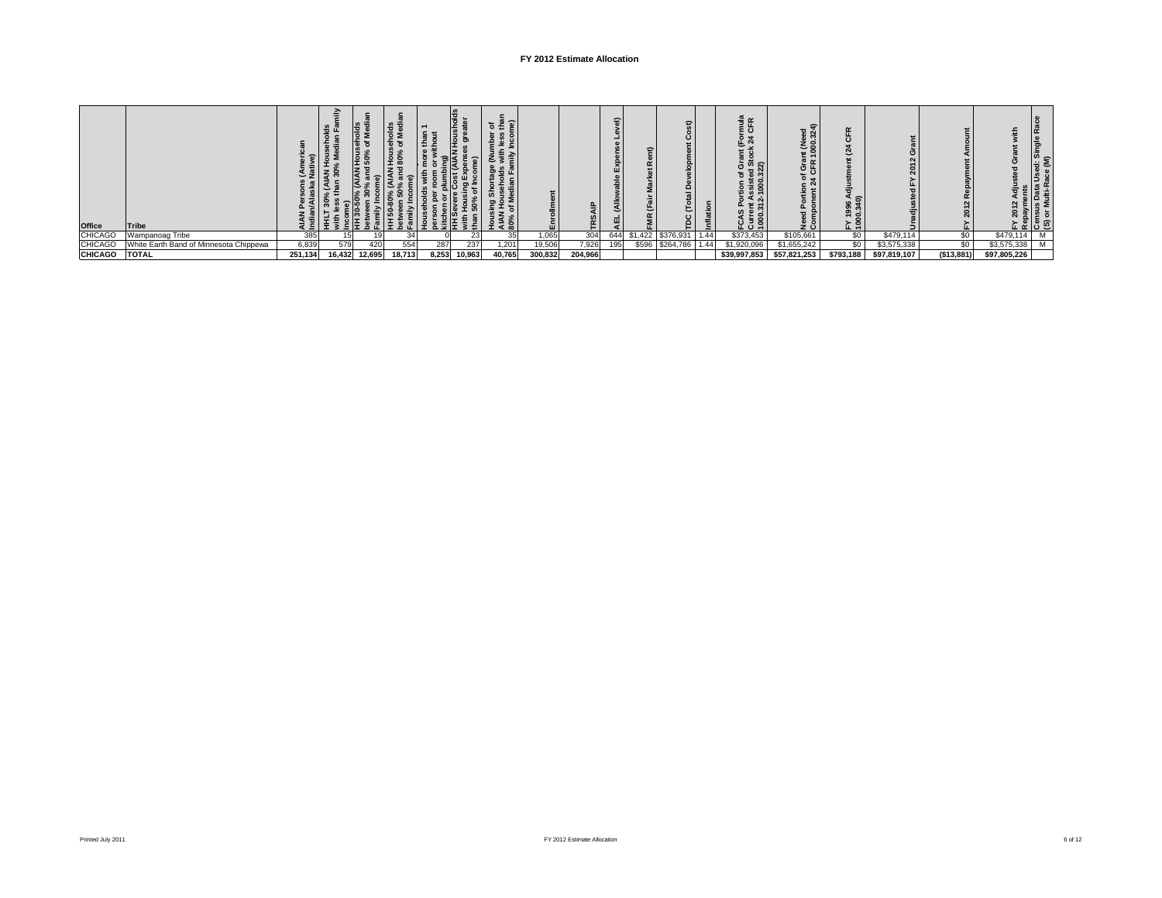## **FY 2012 Estimate Allocation**

| Office         | Tribe                                  |         |        |        | pds<br>Mac | ⊆     | Æ      | ÷      |         |         |     |             | $\mathbf{r}$ |      | ΞŒ<br>5 O<br>ี แ ∾<br>ລີ | 西兴<br>ـ ن    | $\propto$<br>ల<br>≧ 2 |              | œ<br>ź.<br>ò |              | ິສ<br>(ສ<br>. ఙ ∣౮ అ |
|----------------|----------------------------------------|---------|--------|--------|------------|-------|--------|--------|---------|---------|-----|-------------|--------------|------|--------------------------|--------------|-----------------------|--------------|--------------|--------------|----------------------|
| <b>CHICAGO</b> | Wampanoag Tribe                        | 385     |        |        |            |       |        | 35     | ,065    | 304     |     | 644 \$1,422 | \$376,931    | 1.44 | \$373,453                | \$105,661    | \$0                   | \$479,114    | \$0          | \$479,114    | M                    |
| CHICAGO        | White Earth Band of Minnesota Chippewa | 6,839   | 579    | 420    | 554        | 287   | 237    | 1,201  | 19,506  | 7,926   | 195 | \$596       | \$264,786    | 44.، | \$1,920,096              | \$1,655,242  | \$0                   | \$3,575,338  | \$0          | \$3,575,338  |                      |
| CHICAGO TOTAL  |                                        | 251,134 | 16,432 | 12,695 | 18,713     | 8,253 | 10,963 | 40,765 | 300,832 | 204,966 |     |             |              |      | \$39,997,853             | \$57,821,253 | \$793,188             | \$97,819,107 | (\$13,881)   | \$97,805,226 |                      |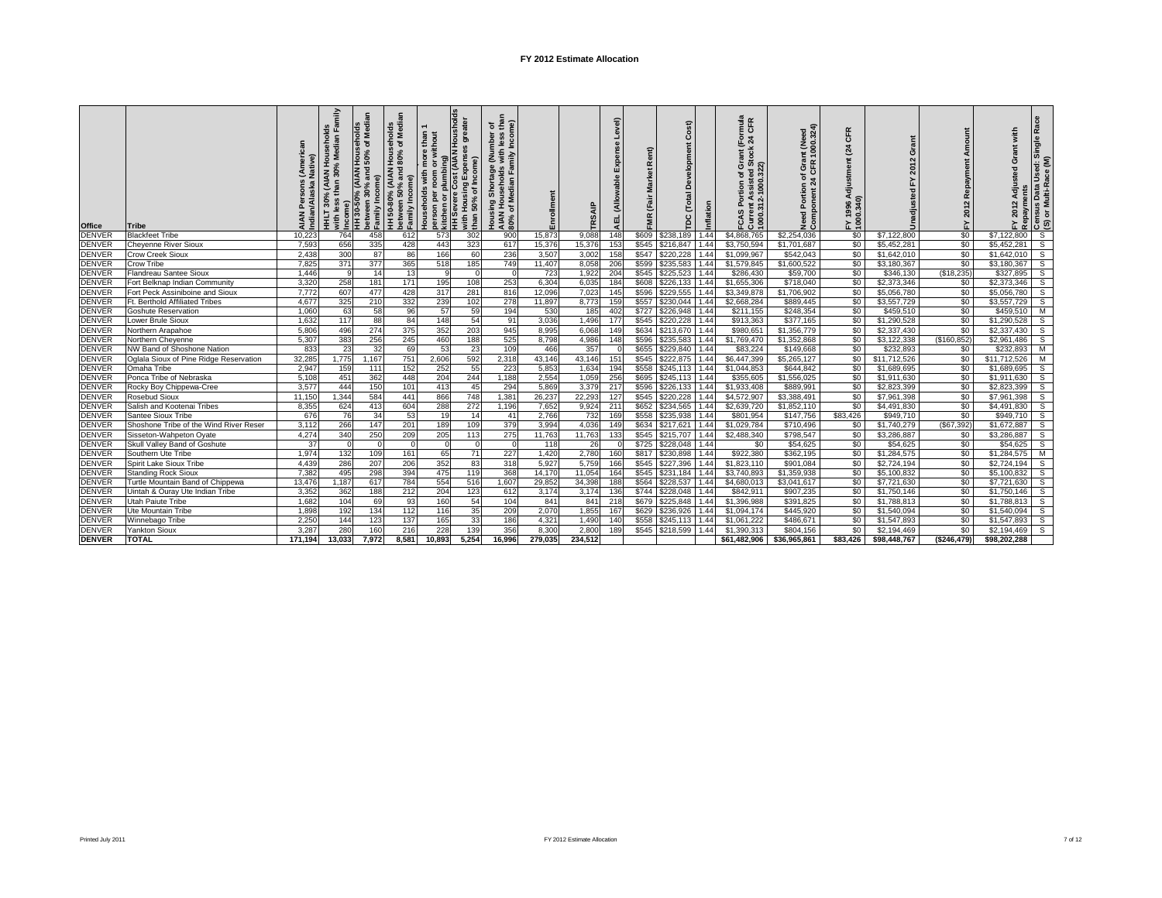## **FY 2012 Estimate Allocation**

| \$0<br><b>DENVER</b><br>10,223<br>458<br>302<br>900<br>15,873<br>148<br>\$609<br>\$4,868,765<br>\$2,254,036<br>\$0<br>\$7,122,800<br><b>Blackfeet Tribe</b><br>764<br>612<br>573<br>9,088<br>\$238,189<br>\$7,122,800<br>1.44<br>656<br>15,376<br>\$545<br>\$0<br><b>DENVER</b><br>7,593<br>335<br>428<br>443<br>323<br>617<br>15,376<br>153<br>\$216,847<br>\$3,750,594<br>\$1,701,687<br>\$0<br>\$5,452,281<br>\$5,452,281<br><b>Cheyenne River Sioux</b><br>1.44<br>\$0<br>236<br><b>DENVER</b><br>2,438<br>300<br>60<br>3,507<br>158<br>\$547<br>\$220,228<br>\$1,099,967<br>\$542,043<br>\$0<br>87<br>86<br>166<br>3,002<br>1.44<br>\$1,642,010<br>\$1,642,010<br><b>Crow Creek Sioux</b><br>7.825<br>371<br>377<br>365<br>185<br>749<br>11,407<br>\$235,583<br>\$0<br><b>DENVER</b><br>518<br>8,058<br>206<br>\$599<br>\$1,579,845<br>\$1,600,522<br>\$0<br>\$3,180,367<br>\$3,180,367<br><b>Crow Tribe</b><br>1.44<br><b>DENVER</b><br>Flandreau Santee Sioux<br>1,446<br>1,922<br>204<br>\$545<br>\$225,523<br>\$286,430<br>\$59,700<br>\$0<br>\$346,130<br>(\$18,235)<br>\$327,895<br>14<br>13<br>723<br>1.44<br>$\Omega$<br>$\Omega$<br><b>DENVER</b><br>3,320<br>258<br>171<br>253<br>6,304<br>\$226,133<br>\$1,655,306<br>\$718,040<br>\$2,373,346<br>\$0<br>\$2,373,346<br>181<br>195<br>108<br>6,035<br>184<br>\$608<br>\$0<br>Fort Belknap Indian Community<br>1.44<br>\$229,555<br>\$0<br><b>DENVER</b><br>7,772<br>607<br>428<br>281<br>12,096<br>\$596<br>\$3,349,878<br>\$5,056,780<br>\$5,056,780<br>Fort Peck Assiniboine and Sioux<br>477<br>317<br>816<br>7,023<br>145<br>1.44<br>\$1,706,902<br>\$0<br>\$0<br>4,677<br>\$230,044<br>\$0<br><b>DENVER</b><br>325<br>210<br>332<br>239<br>102<br>278<br>11,897<br>159<br>\$557<br>\$2,668,284<br>\$889,445<br>\$3,557,729<br>\$3,557,729<br>Ft. Berthold Affiliated Tribes<br>8,773<br>1.44<br>63<br>96<br>59<br>194<br>530<br>\$226,948<br>\$0<br>\$0<br><b>DENVER</b><br>1,060<br>58<br>57<br>185<br>402<br>\$727<br>\$211,155<br>\$248,354<br>\$459,510<br>\$459,510<br><b>Goshute Reservation</b><br>1.44<br><b>DENVER</b><br>\$913,363<br>\$377,165<br>\$0<br>\$0<br>\$1,290,528<br>1,632<br>117<br>88<br>84<br>148<br>54<br>91<br>3,036<br>1,496<br>\$545<br>\$220,228<br>1.44<br>\$1,290,528<br>Lower Brule Sioux<br>177<br><b>DENVER</b><br>496<br>274<br>375<br>352<br>203<br>945<br>\$634<br>\$213,670<br>\$980,651<br>\$1,356,779<br>\$0<br>\$2,337,430<br>\$0<br>5,806<br>8,995<br>6,068<br>149<br>\$2,337,430<br>1.44<br>Northern Arapahoe<br>383<br>525<br>\$596<br>\$235,583<br><b>DENVER</b><br>5,307<br>245<br>188<br>148<br>\$1,769,470<br>\$1,352,868<br>\$3,122,338<br>(\$160,852)<br>\$2,961,486<br>Northern Cheyenne<br>256<br>460<br>8,798<br>4,986<br>1.44<br>\$0<br>833<br>23<br>23<br>109<br>357<br>\$655<br>\$229,840<br>\$0<br>\$232,893<br>\$0<br>\$232,893<br><b>DENVER</b><br>NW Band of Shoshone Nation<br>32<br>69<br>53<br>466<br>1.44<br>\$83,224<br>\$149,668<br>$\Omega$<br>592<br><b>DENVER</b><br>32.285<br>1,775<br>751<br>2,318<br>\$222,875<br>\$0<br>\$11,712,526<br>\$0<br>1.167<br>2.606<br>43,146<br>43,146<br>151<br>\$545<br>\$6,447,399<br>\$5,265,127<br>\$11,712,526<br>Oglala Sioux of Pine Ridge Reservation<br>1.44<br>\$0<br><b>DENVER</b><br>2,947<br>55<br>223<br>\$558<br>\$644,842<br>\$0<br>Omaha Tribe<br>159<br>152<br>252<br>5,853<br>1,634<br>194<br>\$245,113<br>\$1,044,853<br>\$1,689,695<br>\$1,689,695<br>111<br>1.44<br>\$0<br><b>DENVER</b><br>451<br>362<br>448<br>204<br>244<br>1,188<br>2,554<br>256<br>\$245,113<br>\$1,556,025<br>\$0<br>5,108<br>1,059<br>\$695<br>\$355,605<br>\$1,911,630<br>\$1,911,630<br>Ponca Tribe of Nebraska<br>1.44<br>444<br>3,57<br>45<br>294<br>\$596<br>\$889,991<br>\$2,823,399<br>\$0<br>\$2,823,399<br><b>DENVER</b><br>150<br>101<br>413<br>5,869<br>3,379<br>\$226,133<br>\$1,933,408<br>\$0<br>Rocky Boy Chippewa-Cree<br>217<br>1.44<br>\$0<br><b>DENVER</b><br>1,344<br>866<br>1,381<br>26,237<br>22.293<br>\$545<br>\$220,228<br>\$3,388,491<br>\$0<br>\$7,961,398<br>\$7,961,398<br>11,150<br>584<br>441<br>748<br>127<br>\$4,572,907<br>Rosebud Sioux<br>1.44<br>\$0<br><b>DENVER</b><br>624<br>604<br>272<br>1,196<br>\$652<br>\$234,565<br>\$1,852,110<br>\$0<br>8,355<br>413<br>288<br>7,652<br>9,924<br>211<br>\$2,639,720<br>\$4,491,830<br>\$4,491,830<br>Salish and Kootenai Tribes<br>1.44<br>\$0<br><b>DENVER</b><br>676<br>76<br>53<br>2,766<br>732<br>\$558<br>\$235,938<br>\$801,954<br>\$83,426<br>\$949,710<br>\$949,710<br>Santee Sioux Tribe<br>34<br>19<br>14<br>41<br>169<br>1.44<br>\$147,756<br>379<br>(S67, 392)<br><b>DENVER</b><br>3,112<br>266<br>201<br>3,994<br>4,036<br>\$217,621<br>\$1,740,279<br>Shoshone Tribe of the Wind River Reser<br>147<br>109<br>149<br>\$634<br>\$1,029,784<br>\$710,496<br>\$0<br>\$1,672,887<br>189<br>1.44<br>4,274<br>340<br>209<br>\$0<br><b>DENVER</b><br>250<br>113<br>275<br>11,763<br>11,763<br>\$545<br>\$215,707<br>\$2,488,340<br>\$798,547<br>\$0<br>\$3,286,887<br>\$3,286,887<br>Sisseton-Wahpeton Oyate<br>205<br>133<br>1.44<br>\$0<br><b>DENVER</b><br>\$725<br>\$228,048<br>\$54,625<br>\$0<br>Skull Valley Band of Goshute<br>37<br>26<br>\$0<br>\$54,625<br>\$54,625<br>118<br>1.44<br>$\mathbf{0}$<br>$\Omega$<br>$\Omega$<br>$\Omega$<br>\$922,380<br>\$1,284,575<br>\$0<br><b>DENVER</b><br>1,974<br>132<br>71<br>227<br>1,420<br>2,780<br>\$362,195<br>\$0<br>\$1,284,575<br>Southern Ute Tribe<br>109<br>161<br>65<br>160<br>\$817<br>\$230,898<br>1.44<br>\$0<br><b>DENVER</b><br>286<br>352<br>\$545<br>\$227,396<br>\$1,823,110<br>\$901,084<br>\$0<br>\$2,724,194<br>\$2,724,194<br>Spirit Lake Sioux Tribe<br>4,439<br>207<br>206<br>83<br>318<br>5,927<br>5,759<br>166<br>1.44<br>7.382<br>368<br>14,170<br>11,054<br>\$0<br><b>DENVER</b><br>495<br>298<br>394<br>475<br>119<br>164<br>\$545<br>\$231,184<br>\$3,740,893<br>\$1,359,938<br>\$0<br>\$5,100,832<br>\$5,100,832<br><b>Standing Rock Sioux</b><br>1.44<br>34,398<br>\$564<br>\$228,537<br>\$0<br><b>DENVER</b><br>Turtle Mountain Band of Chippewa<br>13,476<br>1,187<br>617<br>784<br>554<br>516<br>1,607<br>29,852<br>188<br>\$4,680,013<br>\$3,041,617<br>\$0<br>\$7,721,630<br>\$7,721,630<br>1.44<br>\$228,048<br>\$0<br><b>DENVER</b><br>362<br>123<br>\$744<br>\$842,911<br>\$907,235<br>\$0<br>\$1,750,146<br>Uintah & Ouray Ute Indian Tribe<br>3,352<br>188<br>212<br>204<br>612<br>3,174<br>3,174<br>136<br>1.44<br>\$1,750,146<br>\$0<br>104<br><b>DENVER</b><br><b>Utah Paiute Tribe</b><br>1,682<br>93<br>160<br>54<br>104<br>841<br>841<br>218<br>\$679<br>\$225,848<br>\$1,396,988<br>\$391,825<br>\$0<br>\$1,788,813<br>\$1,788,813<br>69<br>1.44<br><b>DENVER</b><br>1,898<br>112<br>35<br>209<br>2,070<br>\$629<br>\$236,926<br>\$1,094,174<br>\$445,920<br>\$0<br>\$1,540,094<br>\$0<br>\$1,540,094<br>Ute Mountain Tribe<br>192<br>134<br>116<br>1,855<br>167<br>1.44<br>\$0<br><b>DENVER</b><br>2,250<br>144<br>137<br>33<br>186<br>4,321<br>1,490<br>140<br>\$558<br>\$245,113<br>\$486,671<br>\$0<br>\$1,547,893<br>123<br>165<br>\$1,061,222<br>\$1,547,893<br>Winnebago Tribe<br>1.44<br>280<br>\$218,599<br>\$0<br>\$2,194,469<br><b>DENVER</b><br>3,287<br>216<br>228<br>139<br>356<br>8,300<br>\$545<br>\$1,390,313<br>\$804,156<br>\$0<br>\$2,194,469<br><b>Yankton Sioux</b><br>160<br>2,800<br>189<br>1.44 | Office        | <b>Tribe</b> | s (American<br>Native) | lds<br>Family<br>Income)<br>HH 30-50% (AIAN Households<br>HHLT 30% (AIAN Househol<br>with less than 30% Median | ត<br>Media<br>and 50% of<br>between 30% an<br>Family Income) | HH 50-80% (AIAN Households<br>between 50% and 80% of Median<br>Family Income) | Households with more than 1<br>, person per room or without<br>3 kitchen or plumbing)<br>HH Severe Cost (AIAN Housholds | greater<br>$\boldsymbol{v}$<br>with Housing Expense<br>than 50% of Income) | $\blacksquare$<br>Housing Shortage (Number of<br>AIAN Households with less tha<br>80% of Median Family Income) | Enrollment | TRSAIP  | Level)<br>Ēxē<br>owable<br>ર્ચ<br>AEL | Rent)<br><b>Market</b><br>FMR (Fair | Cost)<br>Development<br>Total<br>pc | Inflation | rmula<br>CFR<br>$\frac{6}{24}$<br> FCAS Portion of Grant (F<br> Current Assisted Stock 2<br> 1000.312-1000.322) | f Grant (Need<br>CFR 1000.324)<br>Need Portion of (<br>Component 24 C<br>Component | CFR<br>$\overline{a}$<br>FY 1996 Adjustment<br>1000.340) | Grant<br>2012<br>됴<br>Jnadjusted | Repayment Amount<br>FY 2012 | with<br>Grant<br>놊 | Rac<br>,<br>  Repayments<br>  Census Data Used: Single R<br>  2(S) or Multi-Race (M) |
|--------------------------------------------------------------------------------------------------------------------------------------------------------------------------------------------------------------------------------------------------------------------------------------------------------------------------------------------------------------------------------------------------------------------------------------------------------------------------------------------------------------------------------------------------------------------------------------------------------------------------------------------------------------------------------------------------------------------------------------------------------------------------------------------------------------------------------------------------------------------------------------------------------------------------------------------------------------------------------------------------------------------------------------------------------------------------------------------------------------------------------------------------------------------------------------------------------------------------------------------------------------------------------------------------------------------------------------------------------------------------------------------------------------------------------------------------------------------------------------------------------------------------------------------------------------------------------------------------------------------------------------------------------------------------------------------------------------------------------------------------------------------------------------------------------------------------------------------------------------------------------------------------------------------------------------------------------------------------------------------------------------------------------------------------------------------------------------------------------------------------------------------------------------------------------------------------------------------------------------------------------------------------------------------------------------------------------------------------------------------------------------------------------------------------------------------------------------------------------------------------------------------------------------------------------------------------------------------------------------------------------------------------------------------------------------------------------------------------------------------------------------------------------------------------------------------------------------------------------------------------------------------------------------------------------------------------------------------------------------------------------------------------------------------------------------------------------------------------------------------------------------------------------------------------------------------------------------------------------------------------------------------------------------------------------------------------------------------------------------------------------------------------------------------------------------------------------------------------------------------------------------------------------------------------------------------------------------------------------------------------------------------------------------------------------------------------------------------------------------------------------------------------------------------------------------------------------------------------------------------------------------------------------------------------------------------------------------------------------------------------------------------------------------------------------------------------------------------------------------------------------------------------------------------------------------------------------------------------------------------------------------------------------------------------------------------------------------------------------------------------------------------------------------------------------------------------------------------------------------------------------------------------------------------------------------------------------------------------------------------------------------------------------------------------------------------------------------------------------------------------------------------------------------------------------------------------------------------------------------------------------------------------------------------------------------------------------------------------------------------------------------------------------------------------------------------------------------------------------------------------------------------------------------------------------------------------------------------------------------------------------------------------------------------------------------------------------------------------------------------------------------------------------------------------------------------------------------------------------------------------------------------------------------------------------------------------------------------------------------------------------------------------------------------------------------------------------------------------------------------------------------------------------------------------------------------------------------------------------------------------------------------------------------------------------------------------------------------------------------------------------------------------------------------------------------------------------------------------------------------------------------------------------------------------------------------------------------------------------------------------------------------------------------------------------------------------------------------------------------------------------------------------------------------------------------------------------------------------------------------------------------------------------------------------------------------------------------------------------------------------------------------------------------------------------------------------------------------------------------------------------------------------------------------------------------------------------------------------------------------------------------------------------------------------------------------------------------------------------------------------------------------------------------------------------------------------------------------------------------------------------------------------------------------------------------------------------------------------------------------------------------------------------------------------------------------------------------------------------------------------------------------|---------------|--------------|------------------------|----------------------------------------------------------------------------------------------------------------|--------------------------------------------------------------|-------------------------------------------------------------------------------|-------------------------------------------------------------------------------------------------------------------------|----------------------------------------------------------------------------|----------------------------------------------------------------------------------------------------------------|------------|---------|---------------------------------------|-------------------------------------|-------------------------------------|-----------|-----------------------------------------------------------------------------------------------------------------|------------------------------------------------------------------------------------|----------------------------------------------------------|----------------------------------|-----------------------------|--------------------|--------------------------------------------------------------------------------------|
|                                                                                                                                                                                                                                                                                                                                                                                                                                                                                                                                                                                                                                                                                                                                                                                                                                                                                                                                                                                                                                                                                                                                                                                                                                                                                                                                                                                                                                                                                                                                                                                                                                                                                                                                                                                                                                                                                                                                                                                                                                                                                                                                                                                                                                                                                                                                                                                                                                                                                                                                                                                                                                                                                                                                                                                                                                                                                                                                                                                                                                                                                                                                                                                                                                                                                                                                                                                                                                                                                                                                                                                                                                                                                                                                                                                                                                                                                                                                                                                                                                                                                                                                                                                                                                                                                                                                                                                                                                                                                                                                                                                                                                                                                                                                                                                                                                                                                                                                                                                                                                                                                                                                                                                                                                                                                                                                                                                                                                                                                                                                                                                                                                                                                                                                                                                                                                                                                                                                                                                                                                                                                                                                                                                                                                                                                                                                                                                                                                                                                                                                                                                                                                                                                                                                                                                                                                                                                                                                                                                                                                                                                                                                                                                                                                                                                                                                                                                            |               |              |                        |                                                                                                                |                                                              |                                                                               |                                                                                                                         |                                                                            |                                                                                                                |            |         |                                       |                                     |                                     |           |                                                                                                                 |                                                                                    |                                                          |                                  |                             |                    | s                                                                                    |
|                                                                                                                                                                                                                                                                                                                                                                                                                                                                                                                                                                                                                                                                                                                                                                                                                                                                                                                                                                                                                                                                                                                                                                                                                                                                                                                                                                                                                                                                                                                                                                                                                                                                                                                                                                                                                                                                                                                                                                                                                                                                                                                                                                                                                                                                                                                                                                                                                                                                                                                                                                                                                                                                                                                                                                                                                                                                                                                                                                                                                                                                                                                                                                                                                                                                                                                                                                                                                                                                                                                                                                                                                                                                                                                                                                                                                                                                                                                                                                                                                                                                                                                                                                                                                                                                                                                                                                                                                                                                                                                                                                                                                                                                                                                                                                                                                                                                                                                                                                                                                                                                                                                                                                                                                                                                                                                                                                                                                                                                                                                                                                                                                                                                                                                                                                                                                                                                                                                                                                                                                                                                                                                                                                                                                                                                                                                                                                                                                                                                                                                                                                                                                                                                                                                                                                                                                                                                                                                                                                                                                                                                                                                                                                                                                                                                                                                                                                                            |               |              |                        |                                                                                                                |                                                              |                                                                               |                                                                                                                         |                                                                            |                                                                                                                |            |         |                                       |                                     |                                     |           |                                                                                                                 |                                                                                    |                                                          |                                  |                             |                    | s                                                                                    |
|                                                                                                                                                                                                                                                                                                                                                                                                                                                                                                                                                                                                                                                                                                                                                                                                                                                                                                                                                                                                                                                                                                                                                                                                                                                                                                                                                                                                                                                                                                                                                                                                                                                                                                                                                                                                                                                                                                                                                                                                                                                                                                                                                                                                                                                                                                                                                                                                                                                                                                                                                                                                                                                                                                                                                                                                                                                                                                                                                                                                                                                                                                                                                                                                                                                                                                                                                                                                                                                                                                                                                                                                                                                                                                                                                                                                                                                                                                                                                                                                                                                                                                                                                                                                                                                                                                                                                                                                                                                                                                                                                                                                                                                                                                                                                                                                                                                                                                                                                                                                                                                                                                                                                                                                                                                                                                                                                                                                                                                                                                                                                                                                                                                                                                                                                                                                                                                                                                                                                                                                                                                                                                                                                                                                                                                                                                                                                                                                                                                                                                                                                                                                                                                                                                                                                                                                                                                                                                                                                                                                                                                                                                                                                                                                                                                                                                                                                                                            |               |              |                        |                                                                                                                |                                                              |                                                                               |                                                                                                                         |                                                                            |                                                                                                                |            |         |                                       |                                     |                                     |           |                                                                                                                 |                                                                                    |                                                          |                                  |                             |                    | S                                                                                    |
|                                                                                                                                                                                                                                                                                                                                                                                                                                                                                                                                                                                                                                                                                                                                                                                                                                                                                                                                                                                                                                                                                                                                                                                                                                                                                                                                                                                                                                                                                                                                                                                                                                                                                                                                                                                                                                                                                                                                                                                                                                                                                                                                                                                                                                                                                                                                                                                                                                                                                                                                                                                                                                                                                                                                                                                                                                                                                                                                                                                                                                                                                                                                                                                                                                                                                                                                                                                                                                                                                                                                                                                                                                                                                                                                                                                                                                                                                                                                                                                                                                                                                                                                                                                                                                                                                                                                                                                                                                                                                                                                                                                                                                                                                                                                                                                                                                                                                                                                                                                                                                                                                                                                                                                                                                                                                                                                                                                                                                                                                                                                                                                                                                                                                                                                                                                                                                                                                                                                                                                                                                                                                                                                                                                                                                                                                                                                                                                                                                                                                                                                                                                                                                                                                                                                                                                                                                                                                                                                                                                                                                                                                                                                                                                                                                                                                                                                                                                            |               |              |                        |                                                                                                                |                                                              |                                                                               |                                                                                                                         |                                                                            |                                                                                                                |            |         |                                       |                                     |                                     |           |                                                                                                                 |                                                                                    |                                                          |                                  |                             |                    | S                                                                                    |
|                                                                                                                                                                                                                                                                                                                                                                                                                                                                                                                                                                                                                                                                                                                                                                                                                                                                                                                                                                                                                                                                                                                                                                                                                                                                                                                                                                                                                                                                                                                                                                                                                                                                                                                                                                                                                                                                                                                                                                                                                                                                                                                                                                                                                                                                                                                                                                                                                                                                                                                                                                                                                                                                                                                                                                                                                                                                                                                                                                                                                                                                                                                                                                                                                                                                                                                                                                                                                                                                                                                                                                                                                                                                                                                                                                                                                                                                                                                                                                                                                                                                                                                                                                                                                                                                                                                                                                                                                                                                                                                                                                                                                                                                                                                                                                                                                                                                                                                                                                                                                                                                                                                                                                                                                                                                                                                                                                                                                                                                                                                                                                                                                                                                                                                                                                                                                                                                                                                                                                                                                                                                                                                                                                                                                                                                                                                                                                                                                                                                                                                                                                                                                                                                                                                                                                                                                                                                                                                                                                                                                                                                                                                                                                                                                                                                                                                                                                                            |               |              |                        |                                                                                                                |                                                              |                                                                               |                                                                                                                         |                                                                            |                                                                                                                |            |         |                                       |                                     |                                     |           |                                                                                                                 |                                                                                    |                                                          |                                  |                             |                    | S,                                                                                   |
|                                                                                                                                                                                                                                                                                                                                                                                                                                                                                                                                                                                                                                                                                                                                                                                                                                                                                                                                                                                                                                                                                                                                                                                                                                                                                                                                                                                                                                                                                                                                                                                                                                                                                                                                                                                                                                                                                                                                                                                                                                                                                                                                                                                                                                                                                                                                                                                                                                                                                                                                                                                                                                                                                                                                                                                                                                                                                                                                                                                                                                                                                                                                                                                                                                                                                                                                                                                                                                                                                                                                                                                                                                                                                                                                                                                                                                                                                                                                                                                                                                                                                                                                                                                                                                                                                                                                                                                                                                                                                                                                                                                                                                                                                                                                                                                                                                                                                                                                                                                                                                                                                                                                                                                                                                                                                                                                                                                                                                                                                                                                                                                                                                                                                                                                                                                                                                                                                                                                                                                                                                                                                                                                                                                                                                                                                                                                                                                                                                                                                                                                                                                                                                                                                                                                                                                                                                                                                                                                                                                                                                                                                                                                                                                                                                                                                                                                                                                            |               |              |                        |                                                                                                                |                                                              |                                                                               |                                                                                                                         |                                                                            |                                                                                                                |            |         |                                       |                                     |                                     |           |                                                                                                                 |                                                                                    |                                                          |                                  |                             |                    | S,                                                                                   |
|                                                                                                                                                                                                                                                                                                                                                                                                                                                                                                                                                                                                                                                                                                                                                                                                                                                                                                                                                                                                                                                                                                                                                                                                                                                                                                                                                                                                                                                                                                                                                                                                                                                                                                                                                                                                                                                                                                                                                                                                                                                                                                                                                                                                                                                                                                                                                                                                                                                                                                                                                                                                                                                                                                                                                                                                                                                                                                                                                                                                                                                                                                                                                                                                                                                                                                                                                                                                                                                                                                                                                                                                                                                                                                                                                                                                                                                                                                                                                                                                                                                                                                                                                                                                                                                                                                                                                                                                                                                                                                                                                                                                                                                                                                                                                                                                                                                                                                                                                                                                                                                                                                                                                                                                                                                                                                                                                                                                                                                                                                                                                                                                                                                                                                                                                                                                                                                                                                                                                                                                                                                                                                                                                                                                                                                                                                                                                                                                                                                                                                                                                                                                                                                                                                                                                                                                                                                                                                                                                                                                                                                                                                                                                                                                                                                                                                                                                                                            |               |              |                        |                                                                                                                |                                                              |                                                                               |                                                                                                                         |                                                                            |                                                                                                                |            |         |                                       |                                     |                                     |           |                                                                                                                 |                                                                                    |                                                          |                                  |                             |                    | $\overline{s}$                                                                       |
|                                                                                                                                                                                                                                                                                                                                                                                                                                                                                                                                                                                                                                                                                                                                                                                                                                                                                                                                                                                                                                                                                                                                                                                                                                                                                                                                                                                                                                                                                                                                                                                                                                                                                                                                                                                                                                                                                                                                                                                                                                                                                                                                                                                                                                                                                                                                                                                                                                                                                                                                                                                                                                                                                                                                                                                                                                                                                                                                                                                                                                                                                                                                                                                                                                                                                                                                                                                                                                                                                                                                                                                                                                                                                                                                                                                                                                                                                                                                                                                                                                                                                                                                                                                                                                                                                                                                                                                                                                                                                                                                                                                                                                                                                                                                                                                                                                                                                                                                                                                                                                                                                                                                                                                                                                                                                                                                                                                                                                                                                                                                                                                                                                                                                                                                                                                                                                                                                                                                                                                                                                                                                                                                                                                                                                                                                                                                                                                                                                                                                                                                                                                                                                                                                                                                                                                                                                                                                                                                                                                                                                                                                                                                                                                                                                                                                                                                                                                            |               |              |                        |                                                                                                                |                                                              |                                                                               |                                                                                                                         |                                                                            |                                                                                                                |            |         |                                       |                                     |                                     |           |                                                                                                                 |                                                                                    |                                                          |                                  |                             |                    | s                                                                                    |
|                                                                                                                                                                                                                                                                                                                                                                                                                                                                                                                                                                                                                                                                                                                                                                                                                                                                                                                                                                                                                                                                                                                                                                                                                                                                                                                                                                                                                                                                                                                                                                                                                                                                                                                                                                                                                                                                                                                                                                                                                                                                                                                                                                                                                                                                                                                                                                                                                                                                                                                                                                                                                                                                                                                                                                                                                                                                                                                                                                                                                                                                                                                                                                                                                                                                                                                                                                                                                                                                                                                                                                                                                                                                                                                                                                                                                                                                                                                                                                                                                                                                                                                                                                                                                                                                                                                                                                                                                                                                                                                                                                                                                                                                                                                                                                                                                                                                                                                                                                                                                                                                                                                                                                                                                                                                                                                                                                                                                                                                                                                                                                                                                                                                                                                                                                                                                                                                                                                                                                                                                                                                                                                                                                                                                                                                                                                                                                                                                                                                                                                                                                                                                                                                                                                                                                                                                                                                                                                                                                                                                                                                                                                                                                                                                                                                                                                                                                                            |               |              |                        |                                                                                                                |                                                              |                                                                               |                                                                                                                         |                                                                            |                                                                                                                |            |         |                                       |                                     |                                     |           |                                                                                                                 |                                                                                    |                                                          |                                  |                             |                    | M                                                                                    |
|                                                                                                                                                                                                                                                                                                                                                                                                                                                                                                                                                                                                                                                                                                                                                                                                                                                                                                                                                                                                                                                                                                                                                                                                                                                                                                                                                                                                                                                                                                                                                                                                                                                                                                                                                                                                                                                                                                                                                                                                                                                                                                                                                                                                                                                                                                                                                                                                                                                                                                                                                                                                                                                                                                                                                                                                                                                                                                                                                                                                                                                                                                                                                                                                                                                                                                                                                                                                                                                                                                                                                                                                                                                                                                                                                                                                                                                                                                                                                                                                                                                                                                                                                                                                                                                                                                                                                                                                                                                                                                                                                                                                                                                                                                                                                                                                                                                                                                                                                                                                                                                                                                                                                                                                                                                                                                                                                                                                                                                                                                                                                                                                                                                                                                                                                                                                                                                                                                                                                                                                                                                                                                                                                                                                                                                                                                                                                                                                                                                                                                                                                                                                                                                                                                                                                                                                                                                                                                                                                                                                                                                                                                                                                                                                                                                                                                                                                                                            |               |              |                        |                                                                                                                |                                                              |                                                                               |                                                                                                                         |                                                                            |                                                                                                                |            |         |                                       |                                     |                                     |           |                                                                                                                 |                                                                                    |                                                          |                                  |                             |                    | s                                                                                    |
|                                                                                                                                                                                                                                                                                                                                                                                                                                                                                                                                                                                                                                                                                                                                                                                                                                                                                                                                                                                                                                                                                                                                                                                                                                                                                                                                                                                                                                                                                                                                                                                                                                                                                                                                                                                                                                                                                                                                                                                                                                                                                                                                                                                                                                                                                                                                                                                                                                                                                                                                                                                                                                                                                                                                                                                                                                                                                                                                                                                                                                                                                                                                                                                                                                                                                                                                                                                                                                                                                                                                                                                                                                                                                                                                                                                                                                                                                                                                                                                                                                                                                                                                                                                                                                                                                                                                                                                                                                                                                                                                                                                                                                                                                                                                                                                                                                                                                                                                                                                                                                                                                                                                                                                                                                                                                                                                                                                                                                                                                                                                                                                                                                                                                                                                                                                                                                                                                                                                                                                                                                                                                                                                                                                                                                                                                                                                                                                                                                                                                                                                                                                                                                                                                                                                                                                                                                                                                                                                                                                                                                                                                                                                                                                                                                                                                                                                                                                            |               |              |                        |                                                                                                                |                                                              |                                                                               |                                                                                                                         |                                                                            |                                                                                                                |            |         |                                       |                                     |                                     |           |                                                                                                                 |                                                                                    |                                                          |                                  |                             |                    | S,                                                                                   |
|                                                                                                                                                                                                                                                                                                                                                                                                                                                                                                                                                                                                                                                                                                                                                                                                                                                                                                                                                                                                                                                                                                                                                                                                                                                                                                                                                                                                                                                                                                                                                                                                                                                                                                                                                                                                                                                                                                                                                                                                                                                                                                                                                                                                                                                                                                                                                                                                                                                                                                                                                                                                                                                                                                                                                                                                                                                                                                                                                                                                                                                                                                                                                                                                                                                                                                                                                                                                                                                                                                                                                                                                                                                                                                                                                                                                                                                                                                                                                                                                                                                                                                                                                                                                                                                                                                                                                                                                                                                                                                                                                                                                                                                                                                                                                                                                                                                                                                                                                                                                                                                                                                                                                                                                                                                                                                                                                                                                                                                                                                                                                                                                                                                                                                                                                                                                                                                                                                                                                                                                                                                                                                                                                                                                                                                                                                                                                                                                                                                                                                                                                                                                                                                                                                                                                                                                                                                                                                                                                                                                                                                                                                                                                                                                                                                                                                                                                                                            |               |              |                        |                                                                                                                |                                                              |                                                                               |                                                                                                                         |                                                                            |                                                                                                                |            |         |                                       |                                     |                                     |           |                                                                                                                 |                                                                                    |                                                          |                                  |                             |                    | S                                                                                    |
|                                                                                                                                                                                                                                                                                                                                                                                                                                                                                                                                                                                                                                                                                                                                                                                                                                                                                                                                                                                                                                                                                                                                                                                                                                                                                                                                                                                                                                                                                                                                                                                                                                                                                                                                                                                                                                                                                                                                                                                                                                                                                                                                                                                                                                                                                                                                                                                                                                                                                                                                                                                                                                                                                                                                                                                                                                                                                                                                                                                                                                                                                                                                                                                                                                                                                                                                                                                                                                                                                                                                                                                                                                                                                                                                                                                                                                                                                                                                                                                                                                                                                                                                                                                                                                                                                                                                                                                                                                                                                                                                                                                                                                                                                                                                                                                                                                                                                                                                                                                                                                                                                                                                                                                                                                                                                                                                                                                                                                                                                                                                                                                                                                                                                                                                                                                                                                                                                                                                                                                                                                                                                                                                                                                                                                                                                                                                                                                                                                                                                                                                                                                                                                                                                                                                                                                                                                                                                                                                                                                                                                                                                                                                                                                                                                                                                                                                                                                            |               |              |                        |                                                                                                                |                                                              |                                                                               |                                                                                                                         |                                                                            |                                                                                                                |            |         |                                       |                                     |                                     |           |                                                                                                                 |                                                                                    |                                                          |                                  |                             |                    | M                                                                                    |
|                                                                                                                                                                                                                                                                                                                                                                                                                                                                                                                                                                                                                                                                                                                                                                                                                                                                                                                                                                                                                                                                                                                                                                                                                                                                                                                                                                                                                                                                                                                                                                                                                                                                                                                                                                                                                                                                                                                                                                                                                                                                                                                                                                                                                                                                                                                                                                                                                                                                                                                                                                                                                                                                                                                                                                                                                                                                                                                                                                                                                                                                                                                                                                                                                                                                                                                                                                                                                                                                                                                                                                                                                                                                                                                                                                                                                                                                                                                                                                                                                                                                                                                                                                                                                                                                                                                                                                                                                                                                                                                                                                                                                                                                                                                                                                                                                                                                                                                                                                                                                                                                                                                                                                                                                                                                                                                                                                                                                                                                                                                                                                                                                                                                                                                                                                                                                                                                                                                                                                                                                                                                                                                                                                                                                                                                                                                                                                                                                                                                                                                                                                                                                                                                                                                                                                                                                                                                                                                                                                                                                                                                                                                                                                                                                                                                                                                                                                                            |               |              |                        |                                                                                                                |                                                              |                                                                               |                                                                                                                         |                                                                            |                                                                                                                |            |         |                                       |                                     |                                     |           |                                                                                                                 |                                                                                    |                                                          |                                  |                             |                    | M                                                                                    |
|                                                                                                                                                                                                                                                                                                                                                                                                                                                                                                                                                                                                                                                                                                                                                                                                                                                                                                                                                                                                                                                                                                                                                                                                                                                                                                                                                                                                                                                                                                                                                                                                                                                                                                                                                                                                                                                                                                                                                                                                                                                                                                                                                                                                                                                                                                                                                                                                                                                                                                                                                                                                                                                                                                                                                                                                                                                                                                                                                                                                                                                                                                                                                                                                                                                                                                                                                                                                                                                                                                                                                                                                                                                                                                                                                                                                                                                                                                                                                                                                                                                                                                                                                                                                                                                                                                                                                                                                                                                                                                                                                                                                                                                                                                                                                                                                                                                                                                                                                                                                                                                                                                                                                                                                                                                                                                                                                                                                                                                                                                                                                                                                                                                                                                                                                                                                                                                                                                                                                                                                                                                                                                                                                                                                                                                                                                                                                                                                                                                                                                                                                                                                                                                                                                                                                                                                                                                                                                                                                                                                                                                                                                                                                                                                                                                                                                                                                                                            |               |              |                        |                                                                                                                |                                                              |                                                                               |                                                                                                                         |                                                                            |                                                                                                                |            |         |                                       |                                     |                                     |           |                                                                                                                 |                                                                                    |                                                          |                                  |                             |                    | s                                                                                    |
|                                                                                                                                                                                                                                                                                                                                                                                                                                                                                                                                                                                                                                                                                                                                                                                                                                                                                                                                                                                                                                                                                                                                                                                                                                                                                                                                                                                                                                                                                                                                                                                                                                                                                                                                                                                                                                                                                                                                                                                                                                                                                                                                                                                                                                                                                                                                                                                                                                                                                                                                                                                                                                                                                                                                                                                                                                                                                                                                                                                                                                                                                                                                                                                                                                                                                                                                                                                                                                                                                                                                                                                                                                                                                                                                                                                                                                                                                                                                                                                                                                                                                                                                                                                                                                                                                                                                                                                                                                                                                                                                                                                                                                                                                                                                                                                                                                                                                                                                                                                                                                                                                                                                                                                                                                                                                                                                                                                                                                                                                                                                                                                                                                                                                                                                                                                                                                                                                                                                                                                                                                                                                                                                                                                                                                                                                                                                                                                                                                                                                                                                                                                                                                                                                                                                                                                                                                                                                                                                                                                                                                                                                                                                                                                                                                                                                                                                                                                            |               |              |                        |                                                                                                                |                                                              |                                                                               |                                                                                                                         |                                                                            |                                                                                                                |            |         |                                       |                                     |                                     |           |                                                                                                                 |                                                                                    |                                                          |                                  |                             |                    | S,                                                                                   |
|                                                                                                                                                                                                                                                                                                                                                                                                                                                                                                                                                                                                                                                                                                                                                                                                                                                                                                                                                                                                                                                                                                                                                                                                                                                                                                                                                                                                                                                                                                                                                                                                                                                                                                                                                                                                                                                                                                                                                                                                                                                                                                                                                                                                                                                                                                                                                                                                                                                                                                                                                                                                                                                                                                                                                                                                                                                                                                                                                                                                                                                                                                                                                                                                                                                                                                                                                                                                                                                                                                                                                                                                                                                                                                                                                                                                                                                                                                                                                                                                                                                                                                                                                                                                                                                                                                                                                                                                                                                                                                                                                                                                                                                                                                                                                                                                                                                                                                                                                                                                                                                                                                                                                                                                                                                                                                                                                                                                                                                                                                                                                                                                                                                                                                                                                                                                                                                                                                                                                                                                                                                                                                                                                                                                                                                                                                                                                                                                                                                                                                                                                                                                                                                                                                                                                                                                                                                                                                                                                                                                                                                                                                                                                                                                                                                                                                                                                                                            |               |              |                        |                                                                                                                |                                                              |                                                                               |                                                                                                                         |                                                                            |                                                                                                                |            |         |                                       |                                     |                                     |           |                                                                                                                 |                                                                                    |                                                          |                                  |                             |                    | s                                                                                    |
|                                                                                                                                                                                                                                                                                                                                                                                                                                                                                                                                                                                                                                                                                                                                                                                                                                                                                                                                                                                                                                                                                                                                                                                                                                                                                                                                                                                                                                                                                                                                                                                                                                                                                                                                                                                                                                                                                                                                                                                                                                                                                                                                                                                                                                                                                                                                                                                                                                                                                                                                                                                                                                                                                                                                                                                                                                                                                                                                                                                                                                                                                                                                                                                                                                                                                                                                                                                                                                                                                                                                                                                                                                                                                                                                                                                                                                                                                                                                                                                                                                                                                                                                                                                                                                                                                                                                                                                                                                                                                                                                                                                                                                                                                                                                                                                                                                                                                                                                                                                                                                                                                                                                                                                                                                                                                                                                                                                                                                                                                                                                                                                                                                                                                                                                                                                                                                                                                                                                                                                                                                                                                                                                                                                                                                                                                                                                                                                                                                                                                                                                                                                                                                                                                                                                                                                                                                                                                                                                                                                                                                                                                                                                                                                                                                                                                                                                                                                            |               |              |                        |                                                                                                                |                                                              |                                                                               |                                                                                                                         |                                                                            |                                                                                                                |            |         |                                       |                                     |                                     |           |                                                                                                                 |                                                                                    |                                                          |                                  |                             |                    | $\overline{s}$                                                                       |
|                                                                                                                                                                                                                                                                                                                                                                                                                                                                                                                                                                                                                                                                                                                                                                                                                                                                                                                                                                                                                                                                                                                                                                                                                                                                                                                                                                                                                                                                                                                                                                                                                                                                                                                                                                                                                                                                                                                                                                                                                                                                                                                                                                                                                                                                                                                                                                                                                                                                                                                                                                                                                                                                                                                                                                                                                                                                                                                                                                                                                                                                                                                                                                                                                                                                                                                                                                                                                                                                                                                                                                                                                                                                                                                                                                                                                                                                                                                                                                                                                                                                                                                                                                                                                                                                                                                                                                                                                                                                                                                                                                                                                                                                                                                                                                                                                                                                                                                                                                                                                                                                                                                                                                                                                                                                                                                                                                                                                                                                                                                                                                                                                                                                                                                                                                                                                                                                                                                                                                                                                                                                                                                                                                                                                                                                                                                                                                                                                                                                                                                                                                                                                                                                                                                                                                                                                                                                                                                                                                                                                                                                                                                                                                                                                                                                                                                                                                                            |               |              |                        |                                                                                                                |                                                              |                                                                               |                                                                                                                         |                                                                            |                                                                                                                |            |         |                                       |                                     |                                     |           |                                                                                                                 |                                                                                    |                                                          |                                  |                             |                    | $\overline{s}$                                                                       |
|                                                                                                                                                                                                                                                                                                                                                                                                                                                                                                                                                                                                                                                                                                                                                                                                                                                                                                                                                                                                                                                                                                                                                                                                                                                                                                                                                                                                                                                                                                                                                                                                                                                                                                                                                                                                                                                                                                                                                                                                                                                                                                                                                                                                                                                                                                                                                                                                                                                                                                                                                                                                                                                                                                                                                                                                                                                                                                                                                                                                                                                                                                                                                                                                                                                                                                                                                                                                                                                                                                                                                                                                                                                                                                                                                                                                                                                                                                                                                                                                                                                                                                                                                                                                                                                                                                                                                                                                                                                                                                                                                                                                                                                                                                                                                                                                                                                                                                                                                                                                                                                                                                                                                                                                                                                                                                                                                                                                                                                                                                                                                                                                                                                                                                                                                                                                                                                                                                                                                                                                                                                                                                                                                                                                                                                                                                                                                                                                                                                                                                                                                                                                                                                                                                                                                                                                                                                                                                                                                                                                                                                                                                                                                                                                                                                                                                                                                                                            |               |              |                        |                                                                                                                |                                                              |                                                                               |                                                                                                                         |                                                                            |                                                                                                                |            |         |                                       |                                     |                                     |           |                                                                                                                 |                                                                                    |                                                          |                                  |                             |                    | S                                                                                    |
|                                                                                                                                                                                                                                                                                                                                                                                                                                                                                                                                                                                                                                                                                                                                                                                                                                                                                                                                                                                                                                                                                                                                                                                                                                                                                                                                                                                                                                                                                                                                                                                                                                                                                                                                                                                                                                                                                                                                                                                                                                                                                                                                                                                                                                                                                                                                                                                                                                                                                                                                                                                                                                                                                                                                                                                                                                                                                                                                                                                                                                                                                                                                                                                                                                                                                                                                                                                                                                                                                                                                                                                                                                                                                                                                                                                                                                                                                                                                                                                                                                                                                                                                                                                                                                                                                                                                                                                                                                                                                                                                                                                                                                                                                                                                                                                                                                                                                                                                                                                                                                                                                                                                                                                                                                                                                                                                                                                                                                                                                                                                                                                                                                                                                                                                                                                                                                                                                                                                                                                                                                                                                                                                                                                                                                                                                                                                                                                                                                                                                                                                                                                                                                                                                                                                                                                                                                                                                                                                                                                                                                                                                                                                                                                                                                                                                                                                                                                            |               |              |                        |                                                                                                                |                                                              |                                                                               |                                                                                                                         |                                                                            |                                                                                                                |            |         |                                       |                                     |                                     |           |                                                                                                                 |                                                                                    |                                                          |                                  |                             |                    | s                                                                                    |
|                                                                                                                                                                                                                                                                                                                                                                                                                                                                                                                                                                                                                                                                                                                                                                                                                                                                                                                                                                                                                                                                                                                                                                                                                                                                                                                                                                                                                                                                                                                                                                                                                                                                                                                                                                                                                                                                                                                                                                                                                                                                                                                                                                                                                                                                                                                                                                                                                                                                                                                                                                                                                                                                                                                                                                                                                                                                                                                                                                                                                                                                                                                                                                                                                                                                                                                                                                                                                                                                                                                                                                                                                                                                                                                                                                                                                                                                                                                                                                                                                                                                                                                                                                                                                                                                                                                                                                                                                                                                                                                                                                                                                                                                                                                                                                                                                                                                                                                                                                                                                                                                                                                                                                                                                                                                                                                                                                                                                                                                                                                                                                                                                                                                                                                                                                                                                                                                                                                                                                                                                                                                                                                                                                                                                                                                                                                                                                                                                                                                                                                                                                                                                                                                                                                                                                                                                                                                                                                                                                                                                                                                                                                                                                                                                                                                                                                                                                                            |               |              |                        |                                                                                                                |                                                              |                                                                               |                                                                                                                         |                                                                            |                                                                                                                |            |         |                                       |                                     |                                     |           |                                                                                                                 |                                                                                    |                                                          |                                  |                             |                    | S                                                                                    |
|                                                                                                                                                                                                                                                                                                                                                                                                                                                                                                                                                                                                                                                                                                                                                                                                                                                                                                                                                                                                                                                                                                                                                                                                                                                                                                                                                                                                                                                                                                                                                                                                                                                                                                                                                                                                                                                                                                                                                                                                                                                                                                                                                                                                                                                                                                                                                                                                                                                                                                                                                                                                                                                                                                                                                                                                                                                                                                                                                                                                                                                                                                                                                                                                                                                                                                                                                                                                                                                                                                                                                                                                                                                                                                                                                                                                                                                                                                                                                                                                                                                                                                                                                                                                                                                                                                                                                                                                                                                                                                                                                                                                                                                                                                                                                                                                                                                                                                                                                                                                                                                                                                                                                                                                                                                                                                                                                                                                                                                                                                                                                                                                                                                                                                                                                                                                                                                                                                                                                                                                                                                                                                                                                                                                                                                                                                                                                                                                                                                                                                                                                                                                                                                                                                                                                                                                                                                                                                                                                                                                                                                                                                                                                                                                                                                                                                                                                                                            |               |              |                        |                                                                                                                |                                                              |                                                                               |                                                                                                                         |                                                                            |                                                                                                                |            |         |                                       |                                     |                                     |           |                                                                                                                 |                                                                                    |                                                          |                                  |                             |                    | s                                                                                    |
|                                                                                                                                                                                                                                                                                                                                                                                                                                                                                                                                                                                                                                                                                                                                                                                                                                                                                                                                                                                                                                                                                                                                                                                                                                                                                                                                                                                                                                                                                                                                                                                                                                                                                                                                                                                                                                                                                                                                                                                                                                                                                                                                                                                                                                                                                                                                                                                                                                                                                                                                                                                                                                                                                                                                                                                                                                                                                                                                                                                                                                                                                                                                                                                                                                                                                                                                                                                                                                                                                                                                                                                                                                                                                                                                                                                                                                                                                                                                                                                                                                                                                                                                                                                                                                                                                                                                                                                                                                                                                                                                                                                                                                                                                                                                                                                                                                                                                                                                                                                                                                                                                                                                                                                                                                                                                                                                                                                                                                                                                                                                                                                                                                                                                                                                                                                                                                                                                                                                                                                                                                                                                                                                                                                                                                                                                                                                                                                                                                                                                                                                                                                                                                                                                                                                                                                                                                                                                                                                                                                                                                                                                                                                                                                                                                                                                                                                                                                            |               |              |                        |                                                                                                                |                                                              |                                                                               |                                                                                                                         |                                                                            |                                                                                                                |            |         |                                       |                                     |                                     |           |                                                                                                                 |                                                                                    |                                                          |                                  |                             |                    | M                                                                                    |
|                                                                                                                                                                                                                                                                                                                                                                                                                                                                                                                                                                                                                                                                                                                                                                                                                                                                                                                                                                                                                                                                                                                                                                                                                                                                                                                                                                                                                                                                                                                                                                                                                                                                                                                                                                                                                                                                                                                                                                                                                                                                                                                                                                                                                                                                                                                                                                                                                                                                                                                                                                                                                                                                                                                                                                                                                                                                                                                                                                                                                                                                                                                                                                                                                                                                                                                                                                                                                                                                                                                                                                                                                                                                                                                                                                                                                                                                                                                                                                                                                                                                                                                                                                                                                                                                                                                                                                                                                                                                                                                                                                                                                                                                                                                                                                                                                                                                                                                                                                                                                                                                                                                                                                                                                                                                                                                                                                                                                                                                                                                                                                                                                                                                                                                                                                                                                                                                                                                                                                                                                                                                                                                                                                                                                                                                                                                                                                                                                                                                                                                                                                                                                                                                                                                                                                                                                                                                                                                                                                                                                                                                                                                                                                                                                                                                                                                                                                                            |               |              |                        |                                                                                                                |                                                              |                                                                               |                                                                                                                         |                                                                            |                                                                                                                |            |         |                                       |                                     |                                     |           |                                                                                                                 |                                                                                    |                                                          |                                  |                             |                    | s                                                                                    |
|                                                                                                                                                                                                                                                                                                                                                                                                                                                                                                                                                                                                                                                                                                                                                                                                                                                                                                                                                                                                                                                                                                                                                                                                                                                                                                                                                                                                                                                                                                                                                                                                                                                                                                                                                                                                                                                                                                                                                                                                                                                                                                                                                                                                                                                                                                                                                                                                                                                                                                                                                                                                                                                                                                                                                                                                                                                                                                                                                                                                                                                                                                                                                                                                                                                                                                                                                                                                                                                                                                                                                                                                                                                                                                                                                                                                                                                                                                                                                                                                                                                                                                                                                                                                                                                                                                                                                                                                                                                                                                                                                                                                                                                                                                                                                                                                                                                                                                                                                                                                                                                                                                                                                                                                                                                                                                                                                                                                                                                                                                                                                                                                                                                                                                                                                                                                                                                                                                                                                                                                                                                                                                                                                                                                                                                                                                                                                                                                                                                                                                                                                                                                                                                                                                                                                                                                                                                                                                                                                                                                                                                                                                                                                                                                                                                                                                                                                                                            |               |              |                        |                                                                                                                |                                                              |                                                                               |                                                                                                                         |                                                                            |                                                                                                                |            |         |                                       |                                     |                                     |           |                                                                                                                 |                                                                                    |                                                          |                                  |                             |                    | S                                                                                    |
|                                                                                                                                                                                                                                                                                                                                                                                                                                                                                                                                                                                                                                                                                                                                                                                                                                                                                                                                                                                                                                                                                                                                                                                                                                                                                                                                                                                                                                                                                                                                                                                                                                                                                                                                                                                                                                                                                                                                                                                                                                                                                                                                                                                                                                                                                                                                                                                                                                                                                                                                                                                                                                                                                                                                                                                                                                                                                                                                                                                                                                                                                                                                                                                                                                                                                                                                                                                                                                                                                                                                                                                                                                                                                                                                                                                                                                                                                                                                                                                                                                                                                                                                                                                                                                                                                                                                                                                                                                                                                                                                                                                                                                                                                                                                                                                                                                                                                                                                                                                                                                                                                                                                                                                                                                                                                                                                                                                                                                                                                                                                                                                                                                                                                                                                                                                                                                                                                                                                                                                                                                                                                                                                                                                                                                                                                                                                                                                                                                                                                                                                                                                                                                                                                                                                                                                                                                                                                                                                                                                                                                                                                                                                                                                                                                                                                                                                                                                            |               |              |                        |                                                                                                                |                                                              |                                                                               |                                                                                                                         |                                                                            |                                                                                                                |            |         |                                       |                                     |                                     |           |                                                                                                                 |                                                                                    |                                                          |                                  |                             |                    | S                                                                                    |
|                                                                                                                                                                                                                                                                                                                                                                                                                                                                                                                                                                                                                                                                                                                                                                                                                                                                                                                                                                                                                                                                                                                                                                                                                                                                                                                                                                                                                                                                                                                                                                                                                                                                                                                                                                                                                                                                                                                                                                                                                                                                                                                                                                                                                                                                                                                                                                                                                                                                                                                                                                                                                                                                                                                                                                                                                                                                                                                                                                                                                                                                                                                                                                                                                                                                                                                                                                                                                                                                                                                                                                                                                                                                                                                                                                                                                                                                                                                                                                                                                                                                                                                                                                                                                                                                                                                                                                                                                                                                                                                                                                                                                                                                                                                                                                                                                                                                                                                                                                                                                                                                                                                                                                                                                                                                                                                                                                                                                                                                                                                                                                                                                                                                                                                                                                                                                                                                                                                                                                                                                                                                                                                                                                                                                                                                                                                                                                                                                                                                                                                                                                                                                                                                                                                                                                                                                                                                                                                                                                                                                                                                                                                                                                                                                                                                                                                                                                                            |               |              |                        |                                                                                                                |                                                              |                                                                               |                                                                                                                         |                                                                            |                                                                                                                |            |         |                                       |                                     |                                     |           |                                                                                                                 |                                                                                    |                                                          |                                  |                             |                    | S,                                                                                   |
|                                                                                                                                                                                                                                                                                                                                                                                                                                                                                                                                                                                                                                                                                                                                                                                                                                                                                                                                                                                                                                                                                                                                                                                                                                                                                                                                                                                                                                                                                                                                                                                                                                                                                                                                                                                                                                                                                                                                                                                                                                                                                                                                                                                                                                                                                                                                                                                                                                                                                                                                                                                                                                                                                                                                                                                                                                                                                                                                                                                                                                                                                                                                                                                                                                                                                                                                                                                                                                                                                                                                                                                                                                                                                                                                                                                                                                                                                                                                                                                                                                                                                                                                                                                                                                                                                                                                                                                                                                                                                                                                                                                                                                                                                                                                                                                                                                                                                                                                                                                                                                                                                                                                                                                                                                                                                                                                                                                                                                                                                                                                                                                                                                                                                                                                                                                                                                                                                                                                                                                                                                                                                                                                                                                                                                                                                                                                                                                                                                                                                                                                                                                                                                                                                                                                                                                                                                                                                                                                                                                                                                                                                                                                                                                                                                                                                                                                                                                            |               |              |                        |                                                                                                                |                                                              |                                                                               |                                                                                                                         |                                                                            |                                                                                                                |            |         |                                       |                                     |                                     |           |                                                                                                                 |                                                                                    |                                                          |                                  |                             |                    | $\overline{s}$                                                                       |
|                                                                                                                                                                                                                                                                                                                                                                                                                                                                                                                                                                                                                                                                                                                                                                                                                                                                                                                                                                                                                                                                                                                                                                                                                                                                                                                                                                                                                                                                                                                                                                                                                                                                                                                                                                                                                                                                                                                                                                                                                                                                                                                                                                                                                                                                                                                                                                                                                                                                                                                                                                                                                                                                                                                                                                                                                                                                                                                                                                                                                                                                                                                                                                                                                                                                                                                                                                                                                                                                                                                                                                                                                                                                                                                                                                                                                                                                                                                                                                                                                                                                                                                                                                                                                                                                                                                                                                                                                                                                                                                                                                                                                                                                                                                                                                                                                                                                                                                                                                                                                                                                                                                                                                                                                                                                                                                                                                                                                                                                                                                                                                                                                                                                                                                                                                                                                                                                                                                                                                                                                                                                                                                                                                                                                                                                                                                                                                                                                                                                                                                                                                                                                                                                                                                                                                                                                                                                                                                                                                                                                                                                                                                                                                                                                                                                                                                                                                                            |               |              |                        |                                                                                                                |                                                              |                                                                               |                                                                                                                         |                                                                            |                                                                                                                |            |         |                                       |                                     |                                     |           |                                                                                                                 |                                                                                    |                                                          |                                  |                             |                    | s                                                                                    |
|                                                                                                                                                                                                                                                                                                                                                                                                                                                                                                                                                                                                                                                                                                                                                                                                                                                                                                                                                                                                                                                                                                                                                                                                                                                                                                                                                                                                                                                                                                                                                                                                                                                                                                                                                                                                                                                                                                                                                                                                                                                                                                                                                                                                                                                                                                                                                                                                                                                                                                                                                                                                                                                                                                                                                                                                                                                                                                                                                                                                                                                                                                                                                                                                                                                                                                                                                                                                                                                                                                                                                                                                                                                                                                                                                                                                                                                                                                                                                                                                                                                                                                                                                                                                                                                                                                                                                                                                                                                                                                                                                                                                                                                                                                                                                                                                                                                                                                                                                                                                                                                                                                                                                                                                                                                                                                                                                                                                                                                                                                                                                                                                                                                                                                                                                                                                                                                                                                                                                                                                                                                                                                                                                                                                                                                                                                                                                                                                                                                                                                                                                                                                                                                                                                                                                                                                                                                                                                                                                                                                                                                                                                                                                                                                                                                                                                                                                                                            |               |              |                        |                                                                                                                |                                                              |                                                                               |                                                                                                                         |                                                                            |                                                                                                                |            |         |                                       |                                     |                                     |           |                                                                                                                 |                                                                                    |                                                          |                                  |                             |                    | S                                                                                    |
|                                                                                                                                                                                                                                                                                                                                                                                                                                                                                                                                                                                                                                                                                                                                                                                                                                                                                                                                                                                                                                                                                                                                                                                                                                                                                                                                                                                                                                                                                                                                                                                                                                                                                                                                                                                                                                                                                                                                                                                                                                                                                                                                                                                                                                                                                                                                                                                                                                                                                                                                                                                                                                                                                                                                                                                                                                                                                                                                                                                                                                                                                                                                                                                                                                                                                                                                                                                                                                                                                                                                                                                                                                                                                                                                                                                                                                                                                                                                                                                                                                                                                                                                                                                                                                                                                                                                                                                                                                                                                                                                                                                                                                                                                                                                                                                                                                                                                                                                                                                                                                                                                                                                                                                                                                                                                                                                                                                                                                                                                                                                                                                                                                                                                                                                                                                                                                                                                                                                                                                                                                                                                                                                                                                                                                                                                                                                                                                                                                                                                                                                                                                                                                                                                                                                                                                                                                                                                                                                                                                                                                                                                                                                                                                                                                                                                                                                                                                            |               |              |                        |                                                                                                                |                                                              |                                                                               |                                                                                                                         |                                                                            |                                                                                                                |            |         |                                       |                                     |                                     |           |                                                                                                                 |                                                                                    |                                                          |                                  |                             |                    | s                                                                                    |
|                                                                                                                                                                                                                                                                                                                                                                                                                                                                                                                                                                                                                                                                                                                                                                                                                                                                                                                                                                                                                                                                                                                                                                                                                                                                                                                                                                                                                                                                                                                                                                                                                                                                                                                                                                                                                                                                                                                                                                                                                                                                                                                                                                                                                                                                                                                                                                                                                                                                                                                                                                                                                                                                                                                                                                                                                                                                                                                                                                                                                                                                                                                                                                                                                                                                                                                                                                                                                                                                                                                                                                                                                                                                                                                                                                                                                                                                                                                                                                                                                                                                                                                                                                                                                                                                                                                                                                                                                                                                                                                                                                                                                                                                                                                                                                                                                                                                                                                                                                                                                                                                                                                                                                                                                                                                                                                                                                                                                                                                                                                                                                                                                                                                                                                                                                                                                                                                                                                                                                                                                                                                                                                                                                                                                                                                                                                                                                                                                                                                                                                                                                                                                                                                                                                                                                                                                                                                                                                                                                                                                                                                                                                                                                                                                                                                                                                                                                                            | <b>DENVER</b> | TOTAL        | 171.194                | 13.033                                                                                                         | 7.972                                                        | 8.581                                                                         | 10.893                                                                                                                  | 5.254                                                                      | 16.996                                                                                                         | 279.035    | 234.512 |                                       |                                     |                                     |           | \$61,482,906                                                                                                    | \$36.965.861                                                                       | \$83.426                                                 | \$98,448,767                     | (S246.479)                  | \$98.202.288       |                                                                                      |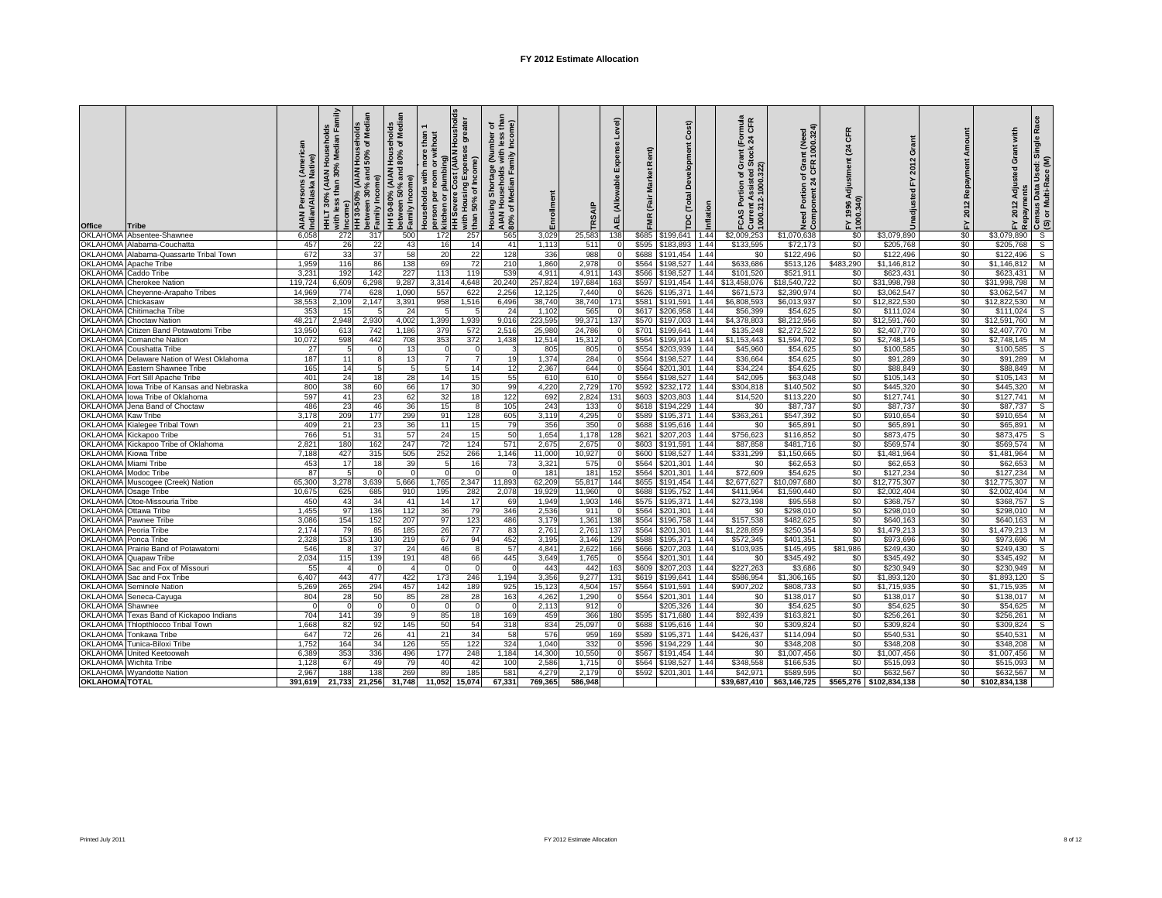| Office                             | Tribe                            | AIAN Persons (American<br>Indian/Alaska Native) | HHLT 30% (AIAN Households<br>with less than 30% Median Family | an<br>of Medi<br>50%<br>,∣Income)<br>IHH 30-50% (AIAN Hous<br>"---″- ~-- + 50%<br>ᅙ<br>between 30% an<br>Family Income) | HH 50-80% (AIAN Households<br>between 50% and 80% of Median<br>Family Income) | Households with more than 1<br>_person per room or without<br>diHTSten or DustriAIAN Housholds<br>with Housing Expenses greater<br>with Housing Expenses greater | icome)<br>with Housing E<br>than 50% of Inc | mber of<br>less than<br>Housing Shortage (Number of<br>AIAN Households with less tha<br>80% of Median Family Income) | Enrollment      | TRSAIP         | Level)<br>Expense<br><b>AEL</b> (Allowable | Rent)<br>FMR (Fair Market | Cost)<br>Development<br><b>TDC</b> (Total | Inflation    | rmula<br>CFR<br>$E_{\alpha}$<br>ö<br>rows Portion of Grand<br>Current Assisted Star<br>1000.312-1000.322) | Need Portion of Grant (Need<br>Component 24 CFR 1000.324) | CFR<br>(24)<br>FY 1996 Adjustment<br>1000.340) | Grant<br>2<br>ప్లె<br>Unadjusted | Amount<br>2012 Repayment<br>노 | Adjusted Grant with<br>2012<br>십 | Š Repayments<br>Census Data Used: Single R<br>' (S) or Multi-Race (M) |
|------------------------------------|----------------------------------|-------------------------------------------------|---------------------------------------------------------------|-------------------------------------------------------------------------------------------------------------------------|-------------------------------------------------------------------------------|------------------------------------------------------------------------------------------------------------------------------------------------------------------|---------------------------------------------|----------------------------------------------------------------------------------------------------------------------|-----------------|----------------|--------------------------------------------|---------------------------|-------------------------------------------|--------------|-----------------------------------------------------------------------------------------------------------|-----------------------------------------------------------|------------------------------------------------|----------------------------------|-------------------------------|----------------------------------|-----------------------------------------------------------------------|
|                                    | OKLAHOMA Absentee-Shawnee        | 6,058                                           | 272                                                           | 317                                                                                                                     | 500                                                                           | 172                                                                                                                                                              | 257                                         | 565                                                                                                                  | 3,029           | 25,583         | 138                                        | \$685                     | \$199,641                                 | 1.44         | \$2,009,253                                                                                               | \$1,070,638                                               | \$0                                            | \$3,079,890                      | \$0                           | \$3,079,890                      | s                                                                     |
| <b>OKLAHOMA</b>                    | Alabama-Couchatta                | 457                                             | 26                                                            | 22                                                                                                                      | 43                                                                            | 16                                                                                                                                                               | 14                                          | 41                                                                                                                   | 1,113           | 511            |                                            | \$595                     | \$183,893                                 | 1.44         | \$133,595                                                                                                 | \$72,173                                                  | \$0                                            | \$205,768                        | \$0                           | \$205,768                        | $\overline{s}$                                                        |
| <b>OKLAHOMA</b>                    | Alabama-Quassarte Tribal Town    | 672                                             | 33                                                            | 37                                                                                                                      | 58                                                                            | 20                                                                                                                                                               | 22                                          | 128                                                                                                                  | 336             | 988            |                                            | \$688                     | \$191,454                                 | 1.44         | \$0                                                                                                       | \$122,496                                                 | \$0                                            | \$122,496                        | \$0                           | \$122,496                        | $\mathsf{s}$                                                          |
| <b>OKLAHOMA</b>                    | <b>Apache Tribe</b>              | 1,959                                           | 116                                                           | 86                                                                                                                      | 138                                                                           | 69                                                                                                                                                               | 72                                          | 210                                                                                                                  | 1,860           | 2,978          |                                            | \$564                     | \$198,527                                 | 1.44         | \$633,686                                                                                                 | \$513,126                                                 | \$483,290                                      | \$1,146,812                      | \$0                           | \$1,146,812                      | M                                                                     |
| <b>OKLAHOMA</b>                    | Caddo Tribe                      | 3,23'                                           | 192                                                           | 142                                                                                                                     | 227                                                                           | 113                                                                                                                                                              | 119                                         | 539                                                                                                                  | 4,91'           | 4,911          | 143                                        | \$566                     | \$198,527                                 | 1.44         | \$101.520                                                                                                 | \$521,91                                                  | \$0                                            | \$623,431                        | \$0                           | \$623,431                        | M                                                                     |
| <b>OKLAHOMA</b>                    | Cherokee Nation                  | 119,724                                         | 6,609                                                         | 6,298                                                                                                                   | 9,287                                                                         | 3,314                                                                                                                                                            | 4,648                                       | 20,240                                                                                                               | 257,824         | 197,684        | 163                                        | \$597                     | \$191,454                                 | 1.44         | \$13,458,076                                                                                              | \$18,540,722                                              | \$0                                            | \$31,998,798                     | \$0                           | \$31,998,798                     | м                                                                     |
| <b>OKLAHOMA</b>                    | Cheyenne-Arapaho Tribes          | 14,969                                          | 774                                                           | 628                                                                                                                     | 1,090                                                                         | 557                                                                                                                                                              | 622                                         | 2,256                                                                                                                | 12,125          | 7,440          |                                            | \$626                     | \$195,371                                 | 1.44         | \$671,573                                                                                                 | \$2,390,974                                               | \$0                                            | \$3,062,547                      | \$0                           | \$3,062,547                      | M                                                                     |
| <b>OKLAHOMA</b>                    | :hickasaw                        | 38,553                                          | 2,109                                                         | 2,147                                                                                                                   | 3,391                                                                         | 958                                                                                                                                                              | 1,516                                       | 6,496                                                                                                                | 38,740          | 38.740         | 171                                        | \$581                     | \$191,591                                 | 1.44         | \$6,808,593                                                                                               | \$6.013.937                                               | \$0                                            | \$12,822,530                     | \$0                           | \$12,822,530                     | M                                                                     |
| <b>OKLAHOMA</b>                    | Chitimacha Tribe                 | 353                                             | 15                                                            |                                                                                                                         | 24                                                                            |                                                                                                                                                                  |                                             | 24                                                                                                                   | 1,102           | 565            |                                            | \$617                     | \$206,958                                 | 1.44         | \$56,399                                                                                                  | \$54,625                                                  | \$0                                            | \$111,024                        | \$0                           | \$111,024                        | s                                                                     |
| <b>OKLAHOMA</b>                    | Choctaw Nation                   | 48,217                                          | 2,948                                                         | 2,930                                                                                                                   | 4,002                                                                         | 1,399                                                                                                                                                            | 1,939                                       | 9,016                                                                                                                | 223,595         | 99,371         | 137                                        | \$570                     | \$197,003                                 | 1.44         | \$4,378,803                                                                                               | \$8,212,956                                               | \$0                                            | \$12,591,760                     | \$0                           | \$12,591,760                     | м                                                                     |
| <b>OKLAHOM</b>                     | Citizen Band Potawatomi Tribe    | 13,95                                           | 613                                                           | 742                                                                                                                     | 1,186                                                                         | 379                                                                                                                                                              | 572                                         | 2,516                                                                                                                | 25,98           | 24,786         |                                            | \$701                     | \$199,641                                 | 1.44         | \$135,248                                                                                                 | \$2,272,522                                               | \$0                                            | \$2,407,770                      | \$0                           | \$2,407,770                      | M                                                                     |
| <b>OKLAHOMA</b>                    | Comanche Nation                  | 10,072                                          | 598                                                           | 442                                                                                                                     | 708                                                                           | 353                                                                                                                                                              | 372                                         | 1,438                                                                                                                | 12,514          | 15,312         |                                            | \$564                     | \$199,914                                 | 1.44         | \$1,153,443                                                                                               | \$1,594,702                                               | \$0                                            | \$2,748,145                      | \$0                           | \$2,748,145                      | м                                                                     |
| <b>OKLAHOMA</b>                    | Coushatta Tribe                  | 27                                              | - 5                                                           |                                                                                                                         | 13                                                                            |                                                                                                                                                                  | $\Omega$                                    |                                                                                                                      | 805             | 805            |                                            | \$554                     | \$203,939                                 | 1.44         | \$45,960                                                                                                  | \$54,625                                                  | \$0                                            | \$100,585                        | \$0                           | \$100,585                        | S                                                                     |
| <b>OKLAHOMA</b>                    | Delaware Nation of West Oklahoma | 187                                             | 11                                                            |                                                                                                                         | 13                                                                            |                                                                                                                                                                  | $\overline{7}$                              | 19                                                                                                                   | 1,374           | 284            |                                            | \$564                     | \$198,527                                 | 1.44         | \$36,664                                                                                                  | \$54,625                                                  | \$0                                            | \$91,289                         | \$0                           | \$91,289                         | M                                                                     |
| <b>OKLAHOMA</b>                    | Eastern Shawnee Tribe            | 165                                             | 14                                                            | 5                                                                                                                       | 5                                                                             | -5                                                                                                                                                               | 14                                          | 12                                                                                                                   | 2,367           | 644            |                                            | \$564                     | \$201,301                                 | 1.44         | \$34,224                                                                                                  | \$54,625                                                  | \$0                                            | \$88,849                         | \$0                           | \$88,849                         | M                                                                     |
| <b>OKLAHOMA</b>                    | Fort Sill Apache Tribe           | 401                                             | 24                                                            | 18                                                                                                                      | 28                                                                            | 14                                                                                                                                                               | 15                                          | 55                                                                                                                   | 610             | 610            |                                            | \$564                     | \$198,527                                 | 1.44         | \$42,095                                                                                                  | \$63,048                                                  | \$0                                            | \$105,143                        | \$0                           | \$105,143                        | М                                                                     |
| <b>OKLAHOMA</b>                    | owa Tribe of Kansas and Nebraska | 800                                             | 38                                                            | 60                                                                                                                      | 66                                                                            | 17                                                                                                                                                               | 30                                          | 99                                                                                                                   | 4,220           | 2,729          | 170                                        | \$592                     | \$232,172                                 | 1.44         | \$304,818                                                                                                 | \$140,502                                                 | \$0                                            | \$445,320                        | \$0                           | \$445,320                        | м                                                                     |
| <b>OKLAHOMA</b>                    | owa Tribe of Oklahoma            | 597                                             | 41                                                            | 23                                                                                                                      | 62                                                                            | 32                                                                                                                                                               | 18                                          | 122                                                                                                                  | 692             | 2,824          | 131                                        | \$603                     | \$203,803                                 | 1.44         | \$14,520                                                                                                  | \$113,220                                                 | \$0                                            | \$127,741                        | \$0                           | \$127,741                        | M                                                                     |
| <b>OKLAHOMA</b>                    | Jena Band of Choctaw             | 486                                             | 23                                                            | 46                                                                                                                      | 36                                                                            | 15                                                                                                                                                               | 8                                           | 105                                                                                                                  | 243             | 133            |                                            | \$618                     | \$194,229                                 | 1.44         | \$0                                                                                                       | \$87,737                                                  | \$0                                            | \$87,737                         | \$0                           | \$87,737                         | S                                                                     |
| <b>OKLAHOMA</b>                    | <b>Kaw Tribe</b>                 | 3,178                                           | 209                                                           | 177                                                                                                                     | 299                                                                           | 91                                                                                                                                                               | 128                                         | 605                                                                                                                  | 3,119           | 4,295          |                                            | \$589                     | \$195,371                                 | 1.44         | \$363,261                                                                                                 | \$547,392                                                 | \$0                                            | \$910,654                        | \$0                           | \$910,654                        | M                                                                     |
| <b>OKLAHOMA</b>                    | Kialegee Tribal Town             | 409                                             | 21                                                            | 23                                                                                                                      | 36                                                                            | 11                                                                                                                                                               | 15                                          | 79                                                                                                                   | 356             | 350            |                                            | \$688                     | \$195,616                                 | 1.44         | \$0                                                                                                       | \$65,891                                                  | \$0                                            | \$65,891                         | \$0                           | \$65.891                         | М                                                                     |
| <b>OKLAHOMA</b><br><b>OKLAHOMA</b> | ickapoo Tribe                    | 766                                             | 51                                                            | 31                                                                                                                      | 57                                                                            | 24                                                                                                                                                               | 15                                          | 50                                                                                                                   | 1,654           | 1,178<br>2,675 | 128                                        | \$621                     | \$207,203                                 | 1.44<br>1.44 | \$756,623                                                                                                 | \$116,852<br>\$481.716                                    | \$0                                            | \$873,475                        | \$0<br>\$0                    | \$873,475                        | S                                                                     |
| <b>OKLAHOMA</b>                    | Kickapoo Tribe of Oklahoma       | 2,821                                           | 180<br>427                                                    | 162                                                                                                                     | 247<br>505                                                                    | 72<br>252                                                                                                                                                        | 124<br>266                                  | 571<br>1,146                                                                                                         | 2,675<br>11,000 | 10,927         |                                            | \$603<br>\$600            | \$191,591<br>\$198,527                    | 1.44         | \$87,858<br>\$331,299                                                                                     | \$1,150,665                                               | \$0<br>\$0                                     | \$569,574<br>\$1,481,964         | \$0                           | \$569,574<br>\$1,481,964         | м<br>M                                                                |
| <b>OKLAHOMA</b>                    | Kiowa Tribe                      | 7,188                                           | 17                                                            | 315                                                                                                                     | 39                                                                            |                                                                                                                                                                  |                                             |                                                                                                                      |                 | 575            |                                            | \$564                     | \$201.301                                 | 1.44         | \$0                                                                                                       | \$62,653                                                  | \$0                                            | \$62,653                         | \$0                           | \$62,653                         | M                                                                     |
| <b>OKLAHOMA</b>                    | Miami Tribe<br>Modoc Tribe       | 453<br>87                                       |                                                               | 18                                                                                                                      | $\Omega$                                                                      |                                                                                                                                                                  | 16<br>$\Omega$                              | 73                                                                                                                   | 3,321<br>181    | 181            | 152                                        | \$564                     | \$201,301                                 | 1.44         | \$72,609                                                                                                  | \$54,625                                                  | \$0                                            | \$127,234                        | \$0                           | \$127.234                        | М                                                                     |
| <b>OKLAHOMA</b>                    | Muscogee (Creek) Nation          | 65,300                                          | 3,278                                                         | 3,639                                                                                                                   | 5,666                                                                         | 1,765                                                                                                                                                            | 2,347                                       | 11,893                                                                                                               | 62,209          | 55,817         | 144                                        | \$655                     | \$191,454                                 | 1.44         | \$2,677,627                                                                                               | \$10,097,680                                              | \$0                                            | \$12,775,307                     | \$0                           | \$12,775,307                     | M                                                                     |
| <b>OKLAHOMA</b>                    | <b>Osage Tribe</b>               | 10,675                                          | 625                                                           | 685                                                                                                                     | 910                                                                           | 195                                                                                                                                                              | 282                                         | 2.078                                                                                                                | 19.929          | 11,960         |                                            | \$688                     | \$195,752                                 | .44          | \$411,964                                                                                                 | \$1,590,440                                               | \$0                                            | \$2,002,404                      | \$0                           | \$2,002,404                      | М                                                                     |
| <b>OKLAHOMA</b>                    | Otoe-Missouria Tribe             | 450                                             | 43                                                            | 34                                                                                                                      | 41                                                                            | 14                                                                                                                                                               | 17                                          | 69                                                                                                                   | 1,949           | 1,903          | 146                                        | \$575                     | \$195,371                                 | 1.44         | \$273,198                                                                                                 | \$95,558                                                  | \$0                                            | \$368,757                        | \$0                           | \$368,757                        | S                                                                     |
| <b>OKLAHOMA</b>                    | Ottawa Tribe                     | 1,455                                           | 97                                                            | 136                                                                                                                     | 112                                                                           | 36                                                                                                                                                               | 79                                          | 346                                                                                                                  | 2,536           | 911            |                                            | \$564                     | \$201,301                                 | 1.44         | \$0                                                                                                       | \$298,010                                                 | \$0                                            | \$298,010                        | \$0                           | \$298,010                        | M                                                                     |
| <b>OKLAHOMA</b>                    | Pawnee Tribe                     | 3,086                                           | 154                                                           | 152                                                                                                                     | 207                                                                           | 97                                                                                                                                                               | 123                                         | 486                                                                                                                  | 3,179           | 1,361          | 138                                        | \$564                     | \$196,758                                 | 1.44         | \$157,538                                                                                                 | \$482,625                                                 | \$0                                            | \$640,163                        | \$0                           | \$640,163                        | M                                                                     |
| <b>OKLAHOMA</b>                    | Peoria Tribe                     | 2,174                                           | 79                                                            | 85                                                                                                                      | 185                                                                           | 26                                                                                                                                                               | 77                                          | 83                                                                                                                   | 2,761           | 2,761          | 137                                        | \$564                     | \$201,301                                 | 1.44         | \$1,228,859                                                                                               | \$250,354                                                 | \$0                                            | \$1,479,213                      | \$0                           | \$1,479,213                      | М                                                                     |
| <b>OKLAHOMA</b>                    | Ponca Tribe                      | 2,328                                           | 153                                                           | 130                                                                                                                     | 219                                                                           | 67                                                                                                                                                               | 94                                          | 452                                                                                                                  | 3,195           | 3,146          | 129                                        | \$588                     | \$195,371                                 | 1.44         | \$572,345                                                                                                 | \$401,351                                                 | \$0                                            | \$973,696                        | \$0                           | \$973,696                        | M                                                                     |
| <b>OKLAHOMA</b>                    | Prairie Band of Potawatomi       | 546                                             | 8                                                             | 37                                                                                                                      | 24                                                                            | 46                                                                                                                                                               | $\mathsf{R}$                                | 57                                                                                                                   | 4,841           | 2,622          | 166                                        | \$666                     | \$207,203                                 | 1.44         | \$103,935                                                                                                 | \$145,495                                                 | \$81,986                                       | \$249,430                        | \$0                           | \$249,430                        | s                                                                     |
| <b>OKLAHOMA</b>                    | Quapaw Tribe                     | 2.034                                           | 115                                                           | 139                                                                                                                     | 191                                                                           | 48                                                                                                                                                               | 66                                          | 445                                                                                                                  | 3,649           | 1,765          |                                            | \$564                     | \$201,301                                 | 1.44         | \$0                                                                                                       | \$345,492                                                 | \$0                                            | \$345,492                        | \$0                           | \$345,492                        | м                                                                     |
| <b>OKLAHOMA</b>                    | Sac and Fox of Missouri          | 55                                              |                                                               |                                                                                                                         |                                                                               |                                                                                                                                                                  |                                             |                                                                                                                      | 443             | 442            | 163                                        | \$609                     | \$207,203                                 | 1.44         | \$227,263                                                                                                 | \$3,686                                                   | \$0                                            | \$230,949                        | \$0                           | \$230,949                        | М                                                                     |
| <b>OKLAHOMA</b>                    | Sac and Fox Tribe                | 6,407                                           | 443                                                           | 477                                                                                                                     | 422                                                                           | 173                                                                                                                                                              | 246                                         | 1,194                                                                                                                | 3,356           | 9,277          | 131                                        | \$619                     | \$199,641                                 | 1.44         | \$586,954                                                                                                 | \$1,306,165                                               | \$0                                            | \$1,893,120                      | \$0                           | \$1,893,120                      | s                                                                     |
| <b>OKLAHOMA</b>                    | Seminole Nation                  | 5,269                                           | 265                                                           | 294                                                                                                                     | 457                                                                           | 142                                                                                                                                                              | 189                                         | 925                                                                                                                  | 15,123          | 4,504          | 157                                        | \$564                     | \$191,591                                 | 1.44         | \$907,202                                                                                                 | \$808,733                                                 | \$0                                            | \$1,715,935                      | \$0                           | \$1,715,935                      | M                                                                     |
| <b>OKLAHOMA</b>                    | Seneca-Cayuga                    | 804                                             | 28                                                            | 50                                                                                                                      | 85                                                                            | 28                                                                                                                                                               | 28                                          | 163                                                                                                                  | 4,262           | 1,290          |                                            | \$564                     | \$201,301                                 | 1.44         | \$0                                                                                                       | \$138,017                                                 | \$0                                            | \$138,017                        | \$0                           | \$138,017                        | м                                                                     |
| <b>OKLAHOMA</b>                    | Shawnee                          |                                                 |                                                               |                                                                                                                         | $\Omega$                                                                      |                                                                                                                                                                  | $\Omega$                                    |                                                                                                                      | 2,113           | 912            |                                            |                           | \$205,326                                 | 1.44         | \$0                                                                                                       | \$54,625                                                  | \$0                                            | \$54,625                         | \$0                           | \$54,625                         | M                                                                     |
| <b>OKLAHOMA</b>                    | Texas Band of Kickapoo Indians   | 704                                             | 141                                                           | 39                                                                                                                      | 9                                                                             | 85                                                                                                                                                               | 18                                          | 169                                                                                                                  | 459             | 366            | 180                                        | \$595                     | \$171,680                                 | 1.44         | \$92,439                                                                                                  | \$163,821                                                 | \$0                                            | \$256,261                        | \$0                           | \$256,261                        | М                                                                     |
| <b>OKLAHOMA</b>                    | Thlopthlocco Tribal Town         | 1,668                                           | 82                                                            | 92                                                                                                                      | 145                                                                           | 50                                                                                                                                                               | 54                                          | 318                                                                                                                  | 834             | 25,097         |                                            | \$688                     | \$195,616                                 | 1.44         | \$0                                                                                                       | \$309,824                                                 | \$0                                            | \$309,824                        | \$0                           | \$309,824                        | S                                                                     |
| <b>OKLAHOMA</b>                    | <b>Tonkawa Tribe</b>             | 647                                             | 72                                                            | 26                                                                                                                      | 41                                                                            | 21                                                                                                                                                               | 34                                          | 58                                                                                                                   | 576             | 959            | 169                                        | \$589                     | \$195,371                                 | 1.44         | \$426,437                                                                                                 | \$114,094                                                 | \$0                                            | \$540,531                        | \$0                           | \$540,531                        | $\blacksquare$                                                        |
| <b>OKLAHOMA</b>                    | Funica-Biloxi Tribe              | 1,752                                           | 164                                                           | 34                                                                                                                      | 126                                                                           | 55                                                                                                                                                               | 122                                         | 324                                                                                                                  | 1,040           | 332            |                                            | \$596                     | \$194,229                                 | 1.44         | \$0                                                                                                       | \$348,208                                                 | \$0                                            | \$348,208                        | \$0                           | \$348,208                        | М                                                                     |
| <b>OKLAHOMA</b>                    | Jnited Keetoowah                 | 6.389                                           | 353                                                           | 336                                                                                                                     | 496                                                                           | 177                                                                                                                                                              | 248                                         | 1,184                                                                                                                | 14,300          | 10,550         |                                            | \$567                     | \$191.454                                 | 1.44         | \$0                                                                                                       | \$1,007,456                                               | \$0                                            | \$1.007.456                      | \$0                           | \$1,007.456                      | M                                                                     |
| <b>OKLAHOMA</b>                    | Wichita Tribe                    | 1,128                                           | 67                                                            | 49                                                                                                                      | 79                                                                            | 40                                                                                                                                                               | 42                                          | 100                                                                                                                  | 2,586           | 1,715          |                                            | \$564                     | \$198,527                                 | 1.44         | \$348,558                                                                                                 | \$166,535                                                 | \$0                                            | \$515,093                        | \$0                           | \$515,093                        | м                                                                     |
|                                    | OKLAHOMA Wyandotte Nation        | 2,967                                           | 188                                                           | 138                                                                                                                     | 269                                                                           |                                                                                                                                                                  | 185                                         | 581                                                                                                                  | 4,279           | 2,179          |                                            | \$592                     | \$201,301                                 | 1.44         | \$42,971                                                                                                  | \$589,595                                                 | \$0                                            | \$632,567                        | \$0                           | \$632,567                        | M                                                                     |
| <b>OKLAHOMA TOTAL</b>              |                                  | 391,619                                         | 21,733                                                        | 21,256                                                                                                                  | 31,748                                                                        | 11,052                                                                                                                                                           | 15,074                                      | 67,331                                                                                                               | 769,365         | 586,948        |                                            |                           |                                           |              | \$39,687,410                                                                                              | \$63,146,725                                              | \$565,276                                      | \$102,834,138                    | \$0                           | \$102,834,138                    |                                                                       |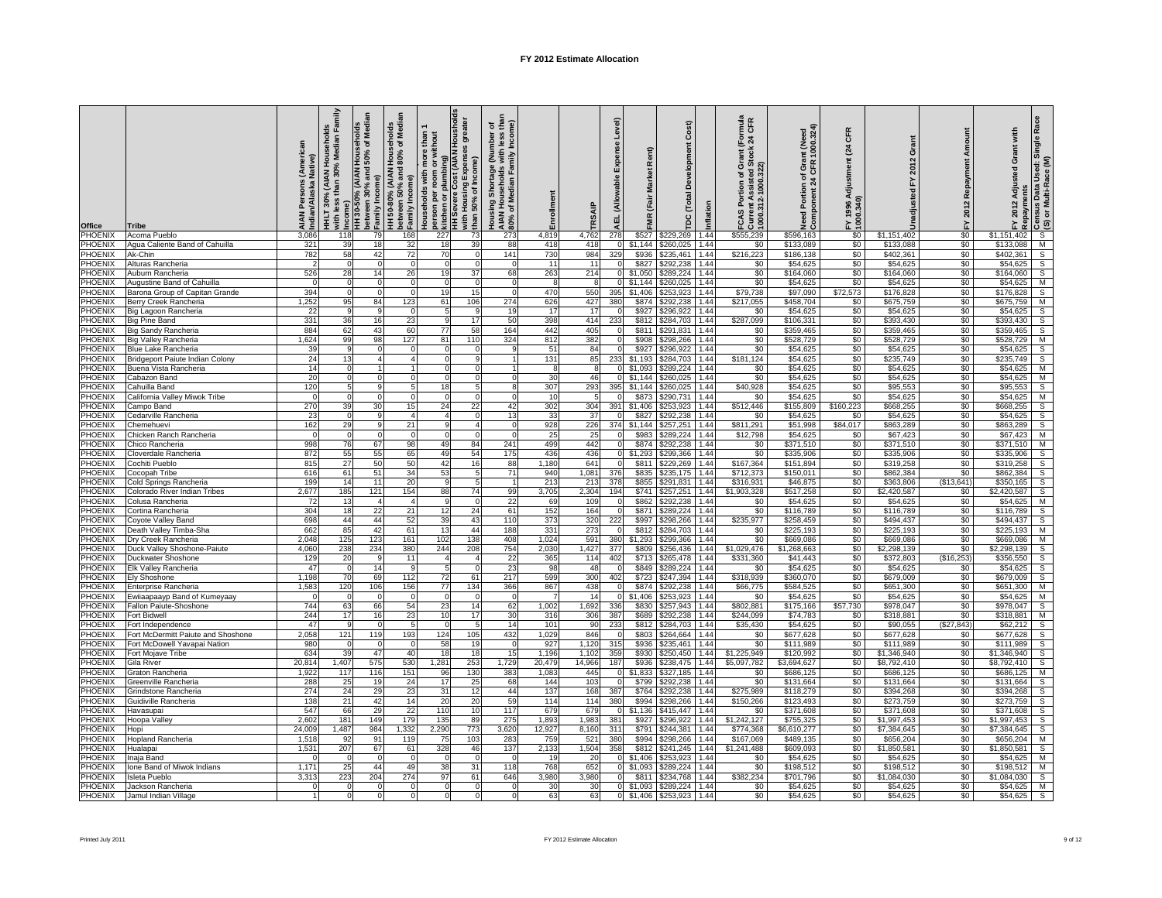| Office                           | <b>Tribe</b>                                 | AIAN Persons (American<br>Indian/Alaska Native) | HHLT 30% (AIAN Households<br>with less than 30% Median Family<br>Income)<br>HH 30-50% (AIAN Housel | of Media<br>between 30% and 50%<br>Family Income) | HH 50-80% (AIAN Households<br>between 50% and 80% of Median<br>Family Income) | Households with more than 1<br>> person per room or without<br>> person per room or without<br>> HutSmar or plusting Apples<br>with Housing Expenses greater | with Housing Expens<br>than 50% of Income) | Housing Shortage (Number of<br>AIAN Households with less tha<br>80% of Median Family Income) | Enrollment     | TRSAIP        | Level)<br>Expense<br>AEL (Allowable | Rent)<br><b>Market</b><br>FMR (Fair | Cost)<br>Development<br>Total<br>ĕ | Inflation    | ant (Formula<br>tock 24 CFR<br>FCAS Portion of Gra<br>Current Assisted Stc<br>1000.312-1000.322) | Need Portion of Grant (Need<br>Component 24 CFR 1000.324) | CFR<br>(24)<br>FY 1996 Adjustment<br>1000.340) | Grant<br>Unadjusted FY 2012 | 2012 Repayment Amount<br>노 | Grant with<br>Adjusted<br>2012 | 3 Repayments<br>  Census Data Used: Single R<br>  (S) or Multi-Race (M) |
|----------------------------------|----------------------------------------------|-------------------------------------------------|----------------------------------------------------------------------------------------------------|---------------------------------------------------|-------------------------------------------------------------------------------|--------------------------------------------------------------------------------------------------------------------------------------------------------------|--------------------------------------------|----------------------------------------------------------------------------------------------|----------------|---------------|-------------------------------------|-------------------------------------|------------------------------------|--------------|--------------------------------------------------------------------------------------------------|-----------------------------------------------------------|------------------------------------------------|-----------------------------|----------------------------|--------------------------------|-------------------------------------------------------------------------|
| PHOENIX                          | Acoma Pueblo                                 | 3,086                                           | 118                                                                                                | 79                                                | 168                                                                           | 227                                                                                                                                                          | 73                                         | 273                                                                                          | 4,819          | 4,762         | 278                                 | \$527                               | \$229,269                          | 1.44         | \$555,239                                                                                        | \$596,163                                                 | \$0                                            | \$1,151,402                 | \$0                        | \$1,151,402                    | $\mathsf{s}$                                                            |
| <b>PHOENIX</b>                   | Agua Caliente Band of Cahuilla               | 321                                             | 39                                                                                                 | 18                                                | 32                                                                            | 18                                                                                                                                                           | 39                                         | 88                                                                                           | 418            | 418           | $\Omega$                            | \$1,144                             | \$260,025                          | 1.44         | \$0                                                                                              | \$133,089                                                 | \$0                                            | \$133,088                   | \$0                        | \$133,088                      | M                                                                       |
| PHOENIX<br>PHOENIX               | Ak-Chin<br>Alturas Rancheria                 | 782                                             | 58                                                                                                 | 42                                                | 72                                                                            | 70                                                                                                                                                           | $\mathbf 0$                                | 141                                                                                          | 730<br>11      | 984<br>11     | 329                                 | \$936<br>\$827                      | \$235,461<br>\$292,238             | 1.44<br>1.44 | \$216,223<br>\$0                                                                                 | \$186,138<br>\$54,625                                     | \$0<br>\$0                                     | \$402,361<br>\$54,625       | \$0<br>\$0                 | \$402,361<br>\$54,625          | $\mathbf{s}$<br>$\mathsf{s}$                                            |
| PHOENIX                          | Auburn Rancheria                             | 52                                              | 28                                                                                                 | 14                                                | 26                                                                            | 19                                                                                                                                                           | 37                                         | 68                                                                                           | 263            | 214           |                                     | \$1,050                             | \$289,224                          | 1.44         | \$0                                                                                              | \$164,060                                                 | \$0                                            | \$164,060                   | \$0                        | \$164,060                      | s                                                                       |
| PHOENIX                          | Augustine Band of Cahuilla                   |                                                 |                                                                                                    |                                                   |                                                                               |                                                                                                                                                              |                                            |                                                                                              |                | -8            |                                     | \$1.144                             | \$260,025                          | 1.44         | \$0                                                                                              | \$54.625                                                  | \$0                                            | \$54,625                    | \$0                        | \$54.625                       | M                                                                       |
| <b>PHOENIX</b>                   | Barona Group of Capitan Grande               | 394                                             |                                                                                                    |                                                   |                                                                               | 19                                                                                                                                                           | 15                                         |                                                                                              | 470            | 550           | 395                                 | \$1,406                             | \$253.923                          | 1.44         | \$79,738                                                                                         | \$97.090                                                  | \$72,573                                       | \$176,828                   | \$0                        | \$176.828                      | s                                                                       |
| PHOENIX                          | Berry Creek Rancheria                        | 1.252                                           | 95                                                                                                 | 84                                                | 123                                                                           | 61                                                                                                                                                           | 106                                        | 274                                                                                          | 626            | 427           | 380                                 | \$874                               | \$292.238                          | 1.44         | \$217,055                                                                                        | \$458.704                                                 | \$0                                            | \$675.759                   | \$0                        | \$675.759                      | M                                                                       |
| PHOENIX<br>PHOENIX               | Big Lagoon Rancheria<br><b>Big Pine Band</b> | 22<br>331                                       | 36                                                                                                 | 16                                                | 23                                                                            |                                                                                                                                                              | <b>q</b><br>17                             | 19<br>50                                                                                     | 17<br>398      | 17<br>414     | 233                                 | \$927<br>\$812                      | \$296.922<br>\$284,703             | 1.44<br>1.44 | \$0<br>\$287,099                                                                                 | \$54.625<br>\$106,331                                     | \$0<br>\$0                                     | \$54,625<br>\$393,430       | \$0<br>\$0                 | \$54.625<br>\$393.430          | S.<br>s                                                                 |
| PHOENIX                          | <b>Big Sandy Rancheria</b>                   | 884                                             | 62                                                                                                 | 43                                                | 60                                                                            | 77                                                                                                                                                           | 58                                         | 164                                                                                          | 442            | 405           | $\Omega$                            | \$811                               | \$291,831                          | 1.44         | \$0                                                                                              | \$359,465                                                 | \$0                                            | \$359,465                   | \$0                        | \$359,465                      | $\mathsf{s}$                                                            |
| PHOENIX                          | <b>Big Valley Rancheria</b>                  | 1,624                                           | 99                                                                                                 | 98                                                | 127                                                                           | 81                                                                                                                                                           | 110                                        | 324                                                                                          | 812            | 382           | $\mathbf{O}$                        | \$908                               | \$298,266                          | 1.44         | \$0                                                                                              | \$528,729                                                 | \$0                                            | \$528,729                   | \$0                        | \$528,729                      | M                                                                       |
| PHOENIX                          | <b>Blue Lake Rancheria</b>                   | 39                                              | <b>q</b>                                                                                           |                                                   | $\Omega$                                                                      | $\Omega$                                                                                                                                                     | $\Omega$                                   | 9                                                                                            | 51             | 84            | $\Omega$                            | \$927                               | \$296,922                          | 1.44         | \$0                                                                                              | \$54,625                                                  | \$0                                            | \$54,625                    | \$0                        | \$54,625                       | $\mathsf{s}$                                                            |
| PHOENIX                          | Bridgeport Paiute Indian Colony              | 24<br>14                                        | 13                                                                                                 |                                                   | $\overline{4}$                                                                |                                                                                                                                                              | 9<br>0                                     |                                                                                              | 131<br>8       | 85<br>- 8     | 233                                 | \$1,193<br>\$1,093                  | \$284,703                          | 1.44<br>1.44 | \$181,124                                                                                        | \$54,625                                                  | \$0<br>\$0                                     | \$235,749                   | \$0<br>\$0                 | \$235,749<br>\$54,625          | $\overline{s}$<br>M                                                     |
| PHOENIX<br>PHOENIX               | Buena Vista Rancheria<br>Cabazon Band        | 20                                              |                                                                                                    |                                                   |                                                                               |                                                                                                                                                              | $\Omega$                                   |                                                                                              | 30             | 46            |                                     | $0$ \$1,144                         | \$289,224<br>\$260,025             | 1.44         | \$0<br>$\frac{1}{2}$                                                                             | \$54,625<br>\$54,625                                      | \$0                                            | \$54,625<br>\$54,625        | \$0                        | \$54,625                       | M                                                                       |
| PHOENIX                          | Cahuilla Band                                | 120                                             |                                                                                                    |                                                   |                                                                               | 18                                                                                                                                                           | 5                                          |                                                                                              | 307            | 293           |                                     | 395 \$1,144                         | \$260,025                          | 1.44         | \$40,928                                                                                         | \$54,625                                                  | \$0                                            | \$95,553                    | \$0                        | \$95,553                       | s                                                                       |
| <b>PHOENIX</b>                   | California Valley Miwok Tribe                |                                                 |                                                                                                    |                                                   |                                                                               |                                                                                                                                                              | $\Omega$                                   |                                                                                              | 10             |               |                                     | \$873                               | \$290.731                          | 1.44         | \$0                                                                                              | \$54.625                                                  | \$0                                            | \$54,625                    | \$0                        | \$54.625                       | M                                                                       |
| PHOENIX                          | Campo Band                                   | 270                                             | 39                                                                                                 | 30                                                | 15                                                                            | 24                                                                                                                                                           | 22                                         | 42                                                                                           | 302            | 304           | 391                                 | \$1,406                             | \$253,923                          | 1.44         | \$512,446                                                                                        | \$155,809                                                 | \$160,223                                      | \$668,255                   | \$0                        | \$668.255                      | s                                                                       |
| <b>PHOENIX</b><br><b>PHOENIX</b> | Cedarville Rancheria                         | 23<br>162                                       | 29                                                                                                 | q                                                 | 21                                                                            |                                                                                                                                                              | $\Omega$<br>$\overline{a}$                 | 13<br>$\Omega$                                                                               | 33<br>928      | 37<br>226     | 374                                 | \$827<br>\$1,144                    | \$292,238<br>\$257,251             | 1.44<br>1.44 | \$0<br>\$811,291                                                                                 | \$54,625<br>\$51,998                                      | \$0<br>\$84,017                                | \$54,625<br>\$863,289       | \$0<br>\$0                 | \$54,625<br>\$863,289          | $\mathsf{s}$<br>$\overline{s}$                                          |
| <b>PHOENIX</b>                   | Chemehuevi<br>Chicken Ranch Rancheria        |                                                 | $\Omega$                                                                                           | $\Omega$                                          | $\Omega$                                                                      | $^{\circ}$                                                                                                                                                   | $\Omega$                                   | $\overline{0}$                                                                               | 25             | 25            | $\Omega$                            | \$983                               | \$289,224                          | 1.44         | \$12,798                                                                                         | \$54,625                                                  | \$0                                            | \$67,423                    | \$0                        | \$67,423                       | М                                                                       |
| <b>PHOENIX</b>                   | Chico Rancheria                              | 998                                             | 76                                                                                                 | 67                                                | 98                                                                            | 49                                                                                                                                                           | 84                                         | 241                                                                                          | 499            | 442           | $\Omega$                            | \$874                               | \$292,238                          | 1.44         | \$0                                                                                              | \$371,510                                                 | \$0                                            | \$371,510                   | \$0                        | \$371,510                      | M                                                                       |
| PHOENIX                          | Cloverdale Rancheria                         | 872                                             | 55                                                                                                 | 55                                                | 65                                                                            | 49                                                                                                                                                           | 54                                         | 175                                                                                          | 436            | 436           | $\Omega$                            | \$1,293                             | \$299,366                          | 1.44         | \$0                                                                                              | \$335,906                                                 | \$0                                            | \$335,906                   | \$0                        | \$335,906                      | $\mathsf{s}$                                                            |
| PHOENIX                          | Cochiti Pueblo                               | 815                                             | 27                                                                                                 | 50                                                | 50                                                                            | 42                                                                                                                                                           | 16                                         | 88<br>71                                                                                     | 1,180          | 641           |                                     | \$811                               | \$229,269<br>\$235.175             | 1.44         | \$167,364                                                                                        | \$151,894                                                 | \$0                                            | \$319,258                   | \$0<br>\$0                 | \$319,258                      | $\frac{S}{S}$                                                           |
| PHOENIX<br>PHOENIX               | Cocopah Tribe<br>Cold Springs Rancheria      | 61<br>199                                       | 61<br>14                                                                                           | 51<br>11                                          | 34<br>20                                                                      | 53                                                                                                                                                           |                                            |                                                                                              | 940<br>213     | 1,081<br>213  | 376<br>378                          | \$835<br>\$855                      | \$291,831                          | 1.44<br>1.44 | \$712,373<br>\$316,931                                                                           | \$150,011<br>\$46,875                                     | \$0<br>\$0                                     | \$862,384<br>\$363,806      | (\$13,641)                 | \$862,384<br>\$350,165         | S                                                                       |
| PHOENIX                          | Colorado River Indian Tribes                 | 2,677                                           | 185                                                                                                | 121                                               | 154                                                                           | 88                                                                                                                                                           | 74                                         | 99                                                                                           | 3,705          | 2,304         | 194                                 | \$741                               | \$257,251                          | 1.44         | \$1,903,328                                                                                      | \$517,258                                                 | \$0                                            | \$2,420,587                 | \$0                        | \$2,420,587                    | S                                                                       |
| <b>PHOENIX</b>                   | Colusa Rancheria                             | -72                                             | 13                                                                                                 |                                                   | $\overline{4}$                                                                |                                                                                                                                                              | $\Omega$                                   | 22                                                                                           | 69             | 109           | $\Omega$                            | \$862                               | \$292.238                          | 1.44         | \$0                                                                                              | \$54,625                                                  | \$0                                            | \$54,625                    | \$0                        | \$54,625                       | M                                                                       |
| PHOENIX<br>PHOENIX               | Cortina Rancheria                            | 304<br>698                                      | 18<br>44                                                                                           | 22<br>44                                          | 21<br>52                                                                      | 12<br>39                                                                                                                                                     | 24<br>43                                   | 61<br>110                                                                                    | 152<br>373     | 164<br>320    | $\Omega$<br>222                     | \$871<br>\$997                      | \$289,224<br>\$298,266             | 1.44<br>1.44 | \$0<br>\$235,977                                                                                 | \$116,789<br>\$258,459                                    | \$0<br>\$0                                     | \$116,789<br>\$494,437      | \$0<br>\$0                 | \$116,789<br>\$494,437         | S                                                                       |
| PHOENIX                          | Coyote Valley Band<br>Death Valley Timba-Sha | 662                                             | 85                                                                                                 | 42                                                | 61                                                                            | 13                                                                                                                                                           | 44                                         | 188                                                                                          | 331            | 273           | $\Omega$                            | \$812                               | \$284,703                          | 1.44         | \$0                                                                                              | \$225,193                                                 | \$0                                            | \$225,193                   | \$0                        | \$225,193                      | S<br>M                                                                  |
| PHOENIX                          | Dry Creek Rancheria                          | 2,048                                           | 125                                                                                                | 123                                               | 161                                                                           | 102                                                                                                                                                          | 138                                        | 408                                                                                          | 1,024          | 591           | 380                                 | \$1,293                             | \$299,366                          | 1.44         | \$0                                                                                              | \$669,086                                                 | \$0                                            | \$669,086                   | \$0                        | \$669,086                      | M                                                                       |
| PHOENIX                          | Duck Valley Shoshone-Paiute                  | 4,060                                           | 238                                                                                                | 234                                               | 380                                                                           | 244                                                                                                                                                          | 208                                        | 754                                                                                          | 2,030          | 1,427         | 377                                 | \$809                               | \$256,436                          | 1.44         | \$1,029,476                                                                                      | \$1,268,663                                               | \$0                                            | \$2,298,139                 | \$0                        | \$2,298,139                    | $\mathbf{s}$                                                            |
| <b>PHOENIX</b>                   | Duckwater Shoshone                           | 129                                             | 20<br>$\Omega$                                                                                     |                                                   | 11<br><b>q</b>                                                                |                                                                                                                                                              | $\overline{4}$<br>$\Omega$                 | 22                                                                                           | 365            | 114           | 402<br>$\Omega$                     | \$713                               | \$265,478                          | 1.44         | \$331,360                                                                                        | \$41,443                                                  | \$0                                            | \$372,803                   | (\$16,253)                 | \$356,550                      | s                                                                       |
| PHOENIX<br>PHOENIX               | Elk Valley Rancheria<br><b>Ely Shoshone</b>  | 47<br>1,198                                     | 70                                                                                                 | 14<br>69                                          | 112                                                                           | 72                                                                                                                                                           | 61                                         | 23<br>217                                                                                    | 98<br>599      | 48<br>300     | 402                                 | \$849<br>\$723                      | \$289,224<br>\$247,394             | 1.44<br>1.44 | \$0<br>\$318,939                                                                                 | \$54,625<br>\$360,070                                     | \$0<br>\$0                                     | \$54,625<br>\$679,009       | \$0<br>\$0                 | \$54,625<br>\$679,009          | S<br>s                                                                  |
| PHOENIX                          | Enterprise Rancheria                         | 1,583                                           | 120                                                                                                | 106                                               | 156                                                                           | 77                                                                                                                                                           | 134                                        | 366                                                                                          | 867            | 438           |                                     | \$874                               | \$292.238                          | 1.44         | \$66,775                                                                                         | \$584.525                                                 | \$0                                            | \$651,300                   | \$0                        | \$651.300                      | M                                                                       |
| PHOENIX                          | Ewiiaapaayp Band of Kumeyaay                 |                                                 |                                                                                                    |                                                   |                                                                               |                                                                                                                                                              | $\Omega$                                   |                                                                                              |                | 14            |                                     | \$1,406                             | \$253.923                          | 1.44         | \$0                                                                                              | \$54.625                                                  | \$0                                            | \$54,625                    | \$0                        | \$54.625                       | М                                                                       |
| PHOENIX<br><b>PHOENIX</b>        | Fallon Paiute-Shoshone                       | 744<br>244                                      | 63<br>17                                                                                           | 66<br>16                                          | 54<br>23                                                                      | 23<br>10                                                                                                                                                     | 14<br>17                                   | 62<br>30                                                                                     | 1,002<br>316   | 1,692<br>306  | 336<br>387                          | \$830<br>\$689                      | \$257,943<br>\$292,238             | 1.44<br>1.44 | \$802,881<br>\$244,099                                                                           | \$175,166<br>\$74,783                                     | \$57,730<br>\$0                                | \$978,047<br>\$318,881      | \$0<br>\$0                 | \$978,047<br>\$318,881         | S                                                                       |
| <b>PHOENIX</b>                   | Fort Bidwell<br>Fort Independence            | 47                                              |                                                                                                    |                                                   | 5                                                                             |                                                                                                                                                              | -5                                         | 14                                                                                           | 101            | 90            | 233                                 | \$812                               | \$284,703                          | 1.44         | \$35,430                                                                                         | \$54,625                                                  | \$0                                            | \$90,055                    | (\$27,843)                 | \$62,212                       | M<br>$\mathsf{s}$                                                       |
| <b>PHOENIX</b>                   | Fort McDermitt Paiute and Shoshone           | 2,058                                           | 121                                                                                                | 119                                               | 193                                                                           | 124                                                                                                                                                          | 105                                        | 432                                                                                          | 1,029          | 846           | $\Omega$                            | \$803                               | \$264,664                          | 1.44         | \$0                                                                                              | \$677,628                                                 | \$0                                            | \$677,628                   | \$0                        | \$677,628                      | $\mathsf{s}$                                                            |
| PHOENIX                          | Fort McDowell Yavapai Nation                 | 980                                             |                                                                                                    |                                                   | $\Omega$                                                                      | 58                                                                                                                                                           | 19                                         | $\Omega$                                                                                     | 927            | 1,120         | 315                                 | \$936                               | \$235,461                          | 1.44         | \$0                                                                                              | \$111,989                                                 | \$0                                            | \$111,989                   | \$0                        | \$111,989                      | $\mathsf{s}$                                                            |
| PHOENIX                          | Fort Mojave Tribe                            | 63                                              | 39                                                                                                 | 47                                                | 40                                                                            | 18                                                                                                                                                           | 18                                         | 15                                                                                           | 1,196          | 1,102         | 359                                 | \$930                               | \$250,450                          | 1.44         | \$1,225,949                                                                                      | \$120,992                                                 | \$0                                            | \$1,346,940                 | \$0                        | \$1,346,940                    | $\mathbf{s}$                                                            |
| PHOENIX<br>PHOENIX               | 3ila River<br>3raton Rancheria               | 20,81<br>1,92                                   | 1,407<br>117                                                                                       | 575<br>116                                        | 530<br>151                                                                    | 1,281<br>96                                                                                                                                                  | 253<br>130                                 | 1,729<br>383                                                                                 | 20,479<br>1,08 | 14,966<br>445 | 187                                 | \$936<br>\$1,833                    | \$238,475<br>\$327,185             | 1.44<br>1.44 | \$5,097,782<br>\$0                                                                               | \$3,694,627<br>\$686,125                                  | \$0<br>\$0                                     | \$8,792,410<br>\$686,125    | \$0<br>\$0                 | \$8,792,410<br>\$686,125       | s<br>М                                                                  |
| PHOENIX                          | Greenville Rancheria                         | 288                                             | 25                                                                                                 | 1 <sup>5</sup>                                    | 24                                                                            | 17                                                                                                                                                           | 25                                         | 68                                                                                           | 144            | 103           |                                     | \$799                               | \$292,238                          | 1.44         | \$0                                                                                              | \$131,664                                                 | \$0                                            | \$131,664                   | \$0                        | \$131,664                      | S                                                                       |
| PHOENIX                          | <b>3rindstone Rancheria</b>                  | 274                                             | 24                                                                                                 | 29                                                | 23                                                                            | 31                                                                                                                                                           | 12                                         | 44                                                                                           | 137            | 168           | 387                                 | \$764                               | \$292.238                          | 1.44         | \$275,989                                                                                        | \$118,279                                                 | \$0                                            | \$394,268                   | \$0                        | \$394.268                      | $\mathbf{s}$                                                            |
| PHOENIX                          | <b>Guidiville Rancheria</b>                  | 138                                             | 21                                                                                                 | 42                                                | 14                                                                            | 20                                                                                                                                                           | 20                                         | 59                                                                                           | 114            | 114           | 380                                 | \$994                               | \$298,266                          | 1.44         | \$150,266                                                                                        | \$123,493                                                 | \$0                                            | \$273,759                   | \$0                        | \$273.759                      | S                                                                       |
| <b>PHOENIX</b><br>PHOENIX        | <b>Havasupai</b>                             | 547<br>2,602                                    | 66<br>181                                                                                          | 29<br>149                                         | 22<br>179                                                                     | 110<br>135                                                                                                                                                   | 10<br>89                                   | 117<br>275                                                                                   | 679<br>1,893   | 679<br>1,983  |                                     | \$1.136<br>\$927                    | \$415,447<br>\$296,922             | 1.44         | \$0                                                                                              | \$371,608                                                 | \$0<br>\$0                                     | \$371,608                   | \$0<br>\$0                 | \$371,608<br>\$1,997,453       | s<br>$\mathsf{s}$                                                       |
| PHOENIX                          | Hoopa Valley<br>Hopi                         | 24,009                                          | 1,487                                                                                              | 984                                               | 1,332                                                                         | 2,290                                                                                                                                                        | 773                                        | 3,620                                                                                        | 12,927         | 8,160         | 381<br>311                          | \$791                               | \$244,381                          | 1.44<br>1.44 | \$1,242,127<br>\$774,368                                                                         | \$755,325<br>\$6,610,277                                  | \$0                                            | \$1,997,453<br>\$7,384,645  | \$0                        | \$7,384,645                    | $\mathsf{s}$                                                            |
| PHOENIX                          | Hopland Rancheria                            | 1,518                                           | 92                                                                                                 | 91                                                | 119                                                                           | 75                                                                                                                                                           | 103                                        | 283                                                                                          | 759            | 521           | 380                                 | \$994                               | \$298,266                          | 1.44         | \$167,069                                                                                        | \$489,135                                                 | \$0                                            | \$656,204                   | \$0                        | \$656,204                      | M                                                                       |
| <b>PHOENIX</b>                   | Hualapai                                     | 1,531                                           | 207                                                                                                | 67                                                | 61                                                                            | 328                                                                                                                                                          | 46                                         | 137                                                                                          | 2,133          | 1,504         | 358                                 | \$812                               | \$241,245                          | 1.44         | \$1,241,488                                                                                      | \$609,093                                                 | \$0                                            | \$1,850,581                 | \$0                        | \$1,850,581                    | $\mathsf{s}$                                                            |
| <b>PHOENIX</b>                   | naja Band                                    |                                                 |                                                                                                    |                                                   | $\Omega$                                                                      |                                                                                                                                                              | $\Omega$                                   |                                                                                              | 19             | 20            |                                     | \$1,406                             | \$253,923                          | 1.44         | \$0                                                                                              | \$54,625                                                  | \$0                                            | \$54,625                    | \$0                        | \$54,625                       | M                                                                       |
| PHOENIX<br>PHOENIX               | one Band of Miwok Indians<br>sleta Pueblo    | 1,171<br>3,313                                  | 25<br>223                                                                                          | 44<br>204                                         | 49<br>274                                                                     | 38<br>97                                                                                                                                                     | 31<br>61                                   | 118<br>646                                                                                   | 768<br>3,980   | 652<br>3,980  |                                     | \$1,093<br>\$811                    | \$289,224<br>\$234,768             | 1.44<br>1.44 | $\frac{1}{2}$<br>\$382,234                                                                       | \$198,512<br>\$701,796                                    | \$0<br>\$0                                     | \$198,512<br>\$1,084,030    | \$0<br>\$0                 | \$198,512<br>\$1,084,030       | M<br>S                                                                  |
| PHOENIX                          | Jackson Rancheria                            |                                                 |                                                                                                    |                                                   |                                                                               |                                                                                                                                                              |                                            |                                                                                              | 30             | 30            |                                     | \$1,093                             | \$289.224                          | 1.44         | \$0                                                                                              | \$54,625                                                  | \$0                                            | \$54,625                    | \$0                        | \$54,625                       | М                                                                       |
| PHOENIX                          | Jamul Indian Village                         |                                                 |                                                                                                    |                                                   | $\Omega$                                                                      |                                                                                                                                                              | $\Omega$                                   |                                                                                              | 63             | 63            |                                     | \$1,406                             | \$253.923                          | 1.44         | \$0                                                                                              | \$54,625                                                  | \$0                                            | \$54,625                    | \$0                        | \$54,625                       | s                                                                       |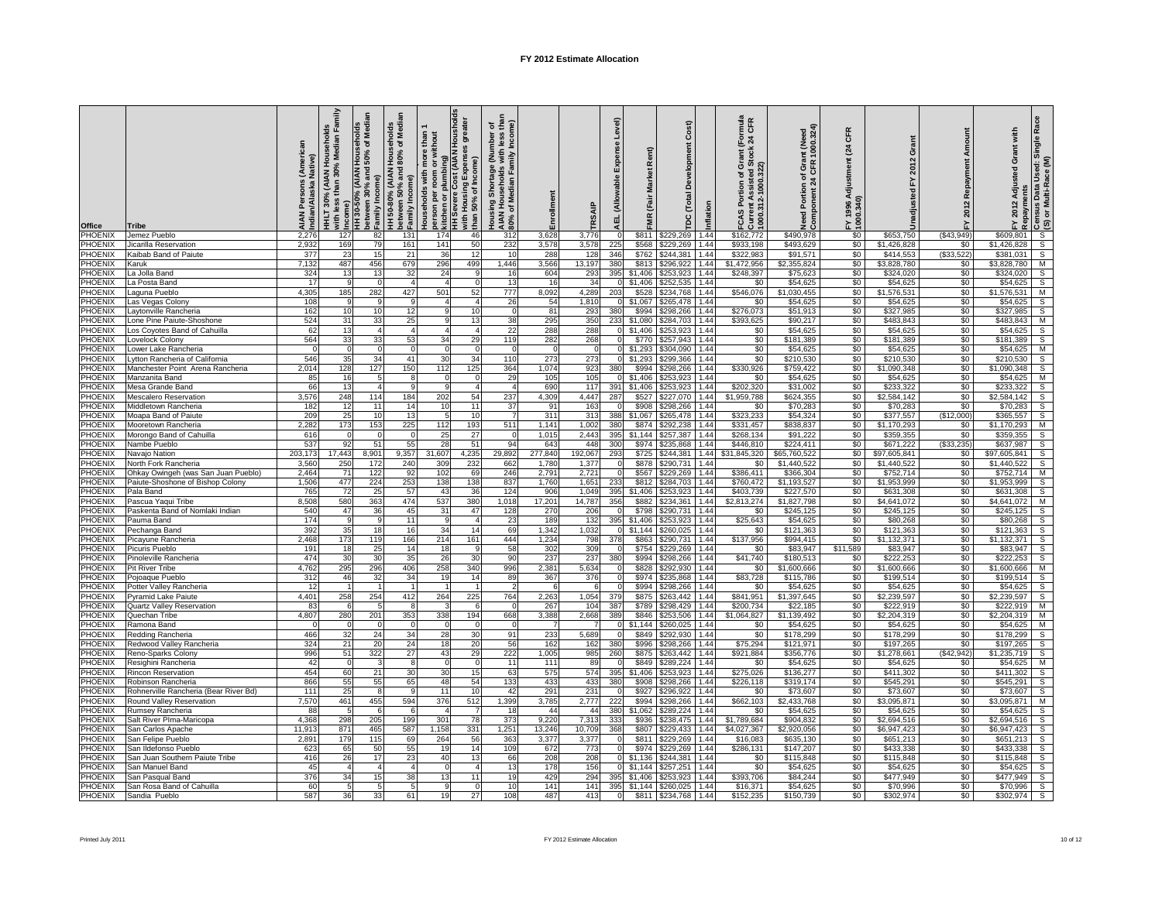| Office                           | <b>Tribe</b>                                                            | AIAN Persons (American<br>Indian/Alaska Native) | HHLT 30% (AIAN Households<br>with less than 30% Median Family | of Media<br>IH 30-50% (AIAN Househ<br>between 30% and 50%<br>Family Income) | HH 50-80% (AIAN Households<br>between 50% and 80% of Median<br>Family Income) | Households with more than 1<br>_ person per room or without<br>_ kitchen or plumbing)<br>HH Severe Cost (AIAN Housholds<br>_ with Housing Expenses greater | Income)<br>with Housing E<br>than 50% of In- | Housing Shortage (Number of<br>AIAN Households with less tha<br>80% of Median Family Income) | Enrollment     | TRSAIP         | Level)<br>Expense<br><b>AEL</b> (Allowable | Rent)<br><b>Market</b><br>FMR (Fair | Cost)<br>Development<br>Total<br>ě | Inflation    | ant (Formula<br>tock 24 CFR<br>FCAS Portion of Gra<br>Current Assisted Stc<br>1000.312-1000.322) | Need Portion of Grant (Need<br>Component 24 CFR 1000.324) | CFR<br>(24)<br>FY 1996 Adjustment<br>1000.340) | Grant<br>2012<br>È       | 2012 Repayment Amount<br>놊 | Adjusted Grant with<br>2012<br>놊 | Rac<br><sup>∑</sup> Repayments<br>  Census Data Used: Single R<br><i> </i> (S) or Multi-Race (M) |
|----------------------------------|-------------------------------------------------------------------------|-------------------------------------------------|---------------------------------------------------------------|-----------------------------------------------------------------------------|-------------------------------------------------------------------------------|------------------------------------------------------------------------------------------------------------------------------------------------------------|----------------------------------------------|----------------------------------------------------------------------------------------------|----------------|----------------|--------------------------------------------|-------------------------------------|------------------------------------|--------------|--------------------------------------------------------------------------------------------------|-----------------------------------------------------------|------------------------------------------------|--------------------------|----------------------------|----------------------------------|--------------------------------------------------------------------------------------------------|
| <b>PHOENIX</b>                   | Jemez Pueblo                                                            | 2,276                                           | 127                                                           | 82                                                                          | 131                                                                           | 174                                                                                                                                                        | 46                                           | 312                                                                                          | 3,628          | 3,776          |                                            | \$811                               | \$229,269                          | 1.44         | \$162,772                                                                                        | \$490,978                                                 | \$0                                            | \$653,750                | (\$43,949)                 | \$609,801                        | $\mathsf{s}$                                                                                     |
| <b>PHOENIX</b>                   | Jicarilla Reservation                                                   | 2,932                                           | 169                                                           | 79                                                                          | 161                                                                           | 141                                                                                                                                                        | 50                                           | 232                                                                                          | 3,578          | 3,578          | 225                                        | \$568                               | \$229,269                          | 1.44         | \$933,198                                                                                        | \$493,629                                                 | \$0                                            | \$1,426,828              | \$0                        | \$1,426,828                      | $\overline{s}$                                                                                   |
| PHOENIX<br><b>PHOENIX</b>        | Kaibab Band of Paiute<br>Karuk                                          | 377<br>7,132                                    | 23<br>487                                                     | 15<br>456                                                                   | 21<br>679                                                                     | 36<br>296                                                                                                                                                  | 12<br>499                                    | 10<br>1,446                                                                                  | 288<br>3,566   | 128<br>13,197  | 346<br>380                                 | \$762<br>\$813                      | \$244,381<br>\$296,922             | 1.44<br>1.44 | \$322,983<br>\$1,472,956                                                                         | \$91,571<br>\$2,355,824                                   | \$0<br>\$0                                     | \$414,553<br>\$3,828,780 | $(*33,522)$<br>\$0         | \$381,031<br>\$3,828,780         | $\overline{s}$<br>M                                                                              |
| PHOENIX                          | a Jolla Band.                                                           | 324                                             | 13                                                            | 1                                                                           | 32                                                                            | 24                                                                                                                                                         |                                              | 16                                                                                           | 604            | 293            | 395                                        | \$1,406                             | \$253,923                          | 1.44         | \$248,397                                                                                        | \$75,623                                                  | \$0                                            | \$324,020                | \$0                        | \$324,020                        | s                                                                                                |
| PHOENIX                          | .a Posta Band                                                           | 17                                              |                                                               |                                                                             |                                                                               |                                                                                                                                                            |                                              | 13                                                                                           | 16             | 34             |                                            | \$1,406                             | \$252,535                          | 1.44         | \$0                                                                                              | \$54,625                                                  | \$0                                            | \$54,625                 | \$0                        | \$54,625                         | s                                                                                                |
| PHOENIX                          | aguna Pueblo                                                            | 4,305                                           | 185                                                           | 282                                                                         | 427                                                                           | 501                                                                                                                                                        | 52                                           | 777                                                                                          | 8,092          | 4,289          | 203                                        | \$528                               | \$234,768                          | 1.44         | \$546,076                                                                                        | \$1,030,455                                               | \$0                                            | \$1,576,531              | \$0                        | \$1,576,531                      | M                                                                                                |
| PHOENIX                          | as Vegas Colony                                                         | 108                                             |                                                               |                                                                             |                                                                               |                                                                                                                                                            |                                              | 26                                                                                           | 54             | 1,810          |                                            | \$1,067                             | \$265,478                          | 144          | \$0                                                                                              | \$54,625                                                  | \$0                                            | \$54,625                 | \$0                        | \$54,625                         | s                                                                                                |
| PHOENIX<br>PHOENIX               | aytonville Rancheria<br>one Pine Paiute-Shoshone                        | 162<br>524                                      | 10<br>31                                                      | 10<br>33                                                                    | 12<br>25                                                                      |                                                                                                                                                            | 10<br>13                                     | 38                                                                                           | 81<br>295      | 293<br>350     | 380<br>233                                 | \$994<br>\$1,080                    | \$298.266<br>\$284,703             | 1.44<br>1.44 | \$276,073<br>\$393,625                                                                           | \$51,913<br>\$90,217                                      | \$0<br>\$0                                     | \$327,985<br>\$483,843   | \$0<br>\$0                 | \$327.985<br>\$483.843           | s<br>M                                                                                           |
| PHOENIX                          | os Coyotes Band of Cahuilla                                             | 62                                              | 13                                                            |                                                                             | $\boldsymbol{\Delta}$                                                         |                                                                                                                                                            | $\mathbf{A}$                                 | 22                                                                                           | 288            | 288            |                                            | \$1,406                             | \$253,923                          | 1.44         | \$0                                                                                              | \$54,625                                                  | \$0                                            | \$54,625                 | \$0                        | \$54,625                         | $\mathbf{s}$                                                                                     |
| PHOENIX                          | ovelock Colony_                                                         | 564                                             | 33                                                            | 33                                                                          | 53                                                                            | 34                                                                                                                                                         | 29                                           | 119                                                                                          | 282            | 268            |                                            | \$770                               | \$257,943                          | 1.44         | \$0                                                                                              | \$181,389                                                 | \$0                                            | \$181,389                | \$0                        | \$181,389                        | $\mathbf{s}$                                                                                     |
| PHOENIX                          | <sub>-</sub> ower Lake Rancheria                                        |                                                 | $\Omega$                                                      |                                                                             |                                                                               | - 0                                                                                                                                                        | $\Omega$                                     |                                                                                              | $\Omega$       | - 0            |                                            | \$1,293                             | \$304,090                          | 1.44         | \$0                                                                                              | \$54,625                                                  | \$0                                            | \$54,625                 | \$0                        | \$54,625                         | M                                                                                                |
| <b>PHOENIX</b>                   | vtton Rancheria of California.                                          | 546                                             | 35                                                            | 34                                                                          | 41                                                                            | 30                                                                                                                                                         | 34                                           | 110                                                                                          | 273            | 273            | $\Omega$                                   | \$1,293                             | \$299,366                          | 1.44         | \$0                                                                                              | \$210,530                                                 | \$0                                            | \$210,530                | \$0<br>\$0                 | \$210,530                        | $\overline{s}$                                                                                   |
| <b>PHOENIX</b><br><b>PHOENIX</b> | Manchester Point Arena Rancheria<br>Manzanita Band                      | 2,014<br>85                                     | 128<br>16                                                     | 127                                                                         | 150<br>8                                                                      | 112                                                                                                                                                        | 125<br>$\Omega$                              | 364<br>29                                                                                    | 1,074<br>105   | 923<br>105     | 380                                        | \$994<br>\$1,406                    | \$298,266<br>\$253,923             | 1.44<br>1.44 | \$330,926<br>$\frac{1}{2}$                                                                       | \$759,422<br>\$54,625                                     | \$0<br>\$0                                     | \$1,090,348<br>\$54,625  | \$0                        | \$1,090,348<br>\$54,625          | $\mathsf{s}$<br>M                                                                                |
| <b>PHOENIX</b>                   | Mesa Grande Band                                                        | 66                                              | 13                                                            |                                                                             | q                                                                             |                                                                                                                                                            | 4                                            | $\overline{4}$                                                                               | 690            | 117            |                                            | 391 \$1,406                         | \$253,923                          | 1.44         | \$202,320                                                                                        | \$31,002                                                  | \$0                                            | \$233,322                | \$0                        | \$233,322                        | $\overline{s}$                                                                                   |
| <b>PHOENIX</b>                   | Mescalero Reservation                                                   | 3,576                                           | 248                                                           | 114                                                                         | 184                                                                           | 202                                                                                                                                                        | 54                                           | 237                                                                                          | 4,309          | 4,447          | 287                                        | \$527                               | \$227,070                          | 1.44         | \$1,959,788                                                                                      | \$624,355                                                 | \$0                                            | \$2,584,142              | \$0                        | \$2,584,142                      | S                                                                                                |
| PHOENIX                          | Middletown Rancheria                                                    | 182                                             | 12                                                            | 11                                                                          | 14                                                                            | 10                                                                                                                                                         | 11                                           | 37                                                                                           | 91             | 163            |                                            | \$908                               | \$298,266                          | 1.44         | \$0                                                                                              | \$70,283                                                  | \$0                                            | \$70,283                 | \$0                        | \$70,283                         | s                                                                                                |
| PHOENIX                          | Moapa Band of Paiute                                                    | 209<br>2,282                                    | 25<br>173                                                     | 10<br>153                                                                   | 13                                                                            |                                                                                                                                                            | 10<br>193                                    | $\overline{7}$<br>511                                                                        | 311            | 313            | 388<br>380                                 | \$1,067                             | \$265,478<br>\$292,238             | 1.44<br>1.44 | \$323,233<br>\$331,457                                                                           | \$54,324<br>\$838,837                                     | \$0<br>\$0                                     | \$377,557<br>\$1,170,293 | (\$12,000)                 | \$365,557                        | s                                                                                                |
| PHOENIX<br><b>PHOENIX</b>        | Mooretown Rancheria<br>Morongo Band of Cahuilla                         | 616                                             |                                                               |                                                                             | 225<br>$\Omega$                                                               | 112<br>25                                                                                                                                                  | 27                                           | $\Omega$                                                                                     | 1,141<br>1,015 | 1,002<br>2,443 | 395                                        | \$874<br>\$1,144                    | \$257,387                          | 1.44         | \$268,134                                                                                        | \$91,222                                                  | \$0                                            | \$359,355                | \$0<br>\$0                 | \$1,170,293<br>\$359,355         | M<br>$\mathsf{s}$                                                                                |
| PHOENIX                          | Vambe Pueblo                                                            | 537                                             | 92                                                            | 51                                                                          | 55                                                                            | 28                                                                                                                                                         | 51                                           | 94                                                                                           | 643            | 448            | 300                                        | \$974                               | \$235,868                          | 1.44         | \$446,810                                                                                        | \$224,411                                                 | \$0                                            | \$671,222                | (\$33,235)                 | \$637,987                        | $\mathsf{s}$                                                                                     |
| PHOENIX                          | Vavajo Nation                                                           | 203,173                                         | 17,443                                                        | 8,901                                                                       | 9,357                                                                         | 31,607                                                                                                                                                     | 4,235                                        | 29,892                                                                                       | 277,840        | 192,067        | 293                                        | \$725                               | \$244,381                          | 1.44         | \$31,845,320                                                                                     | \$65,760,522                                              | \$0                                            | \$97,605,841             | \$0                        | \$97,605,841                     | S                                                                                                |
| PHOENIX                          | Vorth Fork Rancheria                                                    | 3,56                                            | 250                                                           | 172                                                                         | 240                                                                           | 309                                                                                                                                                        | 232                                          | 662                                                                                          | 1,780          | 1,377          |                                            | \$878                               | \$290,731                          | 1.44         | \$0                                                                                              | \$1,440,522                                               | \$0                                            | \$1,440,522              | \$0                        | \$1,440,522                      | S                                                                                                |
| <b>PHOENIX</b><br>PHOENIX        | Ohkay Owingeh (was San Juan Pueblo)<br>Paiute-Shoshone of Bishop Colony | 2,46<br>1,50                                    | 71<br>477                                                     | 122<br>224                                                                  | 92<br>253                                                                     | 102<br>138                                                                                                                                                 | 69<br>138                                    | 246<br>837                                                                                   | 2,791<br>1,760 | 2,721<br>1,651 | 233                                        | \$567<br>\$812                      | \$229,269<br>\$284,703             | 1.44<br>1.44 | \$386,411<br>\$760,472                                                                           | \$366,304<br>\$1,193,527                                  | \$0<br>\$0                                     | \$752,714<br>\$1,953,999 | \$0<br>\$0                 | \$752,714<br>\$1,953,999         | M<br>$\mathsf{s}$                                                                                |
| PHOENIX                          | Pala Band                                                               | 765                                             | 72                                                            | 25                                                                          | 57                                                                            | 43                                                                                                                                                         | 36                                           | 124                                                                                          | 906            | 1,049          | 395                                        | \$1,406                             | \$253,923                          | 1.44         | \$403,739                                                                                        | \$227,570                                                 | \$0                                            | \$631,308                | \$0                        | \$631,308                        | $\overline{s}$                                                                                   |
| PHOENIX                          | Pascua Yaqui Tribe                                                      | 8,508                                           | 580                                                           | 363                                                                         | 474                                                                           | 537                                                                                                                                                        | 380                                          | 1,018                                                                                        | 17,201         | 14,787         | 356                                        | \$882                               | 3234,361                           | 1.44         | \$2,813,274                                                                                      | \$1,827,798                                               | \$0                                            | \$4,641,072              | \$0                        | \$4,641,072                      | M                                                                                                |
| PHOENIX                          | Paskenta Band of Nomlaki Indian                                         | 540                                             | 47                                                            | 36                                                                          | 45                                                                            | 31                                                                                                                                                         | 47                                           | 128                                                                                          | 270            | 206            |                                            | \$798                               | 6290,731                           | 1.44         | \$0                                                                                              | \$245,125                                                 | \$0                                            | \$245,125                | \$0                        | \$245,125                        | s                                                                                                |
| PHOENIX<br>PHOENIX               | Pauma Band                                                              | 174<br>392                                      | 9<br>35                                                       | 18                                                                          | 11<br>16                                                                      | -9<br>34                                                                                                                                                   | $\overline{4}$<br>14                         | 23<br>69                                                                                     | 189<br>1,342   | 132<br>1,032   | 395                                        | \$1,406<br>\$1,144                  | \$253,923<br>\$260,025             | 1.44<br>1.44 | \$25,643<br>\$0                                                                                  | \$54,625<br>\$121,363                                     | \$0<br>\$0                                     | \$80,268<br>\$121,363    | \$0<br>\$0                 | \$80,268<br>\$121,363            | S<br>s                                                                                           |
| PHOENIX                          | Pechanga Band<br>Picayune Rancheria                                     | 2,468                                           | 173                                                           | 119                                                                         | 166                                                                           | 214                                                                                                                                                        | 161                                          | 444                                                                                          | 1,234          | 798            | 378                                        | \$863                               | \$290,731                          | 1.44         | \$137,956                                                                                        | \$994,415                                                 | \$0                                            | \$1,132,371              | \$0                        | \$1,132,371                      | S                                                                                                |
| PHOENIX                          | Picuris Pueblo                                                          | 191                                             | 18                                                            | 25                                                                          | 14                                                                            | 18                                                                                                                                                         | -9                                           | 58                                                                                           | 302            | 309            | $\Omega$                                   | \$754                               | \$229,269                          | 1.44         | \$0                                                                                              | \$83,947                                                  | \$11,589                                       | \$83,947                 | \$0                        | \$83,947                         | S                                                                                                |
| <b>PHOENIX</b>                   | Pinoleville Rancheria                                                   | 474                                             | 30                                                            | 30                                                                          | 35                                                                            | 26                                                                                                                                                         | 30                                           | 90                                                                                           | 237            | 237            | 380                                        | \$994                               | \$298,266                          | 1.44         | \$41,740                                                                                         | \$180,513                                                 | \$0                                            | \$222,253                | \$0                        | \$222,253                        | $\mathbf{s}$                                                                                     |
| PHOENIX<br><b>PHOENIX</b>        | Pit River Tribe                                                         | 4,762                                           | 295                                                           | 296                                                                         | 406                                                                           | 258<br>19                                                                                                                                                  | 340                                          | 996                                                                                          | 2,381<br>367   | 5,634<br>376   | $\Omega$                                   | \$828                               | \$292,930                          | 1.44         | \$0                                                                                              | \$1,600,666                                               | \$0 <sub>1</sub>                               | \$1,600,666              | \$0<br>\$0                 | \$1,600,666<br>\$199,514         | M<br>s                                                                                           |
| PHOENIX                          | Pojoaque Pueblo<br>Potter Valley Rancheria                              | 312<br>12                                       | 46                                                            | 32                                                                          | 34                                                                            |                                                                                                                                                            | 14<br>$\overline{1}$                         | 89                                                                                           |                |                | $\circ$<br>$\Omega$                        | \$974<br>\$994                      | \$235,868<br>\$298,266             | 1.44<br>1.44 | \$83,728<br>\$0                                                                                  | \$115,786<br>\$54,625                                     | \$0<br>\$0                                     | \$199,514<br>\$54,625    | \$0                        | \$54,625                         | S                                                                                                |
| PHOENIX                          | Pyramid Lake Paiute                                                     | 4,401                                           | 258                                                           | 254                                                                         | 412                                                                           | 264                                                                                                                                                        | 225                                          | 764                                                                                          | 2,263          | 1,054          | 379                                        | \$875                               | \$263,442                          | 1.44         | \$841,951                                                                                        | \$1,397,645                                               | \$0                                            | \$2,239,597              | \$0                        | \$2,239,597                      | S                                                                                                |
| PHOENIX                          | <b>Quartz Valley Reservation</b>                                        | -83                                             |                                                               |                                                                             |                                                                               |                                                                                                                                                            |                                              |                                                                                              | 267            | 104            | 387                                        | \$789                               | \$298,429                          | 1.44         | \$200,734                                                                                        | \$22,185                                                  | \$0                                            | \$222,919                | \$0                        | \$222,919                        | М                                                                                                |
| PHOENIX                          | Quechan Tribe                                                           | 4,807                                           | 280                                                           | 201                                                                         | 353                                                                           | 338                                                                                                                                                        | 194                                          | 668                                                                                          | 3,388          | 2,668          | 389                                        | \$846                               | \$253,506                          | 1.44         | \$1,064,827                                                                                      | \$1,139,492                                               | \$0                                            | \$2,204,319              | \$0                        | \$2,204,319                      | М                                                                                                |
| <b>PHOENIX</b><br>PHOENIX        | Ramona Band                                                             | 466                                             | $\Omega$<br>32                                                | 24                                                                          | $\Omega$<br>34                                                                | 28                                                                                                                                                         | $\Omega$<br>30                               | $\Omega$<br>91                                                                               | 233            | 5,689          |                                            | \$1,144<br>\$849                    | \$260,025<br>\$292,930             | 1.44<br>1.44 | \$0<br>\$0                                                                                       | \$54,625<br>\$178,299                                     | \$0<br>\$0                                     | \$54,625<br>\$178,299    | \$0<br>\$0                 | \$54,625<br>\$178,299            | M<br>S                                                                                           |
| PHOENIX                          | Redding Rancheria<br>Redwood Valley Rancheria                           | 324                                             | 21                                                            | -20                                                                         | 24                                                                            | 18                                                                                                                                                         | 20                                           | 56                                                                                           | 162            | 162            | 380                                        | \$996                               | \$298,266                          | 1.44         | \$75,294                                                                                         | \$121,971                                                 | \$0                                            | \$197,265                | \$0                        | \$197,265                        | s                                                                                                |
| PHOENIX                          | Reno-Sparks Colony                                                      | 996                                             | 51                                                            | 322                                                                         | 27                                                                            | 43                                                                                                                                                         | 29                                           | 222                                                                                          | 1,005          | 985            | 260                                        | \$875                               | \$263,442                          | 1.44         | \$921,884                                                                                        | \$356,776                                                 | \$0                                            | \$1,278,661              | (\$42,942)                 | \$1,235,719                      | S                                                                                                |
| PHOENIX                          | Resighini Rancheria                                                     | 42                                              |                                                               |                                                                             |                                                                               |                                                                                                                                                            | $\Omega$                                     | 11                                                                                           | 111            | 89             |                                            | \$849                               | \$289,224                          | 1.44         | \$0                                                                                              | \$54,625                                                  | \$0                                            | \$54,625                 | \$0                        | \$54,625                         | M                                                                                                |
| PHOENIX                          | Rincon Reservation                                                      | 45                                              | 60                                                            | 21                                                                          | 30                                                                            | 30                                                                                                                                                         | 15                                           | 63                                                                                           | 575            | 574            | 395                                        | \$1,406                             | \$253,923                          | 1.44         | \$275,026                                                                                        | \$136,277                                                 | \$0                                            | \$411,302<br>\$545,291   | \$0                        | \$411,302                        | $\overline{s}$<br>$\overline{s}$                                                                 |
| PHOENIX<br>PHOENIX               | Robinson Rancheria<br>Rohnerville Rancheria (Bear River Bd)             | 866<br>11'                                      | 55<br>25                                                      | 55                                                                          | 65                                                                            | 48<br>11                                                                                                                                                   | 54<br>10                                     | 133<br>42                                                                                    | 433<br>291     | 433<br>231     | 380                                        | \$908<br>\$927                      | ኔ298,266<br>296,922                | 1.44<br>1.44 | \$226,118<br>\$0                                                                                 | \$319,174<br>\$73,607                                     | \$0<br>\$0                                     | \$73,607                 | \$0<br>\$0                 | \$545,291<br>\$73,607            | s                                                                                                |
| PHOENIX                          | Round Valley Reservation                                                | 7,570                                           | 461                                                           | 455                                                                         | 594                                                                           | 376                                                                                                                                                        | 512                                          | 1,399                                                                                        | 3,785          | 2,777          | 222                                        | \$994                               | \$298,266                          | 1.44         | \$662,103                                                                                        | \$2,433,768                                               | \$0                                            | \$3,095,871              | \$0                        | \$3,095,871                      | M                                                                                                |
| PHOENIX                          | Rumsey Rancheria                                                        | -88                                             |                                                               |                                                                             |                                                                               |                                                                                                                                                            |                                              |                                                                                              | 44             | 44             | 380                                        | \$1,062                             | \$289,224                          | 1.44         | \$0                                                                                              | \$54,625                                                  | \$0                                            | \$54,625                 | \$0                        | \$54,625                         | s                                                                                                |
| PHOENIX                          | Salt River PIma-Maricopa                                                | 4,368                                           | 298                                                           | 205                                                                         | 199                                                                           | 301                                                                                                                                                        | 78                                           | 373                                                                                          | 9,220          | 7,313          | 333                                        | \$936                               | \$238,475                          | 1.44         | \$1,789,684                                                                                      | \$904,832                                                 | \$0                                            | \$2,694,516              | \$0                        | \$2,694,516                      | S                                                                                                |
| PHOENIX                          | San Carlos Apache                                                       | 11,913                                          | 871                                                           | 465                                                                         | 587                                                                           | 1,158                                                                                                                                                      | 331                                          | 1,251                                                                                        | 13,246         | 10,709         | 368                                        | \$807                               | \$229,433                          | 1.44         | \$4,027,367                                                                                      | \$2,920,056                                               | \$0                                            | \$6,947,423              | \$0                        | \$6,947,423                      | $\overline{s}$                                                                                   |
| <b>PHOENIX</b><br>PHOENIX        | San Felipe Pueblo<br>San Ildefonso Pueblo                               | 2,891<br>623                                    | 179<br>65                                                     | 115<br>50                                                                   | 69<br>55                                                                      | 264<br>19                                                                                                                                                  | 56<br>14                                     | 363<br>109                                                                                   | 3,377<br>672   | 3,377<br>773   | $\Omega$<br><sup>0</sup>                   | \$811<br>\$974                      | \$229,269<br>\$229,269             | 1.44<br>1.44 | \$16,083<br>\$286,131                                                                            | \$635,130<br>\$147,207                                    | \$0<br>\$0                                     | \$651,213<br>\$433,338   | \$0<br>\$0                 | \$651,213<br>\$433,338           | s<br>$\mathbf{s}$                                                                                |
| PHOENIX                          | San Juan Southern Paiute Tribe                                          | 416                                             | 26                                                            | 17                                                                          | 23                                                                            | 40                                                                                                                                                         | 13                                           | 66                                                                                           | 208            | 208            | $\Omega$                                   | \$1,136                             | \$244,381                          | 1.44         | $\frac{1}{2}$                                                                                    | \$115,848                                                 | \$0                                            | \$115,848                | \$0                        | \$115,848                        | $\mathsf{s}$                                                                                     |
| PHOENIX                          | San Manuel Band                                                         | 45                                              |                                                               |                                                                             | $\mathbf{A}$                                                                  | - 0                                                                                                                                                        | $\mathbf{A}$                                 | 13                                                                                           | 178            | 156            |                                            | \$1,144                             | \$257,251                          | 1.44         | S <sub>0</sub>                                                                                   | \$54,625                                                  | \$0                                            | \$54,625                 | \$0                        | \$54,625                         | $\mathsf{s}$                                                                                     |
| <b>PHOENIX</b>                   | San Pasqual Band                                                        | 376                                             | 34                                                            | 15                                                                          | 38                                                                            | 13                                                                                                                                                         | 11                                           | 19                                                                                           | 429            | 294            | 395                                        | \$1,406                             | \$253,923                          | 1.44         | \$393,706                                                                                        | \$84,244                                                  | S <sub>0</sub>                                 | \$477,949                | \$0                        | \$477,949                        | $\mathsf{s}$                                                                                     |
| PHOENIX<br><b>PHOENIX</b>        | San Rosa Band of Cahuilla                                               | 60<br>587                                       | 36                                                            |                                                                             | 61                                                                            | 19                                                                                                                                                         | $\Omega$                                     | 10<br>108                                                                                    | 141<br>487     | 141<br>413     | 395                                        | \$1,144<br>\$811                    | \$260.025<br>\$234.768             | 1.44<br>1.44 | \$16,371<br>\$152,235                                                                            | \$54,625<br>\$150,739                                     | \$0<br>\$0                                     | \$70,996<br>\$302,974    | \$0<br>\$0                 | \$70,996<br>\$302,974            | $\overline{s}$<br>$\mathsf{s}$                                                                   |
|                                  | Sandia Pueblo                                                           |                                                 |                                                               |                                                                             |                                                                               |                                                                                                                                                            |                                              |                                                                                              |                |                |                                            |                                     |                                    |              |                                                                                                  |                                                           |                                                |                          |                            |                                  |                                                                                                  |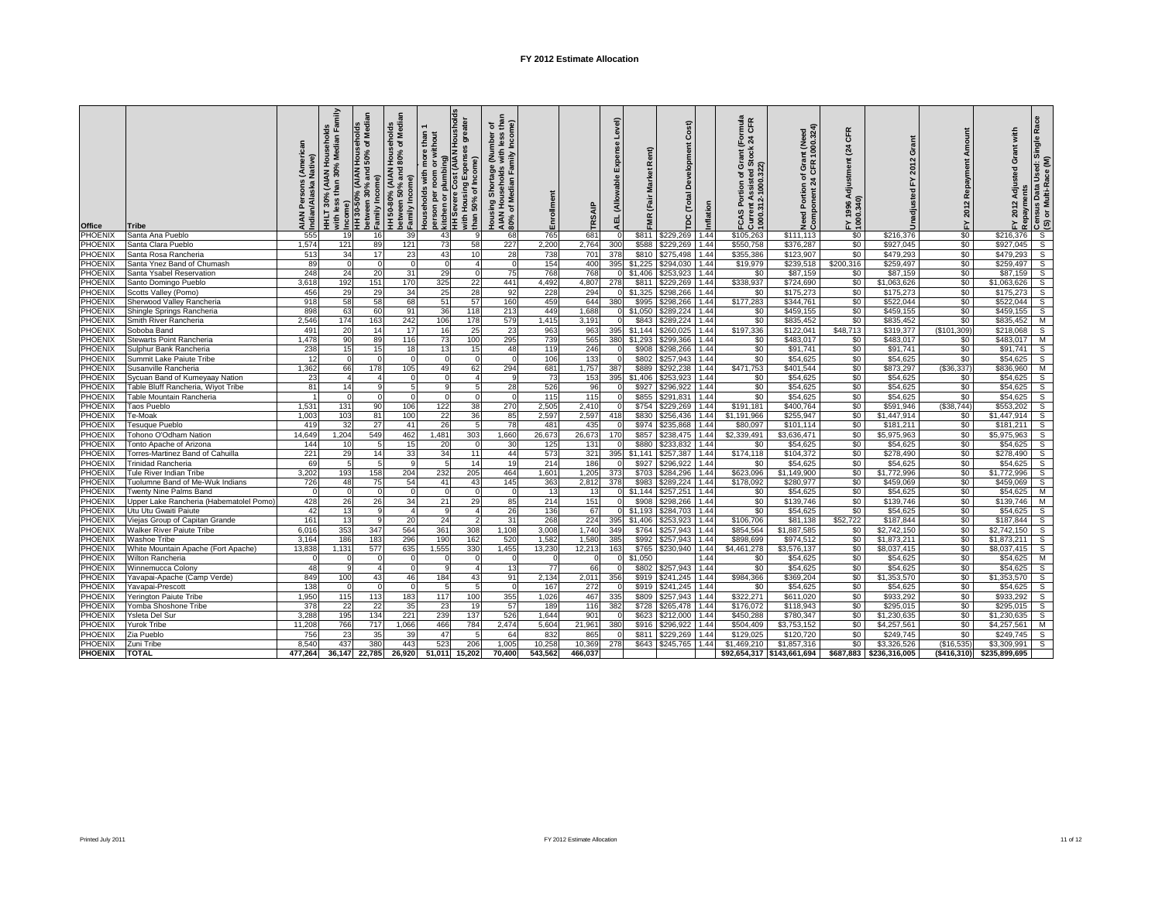| Office             | Tribe                                              | i (Ameri<br>Native)<br>AIAN Persons<br>Indian/Alaska N | $\frac{2}{\overline{E}}$<br>l Households<br>% Median Fan<br>with less than 30% Median<br>30% (AIAN<br>主 | Median<br>; <sup> </sup> income)<br> HH 30-50% (AIAN Household<br> HH 30-50% and 50% of Me<br>between 30% and<br>Family Income) | HH 50-80% (AIAN Households<br>between 50% and 80% of Median<br>Family Income) | Households with more than 1<br>  person per room or without<br>!> kitchen or plumbing)<br>  HI Severe Cost (AIAN Housholds<br>  with Housing Expenses greater | with Housing Expens<br>than 50% of Income) | $\frac{5}{10}$<br>Housing Shortage (Number of<br>AIAN Households with less tha<br>80% of Median Family Income) | Enrollment | TRSAIP     | Level)<br>8<br>Expens<br><b>AEL (Allowable</b> | Rent)<br>ket<br>Mar<br>FMR (Fair | Cost)<br>Developm<br>TDC (Total | Inflation    | Te<br>CFR<br>$\overline{5}$ $\overline{2}$<br>ock<br>FCAS Portion of Gra<br>Current Assisted Sto<br>1000.312-1000.322) | f Grant (Need<br>CFR 1000.324)<br>Need Portion of<br>Component 24 C | CFR<br>$\overline{a}$<br>FY 1996 Adjustment<br>1000.340) | Grant<br>2012<br>՟<br>Jnadjusted | Amount<br>Repayment<br>FY 2012 | with<br>¦ FY 2012 Adjusted Grant with<br>×්Repayments<br> Census Data Used: Single R<br> (S) or Multi-Race (M) | $\alpha$       |
|--------------------|----------------------------------------------------|--------------------------------------------------------|---------------------------------------------------------------------------------------------------------|---------------------------------------------------------------------------------------------------------------------------------|-------------------------------------------------------------------------------|---------------------------------------------------------------------------------------------------------------------------------------------------------------|--------------------------------------------|----------------------------------------------------------------------------------------------------------------|------------|------------|------------------------------------------------|----------------------------------|---------------------------------|--------------|------------------------------------------------------------------------------------------------------------------------|---------------------------------------------------------------------|----------------------------------------------------------|----------------------------------|--------------------------------|----------------------------------------------------------------------------------------------------------------|----------------|
| PHOENIX            | Santa Ana Pueblo                                   | 555                                                    | 19                                                                                                      |                                                                                                                                 | 39                                                                            | 43                                                                                                                                                            |                                            | 68                                                                                                             | 765        | 681        |                                                | \$811                            | \$229,269                       | 1.44         | \$105,263                                                                                                              | \$111,113                                                           | \$0                                                      | \$216,376                        | \$0                            | \$216,376                                                                                                      | S              |
| PHOENIX            | Santa Clara Pueblo                                 | 1,574                                                  | 121                                                                                                     | 89                                                                                                                              | 121                                                                           | 73                                                                                                                                                            | 58                                         | 227                                                                                                            | 2,200      | 2,764      | 300                                            | \$588                            | \$229,269                       | 1.44         | \$550,758                                                                                                              | \$376,287                                                           | \$0                                                      | \$927,045                        | \$0                            | \$927,045                                                                                                      | s              |
| PHOENIX            | Santa Rosa Rancheria                               | 513                                                    | 34                                                                                                      | 17                                                                                                                              | 23                                                                            | 43                                                                                                                                                            | 10                                         | 28                                                                                                             | 738        | 701        | 378                                            | \$810                            | \$275,498                       | 1.44         | \$355,386                                                                                                              | \$123,907                                                           | \$0                                                      | \$479,293                        | \$0                            | \$479,293                                                                                                      | $\mathsf{s}$   |
| PHOENIX            | Santa Ynez Band of Chumash                         | 89                                                     | $\Omega$                                                                                                |                                                                                                                                 | $\Omega$                                                                      |                                                                                                                                                               | $\mathbf{A}$                               | $\Omega$                                                                                                       | 154        | 400        | 395                                            | \$1,225                          | \$294,030                       | 1.44         | \$19,979                                                                                                               | \$239,518                                                           | \$200,316                                                | \$259,497                        | \$0                            | \$259,497                                                                                                      | $\overline{s}$ |
| PHOENIX            | Santa Ysabel Reservation                           | 248                                                    | 24                                                                                                      | 20                                                                                                                              | 31                                                                            | 29                                                                                                                                                            | 0                                          | 75                                                                                                             | 768        | 768        |                                                | \$1,406                          | \$253,923                       | 1.44         | \$0                                                                                                                    | \$87,159                                                            | \$0                                                      | \$87,159                         | \$0                            | \$87,159                                                                                                       | $\overline{s}$ |
| PHOENIX            | Santo Domingo Pueblo                               | 3,618                                                  | 192                                                                                                     | 151                                                                                                                             | 170                                                                           | 325                                                                                                                                                           | 22                                         | 441                                                                                                            | 4,492      | 4,807      | 278                                            | \$811                            | \$229,269                       | 1.44         | \$338,937                                                                                                              | \$724,690                                                           | \$0                                                      | \$1,063,626                      | \$0                            | \$1,063,626                                                                                                    | S              |
| PHOENIX            | Scotts Valley (Pomo                                | 456                                                    | 29                                                                                                      | 29                                                                                                                              | 34                                                                            | 25                                                                                                                                                            | 28                                         | 92                                                                                                             | 228        | 294        |                                                | \$1,325                          | \$298,266                       | 1.44         | \$0                                                                                                                    | \$175,273                                                           | \$0                                                      | \$175,273                        | \$0                            | \$175,273                                                                                                      | s              |
| PHOENIX            | Sherwood Valley Rancheria                          | 918                                                    | 58                                                                                                      | 58                                                                                                                              | 68                                                                            | 51                                                                                                                                                            | 57                                         | 160                                                                                                            | 459        | 644        | 380                                            | \$995                            | \$298,266                       | 1.44         | \$177,283                                                                                                              | \$344,761                                                           | \$0                                                      | \$522,044                        | \$0                            | \$522,044                                                                                                      | S              |
| PHOENIX            | Shingle Springs Rancheria                          | 898                                                    | 63                                                                                                      | 60                                                                                                                              | 91                                                                            | 36                                                                                                                                                            | 118                                        | 213                                                                                                            | 449        | 1,688      |                                                | \$1,050                          | \$289,224                       | 1.44         | \$0                                                                                                                    | \$459,155                                                           | \$0                                                      | \$459,155                        | \$0                            | \$459,155                                                                                                      | S              |
| PHOENIX            | Smith River Rancheria                              | 2,546                                                  | 174                                                                                                     | 163                                                                                                                             | 242                                                                           | 106                                                                                                                                                           | 178                                        | 579                                                                                                            | 1,415      | 3,191      |                                                | \$843                            | \$289,224                       | 1.44         | \$0                                                                                                                    | \$835,452                                                           | \$0                                                      | \$835,452                        | \$0                            | \$835,452                                                                                                      | М              |
| PHOENIX            | Soboba Band                                        | 491                                                    | 20                                                                                                      | 14                                                                                                                              | 17                                                                            | 16                                                                                                                                                            | 25                                         | 23                                                                                                             | 963        | 963        | 395                                            | \$1,144                          | \$260,025                       | 1.44         | \$197,336                                                                                                              | \$122,041                                                           | \$48,713                                                 | \$319,377                        | (\$101,309)                    | \$218,068                                                                                                      | S              |
| PHOENIX<br>PHOENIX | Stewarts Point Rancheria<br>Sulphur Bank Rancheria | 1,478<br>238                                           | 90<br>15                                                                                                | 89<br>15                                                                                                                        | 116<br>18                                                                     | 73<br>13                                                                                                                                                      | 100<br>15                                  | 295<br>48                                                                                                      | 739<br>119 | 565<br>246 | 380                                            | \$1,293<br>\$908                 | \$299,366<br>\$298,266          | 1.44<br>1.44 | \$0<br>\$0                                                                                                             | \$483,017<br>\$91,741                                               | \$0<br>\$0                                               | \$483,017<br>\$91,741            | \$0<br>\$0                     | \$483,017<br>\$91,741                                                                                          | M<br>S         |
| PHOENIX            |                                                    | 12                                                     |                                                                                                         |                                                                                                                                 | $\Omega$                                                                      |                                                                                                                                                               |                                            | -C                                                                                                             | 106        | 133        |                                                | \$802                            | \$257,943                       | 1.44         | \$0                                                                                                                    | \$54,625                                                            | \$0                                                      | \$54,625                         | \$0                            | \$54,625                                                                                                       | $\mathsf{s}$   |
| PHOENIX            | Summit Lake Paiute Tribe<br>Susanville Rancheria   | 1,362                                                  | 66                                                                                                      | 178                                                                                                                             | 105                                                                           | 49                                                                                                                                                            | 62                                         | 294                                                                                                            | 681        | 1,757      | 387                                            | \$889                            | \$292,238                       | 1.44         | \$471,753                                                                                                              | \$401,544                                                           | \$0                                                      | \$873,297                        | (\$36,337)                     | \$836,960                                                                                                      | М              |
| PHOENIX            | Sycuan Band of Kumeyaay Nation                     | 23                                                     |                                                                                                         |                                                                                                                                 | $\Omega$                                                                      |                                                                                                                                                               | $\overline{4}$                             |                                                                                                                | 73         | 153        | 395                                            | \$1,406                          | \$253,923                       | 1.44         | \$0                                                                                                                    | \$54.625                                                            | \$0                                                      | \$54.625                         | \$0                            | \$54.625                                                                                                       | S              |
| PHOENIX            | Table Bluff Rancheria, Wiyot Tribe                 | 81                                                     | 14                                                                                                      |                                                                                                                                 |                                                                               |                                                                                                                                                               |                                            | 28                                                                                                             | 526        | 96         |                                                | \$927                            | \$296,922                       | 1.44         | \$0                                                                                                                    | \$54,625                                                            | \$0                                                      | \$54.625                         | \$0                            | \$54.625                                                                                                       | S              |
| PHOENIX            | Fable Mountain Rancheria                           |                                                        | $\Omega$                                                                                                |                                                                                                                                 | $\Omega$                                                                      |                                                                                                                                                               | $\Omega$                                   | $\Omega$                                                                                                       | 115        | 115        |                                                | \$855                            | \$291,831                       | 1.44         | \$0                                                                                                                    | \$54,625                                                            | \$0                                                      | \$54,625                         | \$0                            | \$54,625                                                                                                       | $\mathsf{s}$   |
| PHOENIX            | Taos Pueblo                                        | 1,531                                                  | 131                                                                                                     | 90                                                                                                                              | 106                                                                           | 122                                                                                                                                                           | 38                                         | 270                                                                                                            | 2,505      | 2,410      |                                                | \$754                            | \$229,269                       | 1.44         | \$191,181                                                                                                              | \$400,764                                                           | \$0                                                      | \$591,946                        | (\$38,744)                     | \$553,202                                                                                                      | S              |
| PHOENIX            | Te-Moak                                            | 1,003                                                  | 103                                                                                                     | 81                                                                                                                              | 100                                                                           | 22                                                                                                                                                            | 36                                         | 85                                                                                                             | 2,597      | 2,597      | 418                                            | \$830                            | \$256,436                       | 1.44         | \$1,191,966                                                                                                            | \$255,947                                                           | \$0                                                      | \$1,447,914                      | \$0                            | \$1,447,914                                                                                                    | S              |
| PHOENIX            | <b>Fesuque Pueblo</b>                              | 419                                                    | 32                                                                                                      | 27                                                                                                                              | 41                                                                            | 26                                                                                                                                                            | 5                                          | 78                                                                                                             | 481        | 435        |                                                | \$974                            | \$235,868                       | 1.44         | \$80,097                                                                                                               | \$101,114                                                           | \$0                                                      | \$181,211                        | \$0                            | \$181,211                                                                                                      | $\mathsf{s}$   |
| PHOENIX            | Tohono O'Odham Nation                              | 14,649                                                 | 1,204                                                                                                   | 549                                                                                                                             | 462                                                                           | 1,481                                                                                                                                                         | 303                                        | 1,660                                                                                                          | 26,673     | 26,673     | 170                                            | \$857                            | \$238,475                       | 1.44         | \$2,339,491                                                                                                            | \$3,636,471                                                         | \$0                                                      | \$5,975,963                      | \$0                            | \$5,975,963                                                                                                    | s              |
| <b>PHOENIX</b>     | Fonto Apache of Arizona                            | 144                                                    | 10                                                                                                      |                                                                                                                                 | 15                                                                            | 20                                                                                                                                                            | $\overline{0}$                             | 30                                                                                                             | 125        | 131        |                                                | \$880                            | \$233,832                       | 1.44         | \$0                                                                                                                    | \$54,625                                                            | \$0                                                      | \$54,625                         | \$0                            | \$54,625                                                                                                       | S              |
| <b>PHOENIX</b>     | Torres-Martinez Band of Cahuilla                   | 221                                                    | 29                                                                                                      | 14                                                                                                                              | 33                                                                            | 34                                                                                                                                                            | 11                                         | 44                                                                                                             | 573        | 321        | 395                                            | \$1,141                          | \$257,387                       | 1.44         | \$174,118                                                                                                              | \$104,372                                                           | \$0                                                      | \$278,490                        | \$0                            | \$278,490                                                                                                      | S              |
| PHOENIX            | Frinidad Rancheria                                 | 69                                                     |                                                                                                         |                                                                                                                                 | <sub>9</sub>                                                                  |                                                                                                                                                               | 14                                         | 19                                                                                                             | 214        | 186        |                                                | \$927                            | \$296,922                       | 1.44         | \$0                                                                                                                    | \$54,625                                                            | \$0                                                      | \$54,625                         | \$0                            | \$54,625                                                                                                       | s              |
| PHOENIX            | Fule River Indian Tribe                            | 3,202                                                  | 193                                                                                                     | 158                                                                                                                             | 204                                                                           | 232                                                                                                                                                           | 205                                        | 464                                                                                                            | 1,601      | 1,205      | 373                                            | \$703                            | \$284,296                       | 1.44         | \$623,096                                                                                                              | \$1,149,900                                                         | \$0                                                      | \$1,772,996                      | \$0                            | \$1,772,996                                                                                                    | S              |
| PHOENIX            | <b>Tuolumne Band of Me-Wuk Indians</b>             | 726                                                    | 48                                                                                                      | 75                                                                                                                              | 54                                                                            | 41                                                                                                                                                            | 43                                         | 145                                                                                                            | 363        | 2,812      | 378                                            | \$983                            | \$289,224                       | 1.44         | \$178,092                                                                                                              | \$280,977                                                           | \$0                                                      | \$459,069                        | \$0                            | \$459,069                                                                                                      | S              |
| PHOENIX            | <b>Twenty Nine Palms Band</b>                      |                                                        |                                                                                                         |                                                                                                                                 | $\Omega$                                                                      |                                                                                                                                                               | $\Omega$                                   |                                                                                                                | 13         | 13         |                                                | \$1,144                          | \$257,251                       | 1.44         | \$0                                                                                                                    | \$54,625                                                            | \$0                                                      | \$54,625                         | \$0                            | \$54,625                                                                                                       | м              |
| PHOENIX            | Jpper Lake Rancheria (Habematolel Pomo)            | 428                                                    | 26                                                                                                      | 26                                                                                                                              | 34                                                                            | 21                                                                                                                                                            | 29                                         | 85                                                                                                             | 214        | 151        |                                                | \$908                            | \$298,266                       | 1.44         | \$0                                                                                                                    | \$139,746                                                           | \$0                                                      | \$139,746                        | \$0                            | \$139,746                                                                                                      | м              |
| <b>PHOENIX</b>     | Utu Utu Gwaiti Paiute                              | 42                                                     | 13                                                                                                      |                                                                                                                                 | $\overline{4}$                                                                |                                                                                                                                                               | $\overline{4}$                             | 26                                                                                                             | 136        | 67         |                                                | \$1,193                          | \$284,703                       | 1.44         | \$0                                                                                                                    | \$54.625                                                            | \$0                                                      | \$54,625                         | \$0                            | \$54,625                                                                                                       | S              |
| <b>PHOENIX</b>     | Viejas Group of Capitan Grande                     | 161                                                    | 13                                                                                                      |                                                                                                                                 | 20                                                                            | 24                                                                                                                                                            | $\overline{\phantom{0}}$                   | 31                                                                                                             | 268        | 224        | 395                                            | \$1,406                          | \$253,923                       | 1.44         | \$106,706                                                                                                              | \$81,138                                                            | \$52,722                                                 | \$187,844                        | \$0                            | \$187.844                                                                                                      | S              |
| PHOENIX            | Walker River Paiute Tribe                          | 6,016                                                  | 353                                                                                                     | 347                                                                                                                             | 564                                                                           | 361                                                                                                                                                           | 308                                        | 1,108                                                                                                          | 3,008      | 1,740      | 349                                            | \$764                            | \$257,943                       | 1.44         | \$854,564                                                                                                              | \$1,887,585                                                         | \$0                                                      | \$2,742,150                      | \$0                            | \$2,742,150                                                                                                    | s              |
| PHOENIX            | Washoe Tribe                                       | 3,164                                                  | 186                                                                                                     | 183                                                                                                                             | 296                                                                           | 190                                                                                                                                                           | 162                                        | 520                                                                                                            | 1,582      | 1,580      | 385                                            | \$992                            | \$257,943                       | 1.44         | \$898,699                                                                                                              | \$974,512                                                           | \$0                                                      | \$1,873,211                      | \$0                            | \$1,873,211                                                                                                    | S              |
| PHOENIX            | White Mountain Apache (Fort Apache)                | 13,838                                                 | 1,131                                                                                                   | 577                                                                                                                             | 635                                                                           | 1,555                                                                                                                                                         | 330                                        | 1,455                                                                                                          | 13,230     | 12,213     | 163                                            | \$765                            | \$230,940                       | 1.44         | \$4,461,278                                                                                                            | \$3,576,137                                                         | \$0                                                      | \$8,037,415                      | \$0                            | \$8,037,415                                                                                                    | s              |
| PHOENIX            | Nilton Rancheria                                   |                                                        |                                                                                                         |                                                                                                                                 | n                                                                             |                                                                                                                                                               | $\Omega$                                   |                                                                                                                |            |            |                                                | \$1,050                          |                                 | 1.44         | \$0                                                                                                                    | \$54,625                                                            | \$0                                                      | \$54,625                         | \$0                            | \$54,625                                                                                                       | M              |
| <b>PHOENIX</b>     | Winnemucca Colony                                  | 48                                                     |                                                                                                         |                                                                                                                                 |                                                                               |                                                                                                                                                               |                                            | 13                                                                                                             | 77         | 66         |                                                | \$802                            | \$257,943                       | 1.44         | \$0                                                                                                                    | \$54,625                                                            | \$0                                                      | \$54,625                         | \$0                            | \$54,625                                                                                                       | S              |
| PHOENIX            | Yavapai-Apache (Camp Verde)                        | 849                                                    | 100                                                                                                     | 43                                                                                                                              | 46                                                                            | 184                                                                                                                                                           | 43                                         | 91                                                                                                             | 2,134      | 2,011      | 356                                            | \$919                            | \$241,245                       | 1.44         | \$984,366                                                                                                              | \$369,204                                                           | \$0                                                      | \$1,353,570                      | \$0                            | \$1,353,570                                                                                                    | s              |
| PHOENIX            | Yavapai-Prescott                                   | 138                                                    | $\Omega$                                                                                                |                                                                                                                                 |                                                                               |                                                                                                                                                               | 5                                          |                                                                                                                | 167        | 272        |                                                | \$919                            | \$241,245                       | 1.44         | \$0                                                                                                                    | \$54,625                                                            | \$0                                                      | \$54,625                         | \$0                            | \$54,625                                                                                                       | $\mathsf{s}$   |
| PHOENIX            | Yerington Paiute Tribe                             | 1,950                                                  | 115                                                                                                     | 113                                                                                                                             | 183                                                                           | 117                                                                                                                                                           | 100                                        | 355                                                                                                            | 1,026      | 467        | 335                                            | \$809                            | \$257,943                       | 1.44         | \$322,271                                                                                                              | \$611,020                                                           | \$0                                                      | \$933,292                        | \$0                            | \$933,292                                                                                                      | S              |
| PHOENIX            | Yomba Shoshone Tribe                               | 378                                                    | 22                                                                                                      | 22                                                                                                                              | 35                                                                            | 23                                                                                                                                                            | 19                                         | 57                                                                                                             | 189        | 116        | 382                                            | \$728                            | \$265,478                       | 1.44         | \$176,072                                                                                                              | \$118.943                                                           | \$0                                                      | \$295,015                        | \$0                            | \$295,015                                                                                                      | $\mathbf{s}$   |
| <b>PHOENIX</b>     | rsleta Del Sur                                     | 3,288                                                  | 195                                                                                                     | 134                                                                                                                             | 221                                                                           | 239                                                                                                                                                           | 137                                        | 526                                                                                                            | 1,644      | 901        |                                                | \$623                            | \$212,000                       | 1.44         | \$450,288                                                                                                              | \$780,347                                                           | \$0                                                      | \$1,230,635                      | \$0                            | \$1,230,635                                                                                                    | S              |
| PHOENIX            | Yurok Tribe                                        | 11,208                                                 | 766                                                                                                     | 717                                                                                                                             | 1,066                                                                         | 466                                                                                                                                                           | 784                                        | 2,474                                                                                                          | 5,604      | 21,961     | 380                                            | \$916                            | \$296,922                       | 1.44         | \$504,409                                                                                                              | \$3,753,152                                                         | \$0                                                      | \$4,257,561                      | \$0                            | \$4,257,561                                                                                                    | М              |
| PHOENIX            | Zia Pueblo                                         | 756<br>8.540                                           | 23                                                                                                      | 35                                                                                                                              | 39                                                                            | 47                                                                                                                                                            |                                            | 64                                                                                                             | 832        | 865        |                                                | \$811                            | \$229,269                       | 1.44         | \$129,025                                                                                                              | \$120,720                                                           | \$0                                                      | \$249,745                        | \$0                            | \$249,745                                                                                                      | S              |
| PHOENIX            | Zuni Tribe                                         |                                                        | 437                                                                                                     | 380                                                                                                                             | 443                                                                           | 523                                                                                                                                                           | 206                                        | 1.005                                                                                                          | 10,258     | 10,369     | 278                                            | \$643                            | \$245,765                       | 1.44         | \$1,469,210                                                                                                            | \$1,857,316                                                         | \$0                                                      | \$3,326,526                      | (S16.535)                      | \$3,309,991                                                                                                    | S              |
| <b>PHOENIX</b>     | <b>TOTAL</b>                                       | 477,264                                                | 36,147                                                                                                  | 22,785                                                                                                                          | 26,920                                                                        | 51,011                                                                                                                                                        | 15,202                                     | 70,400                                                                                                         | 543,562    | 466,037    |                                                |                                  |                                 |              |                                                                                                                        | \$92,654,317 \$143,661,694                                          |                                                          | \$687,883 \$236,316,005          | (\$416,310)                    | \$235,899,695                                                                                                  |                |